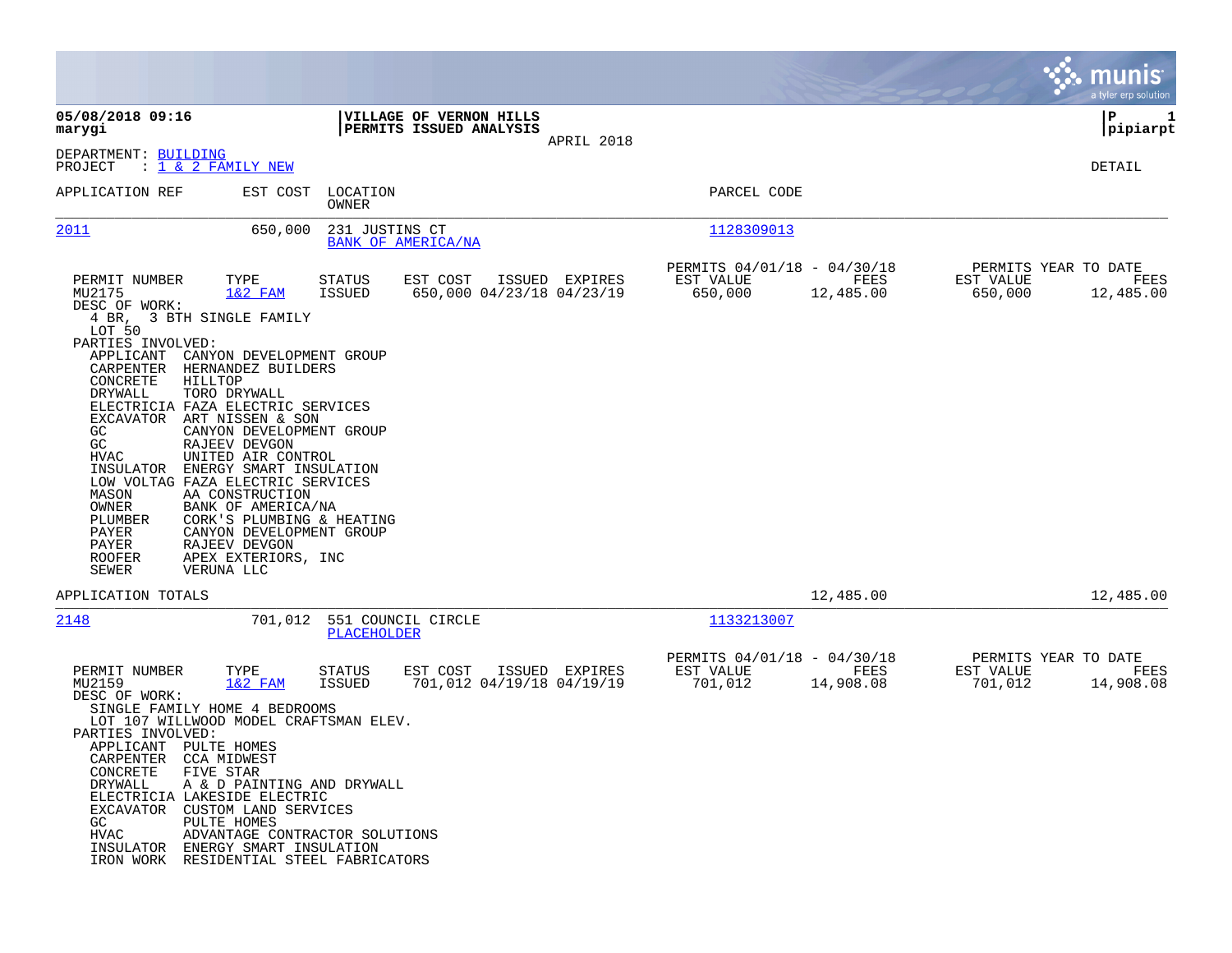|                                                                                                                                                                                                                                                                                                                                                                                                                                                                                                            |                                                                                           |                                                                          | munis<br>a tyler erp solution                                     |
|------------------------------------------------------------------------------------------------------------------------------------------------------------------------------------------------------------------------------------------------------------------------------------------------------------------------------------------------------------------------------------------------------------------------------------------------------------------------------------------------------------|-------------------------------------------------------------------------------------------|--------------------------------------------------------------------------|-------------------------------------------------------------------|
| 05/08/2018 09:16<br>marygi                                                                                                                                                                                                                                                                                                                                                                                                                                                                                 | VILLAGE OF VERNON HILLS<br>PERMITS ISSUED ANALYSIS<br>APRIL 2018                          |                                                                          | IΡ<br>1<br> pipiarpt                                              |
| DEPARTMENT: BUILDING<br>PROJECT<br>: 1 & 2 FAMILY NEW                                                                                                                                                                                                                                                                                                                                                                                                                                                      |                                                                                           |                                                                          | DETAIL                                                            |
| APPLICATION REF<br>EST COST                                                                                                                                                                                                                                                                                                                                                                                                                                                                                | LOCATION<br>OWNER                                                                         | PARCEL CODE                                                              |                                                                   |
| 2011<br>650,000                                                                                                                                                                                                                                                                                                                                                                                                                                                                                            | 231 JUSTINS CT<br>BANK OF AMERICA/NA                                                      | 1128309013                                                               |                                                                   |
| PERMIT NUMBER<br>TYPE<br>MU2175<br>$1&2$ FAM<br>DESC OF WORK:<br>4 BR, 3 BTH SINGLE FAMILY<br>LOT 50<br>PARTIES INVOLVED:<br>APPLICANT<br>CANYON DEVELOPMENT GROUP<br>CARPENTER<br>HERNANDEZ BUILDERS<br>CONCRETE<br>HILLTOP<br>DRYWALL<br>TORO DRYWALL                                                                                                                                                                                                                                                    | STATUS<br>EST COST<br>ISSUED EXPIRES<br>650,000 04/23/18 04/23/19<br><b>ISSUED</b>        | PERMITS 04/01/18 - 04/30/18<br>FEES<br>EST VALUE<br>650,000<br>12,485.00 | PERMITS YEAR TO DATE<br>EST VALUE<br>FEES<br>650,000<br>12,485.00 |
| ELECTRICIA FAZA ELECTRIC SERVICES<br>EXCAVATOR<br>ART NISSEN & SON<br>GC<br>CANYON DEVELOPMENT GROUP<br>GC<br>RAJEEV DEVGON<br>HVAC<br>UNITED AIR CONTROL<br>INSULATOR<br>ENERGY SMART INSULATION<br>LOW VOLTAG FAZA ELECTRIC SERVICES<br>MASON<br>AA CONSTRUCTION<br>OWNER<br>BANK OF AMERICA/NA<br>PLUMBER<br>CORK'S PLUMBING & HEATING<br>PAYER<br>CANYON DEVELOPMENT GROUP<br>PAYER<br>RAJEEV DEVGON<br><b>ROOFER</b><br>APEX EXTERIORS, INC<br>SEWER<br>VERUNA LLC                                    |                                                                                           |                                                                          |                                                                   |
| APPLICATION TOTALS                                                                                                                                                                                                                                                                                                                                                                                                                                                                                         |                                                                                           | 12,485.00                                                                | 12,485.00                                                         |
| 2148<br>701,012                                                                                                                                                                                                                                                                                                                                                                                                                                                                                            | 551 COUNCIL CIRCLE<br>PLACEHOLDER                                                         | 1133213007                                                               |                                                                   |
| PERMIT NUMBER<br>TYPE<br>MU2159<br>$1&2$ FAM<br>DESC OF WORK:<br>SINGLE FAMILY HOME 4 BEDROOMS<br>LOT 107 WILLWOOD MODEL CRAFTSMAN ELEV.<br>PARTIES INVOLVED:<br>APPLICANT PULTE HOMES<br>CARPENTER CCA MIDWEST<br>CONCRETE<br>FIVE STAR<br>DRYWALL<br>A & D PAINTING AND DRYWALL<br>ELECTRICIA LAKESIDE ELECTRIC<br>EXCAVATOR CUSTOM LAND SERVICES<br>GC.<br>PULTE HOMES<br><b>HVAC</b><br>ADVANTAGE CONTRACTOR SOLUTIONS<br>INSULATOR ENERGY SMART INSULATION<br>IRON WORK RESIDENTIAL STEEL FABRICATORS | <b>STATUS</b><br>EST COST<br>ISSUED EXPIRES<br><b>ISSUED</b><br>701,012 04/19/18 04/19/19 | PERMITS 04/01/18 - 04/30/18<br>EST VALUE<br>FEES<br>701,012<br>14,908.08 | PERMITS YEAR TO DATE<br>EST VALUE<br>FEES<br>701,012<br>14,908.08 |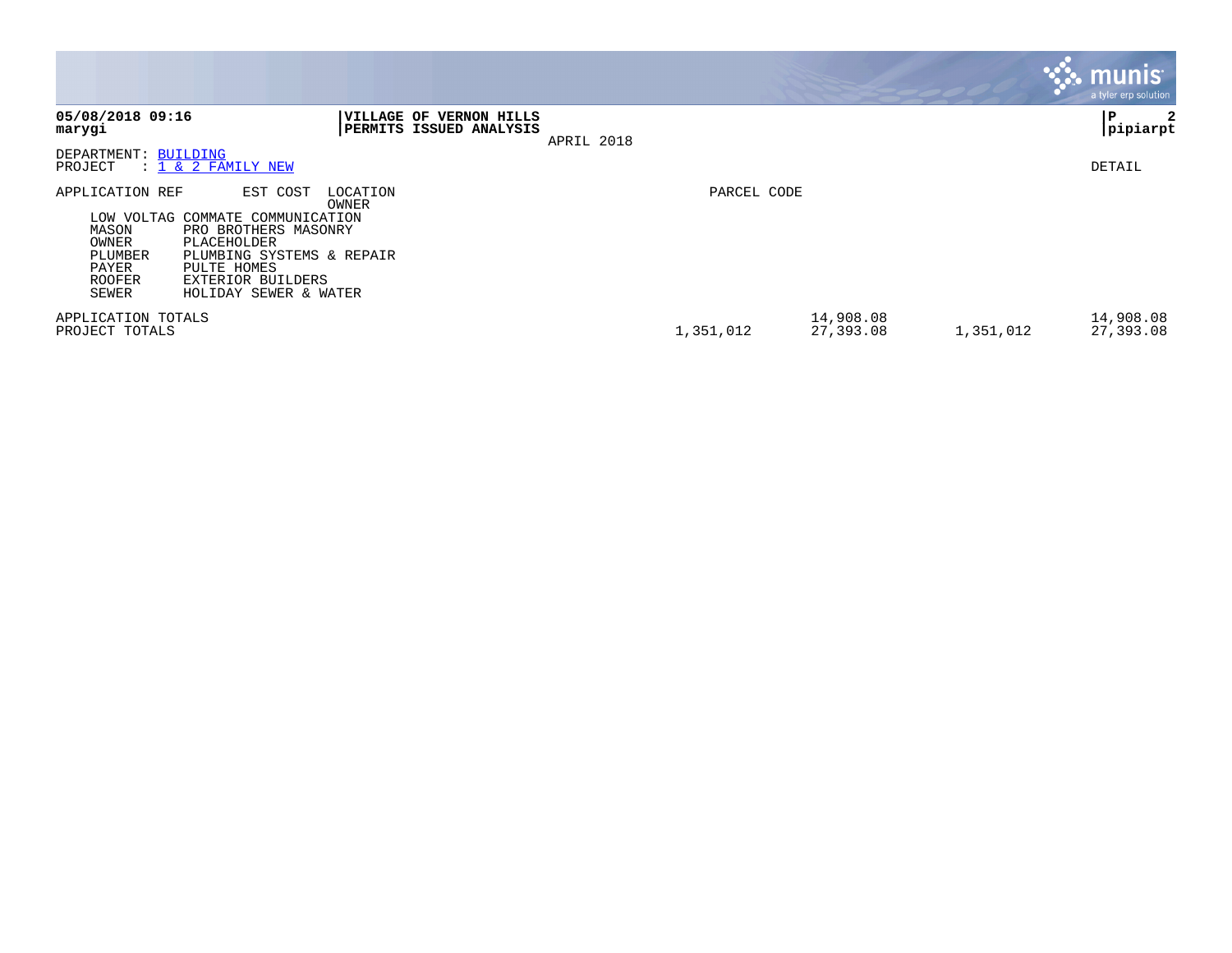|                                                                                        |                                                                                                                                                                    |                   |                                                |            |             |                        |           | munis'<br>a tyler erp solution |
|----------------------------------------------------------------------------------------|--------------------------------------------------------------------------------------------------------------------------------------------------------------------|-------------------|------------------------------------------------|------------|-------------|------------------------|-----------|--------------------------------|
| 05/08/2018 09:16<br>marygi                                                             |                                                                                                                                                                    | <b>VILLAGE OF</b> | <b>VERNON HILLS</b><br>PERMITS ISSUED ANALYSIS | APRIL 2018 |             |                        |           | ۱P.<br>2<br> pipiarpt          |
| DEPARTMENT: BUILDING<br>PROJECT                                                        | $: 1 \& 2$ FAMILY NEW                                                                                                                                              |                   |                                                |            |             |                        |           | DETAIL                         |
| APPLICATION REF<br>LOW VOLTAG<br>MASON<br>OWNER<br>PLUMBER<br>PAYER<br>ROOFER<br>SEWER | EST COST<br>COMMATE COMMUNICATION<br>PRO BROTHERS MASONRY<br>PLACEHOLDER<br>PLUMBING SYSTEMS & REPAIR<br>PULTE HOMES<br>EXTERIOR BUILDERS<br>HOLIDAY SEWER & WATER | LOCATION<br>OWNER |                                                |            | PARCEL CODE |                        |           |                                |
| APPLICATION TOTALS<br>PROJECT TOTALS                                                   |                                                                                                                                                                    |                   |                                                |            | 1,351,012   | 14,908.08<br>27,393.08 | 1,351,012 | 14,908.08<br>27,393.08         |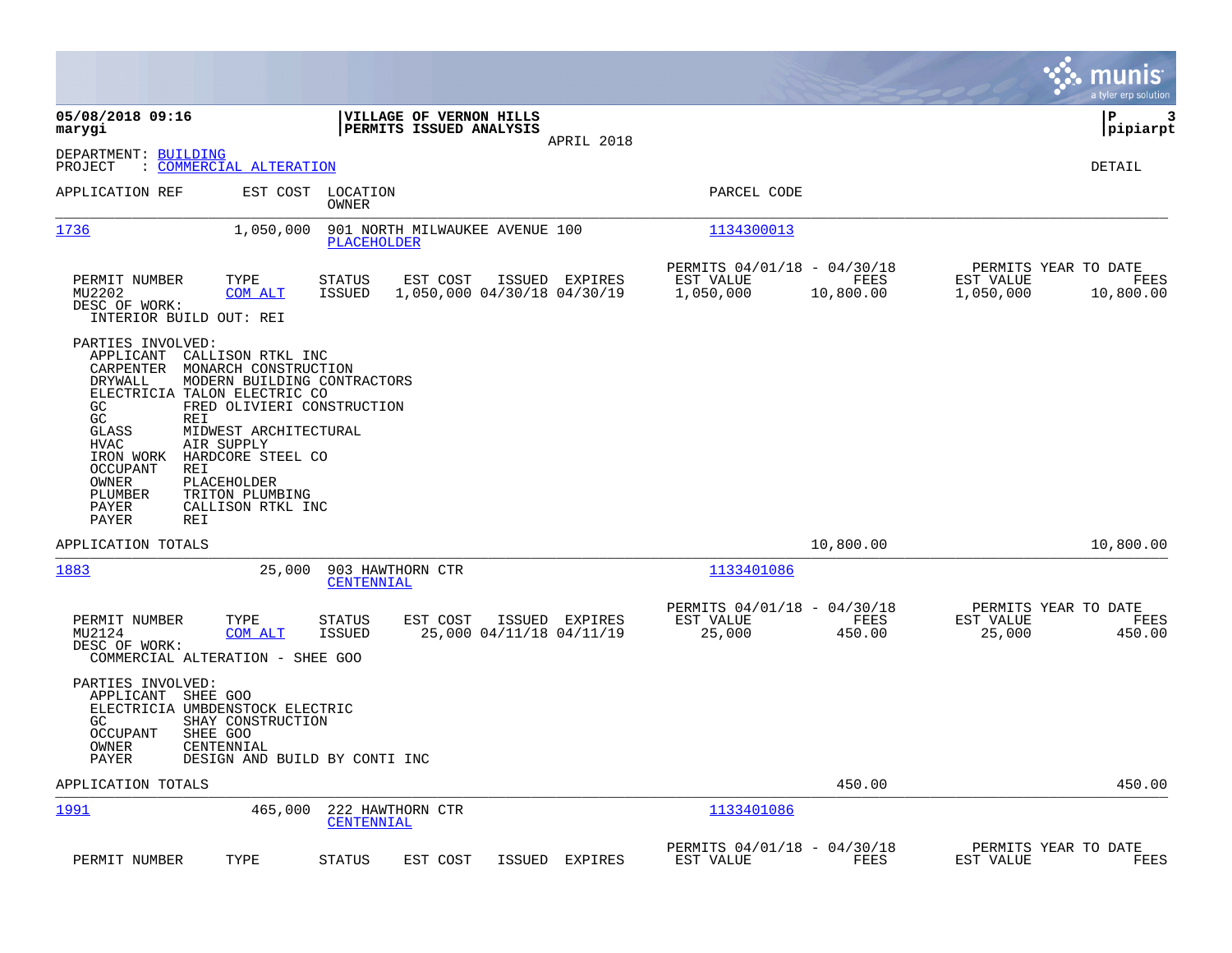|                                                                                                                                                                                                                                     |                                                                                                                                                                                                                           |                                               |                                                    |                                               |                                                       |                   |                                                | munis<br>a tyler erp solution |
|-------------------------------------------------------------------------------------------------------------------------------------------------------------------------------------------------------------------------------------|---------------------------------------------------------------------------------------------------------------------------------------------------------------------------------------------------------------------------|-----------------------------------------------|----------------------------------------------------|-----------------------------------------------|-------------------------------------------------------|-------------------|------------------------------------------------|-------------------------------|
| 05/08/2018 09:16<br>marygi                                                                                                                                                                                                          |                                                                                                                                                                                                                           |                                               | VILLAGE OF VERNON HILLS<br>PERMITS ISSUED ANALYSIS | APRIL 2018                                    |                                                       |                   |                                                | P<br>3<br> pipiarpt           |
| DEPARTMENT: BUILDING<br>PROJECT                                                                                                                                                                                                     | <u> COMMERCIAL ALTERATION</u>                                                                                                                                                                                             |                                               |                                                    |                                               |                                                       |                   |                                                | DETAIL                        |
| APPLICATION REF                                                                                                                                                                                                                     |                                                                                                                                                                                                                           | EST COST LOCATION<br><b>OWNER</b>             |                                                    |                                               | PARCEL CODE                                           |                   |                                                |                               |
| 1736                                                                                                                                                                                                                                | 1,050,000                                                                                                                                                                                                                 | 901 NORTH MILWAUKEE AVENUE 100<br>PLACEHOLDER |                                                    |                                               | 1134300013                                            |                   |                                                |                               |
| PERMIT NUMBER<br>MU2202<br>DESC OF WORK:<br>INTERIOR BUILD OUT: REI                                                                                                                                                                 | TYPE<br>COM ALT                                                                                                                                                                                                           | STATUS<br>ISSUED                              | EST COST                                           | ISSUED EXPIRES<br>1,050,000 04/30/18 04/30/19 | PERMITS 04/01/18 - 04/30/18<br>EST VALUE<br>1,050,000 | FEES<br>10,800.00 | PERMITS YEAR TO DATE<br>EST VALUE<br>1,050,000 | FEES<br>10,800.00             |
| PARTIES INVOLVED:<br>APPLICANT<br>CARPENTER<br>DRYWALL<br>ELECTRICIA TALON ELECTRIC CO<br>GC<br>GC<br>REI<br><b>GLASS</b><br><b>HVAC</b><br>IRON WORK<br><b>OCCUPANT</b><br>REI<br>OWNER<br>PLUMBER<br>PAYER<br>PAYER<br><b>REI</b> | CALLISON RTKL INC<br>MONARCH CONSTRUCTION<br>MODERN BUILDING CONTRACTORS<br>FRED OLIVIERI CONSTRUCTION<br>MIDWEST ARCHITECTURAL<br>AIR SUPPLY<br>HARDCORE STEEL CO<br>PLACEHOLDER<br>TRITON PLUMBING<br>CALLISON RTKL INC |                                               |                                                    |                                               |                                                       |                   |                                                |                               |
| APPLICATION TOTALS                                                                                                                                                                                                                  |                                                                                                                                                                                                                           |                                               |                                                    |                                               |                                                       | 10,800.00         |                                                | 10,800.00                     |
| 1883                                                                                                                                                                                                                                | 25,000                                                                                                                                                                                                                    | 903 HAWTHORN CTR<br>CENTENNIAL                |                                                    |                                               | 1133401086                                            |                   |                                                |                               |
| PERMIT NUMBER<br>MU2124<br>DESC OF WORK:<br>COMMERCIAL ALTERATION - SHEE GOO                                                                                                                                                        | TYPE<br>COM ALT                                                                                                                                                                                                           | <b>STATUS</b><br><b>ISSUED</b>                | EST COST                                           | ISSUED EXPIRES<br>25,000 04/11/18 04/11/19    | PERMITS 04/01/18 - 04/30/18<br>EST VALUE<br>25,000    | FEES<br>450.00    | PERMITS YEAR TO DATE<br>EST VALUE<br>25,000    | FEES<br>450.00                |
| PARTIES INVOLVED:<br>APPLICANT SHEE GOO<br>ELECTRICIA UMBDENSTOCK ELECTRIC<br>GC.<br><b>OCCUPANT</b><br>SHEE GOO<br>OWNER<br>PAYER                                                                                                  | SHAY CONSTRUCTION<br>CENTENNIAL<br>DESIGN AND BUILD BY CONTI INC                                                                                                                                                          |                                               |                                                    |                                               |                                                       |                   |                                                |                               |
| APPLICATION TOTALS                                                                                                                                                                                                                  |                                                                                                                                                                                                                           |                                               |                                                    |                                               |                                                       | 450.00            |                                                | 450.00                        |
| <u> 1991</u>                                                                                                                                                                                                                        | 465,000                                                                                                                                                                                                                   | 222 HAWTHORN CTR<br>CENTENNIAL                |                                                    |                                               | 1133401086                                            |                   |                                                |                               |
| PERMIT NUMBER                                                                                                                                                                                                                       | TYPE                                                                                                                                                                                                                      | STATUS                                        | EST COST                                           | ISSUED EXPIRES                                | PERMITS 04/01/18 - 04/30/18<br>EST VALUE              | FEES              | PERMITS YEAR TO DATE<br>EST VALUE              | FEES                          |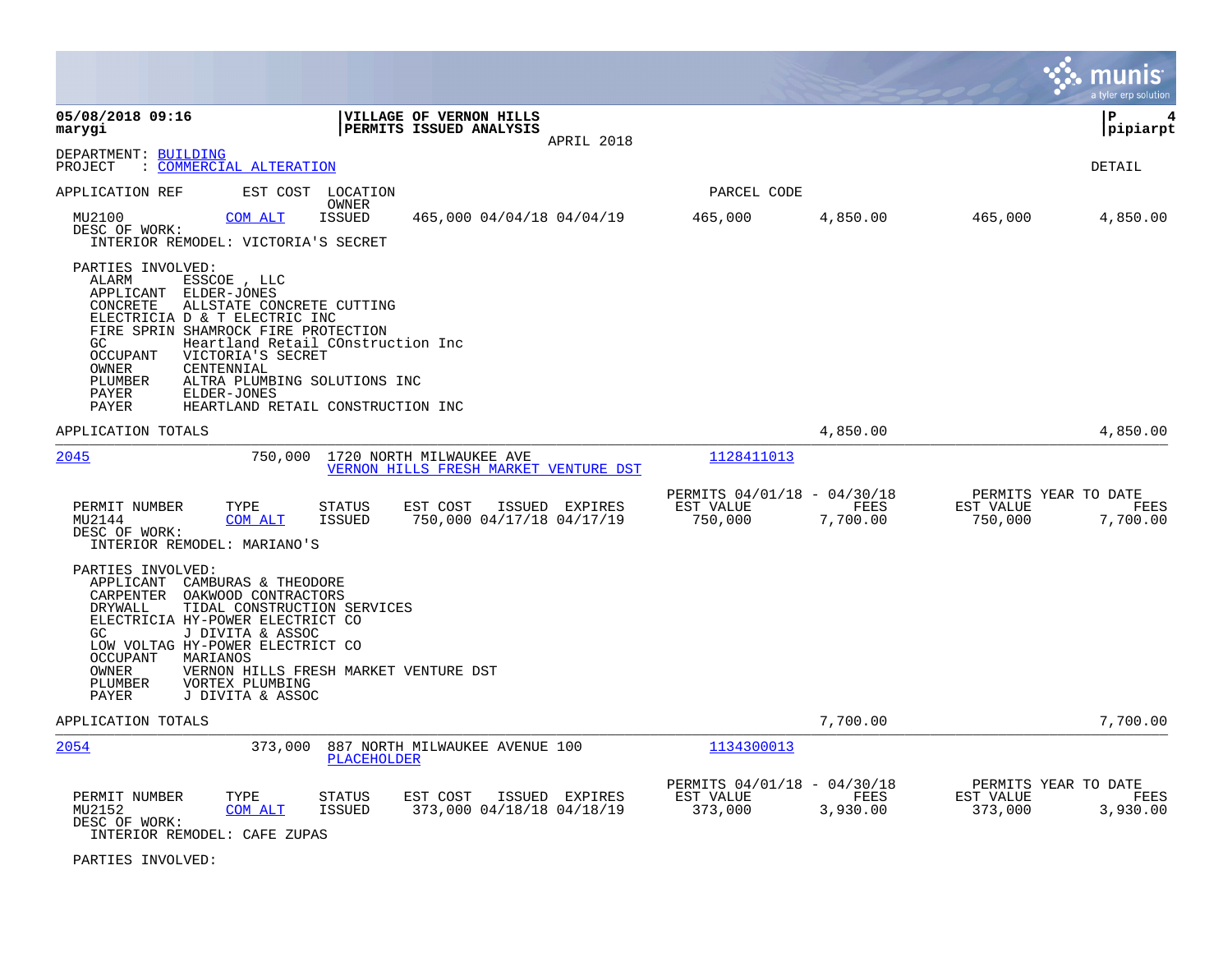|                                                                                                                                                                                                                                                                                                                                                 |                                                                                           |                                                     |                  |                                              | munis<br>a tyler erp solution |
|-------------------------------------------------------------------------------------------------------------------------------------------------------------------------------------------------------------------------------------------------------------------------------------------------------------------------------------------------|-------------------------------------------------------------------------------------------|-----------------------------------------------------|------------------|----------------------------------------------|-------------------------------|
| 05/08/2018 09:16<br>marygi                                                                                                                                                                                                                                                                                                                      | VILLAGE OF VERNON HILLS<br>PERMITS ISSUED ANALYSIS<br>APRIL 2018                          |                                                     |                  |                                              | l P<br>4<br> pipiarpt         |
| DEPARTMENT: BUILDING<br>: COMMERCIAL ALTERATION<br>PROJECT                                                                                                                                                                                                                                                                                      |                                                                                           |                                                     |                  |                                              | <b>DETAIL</b>                 |
| APPLICATION REF<br>EST COST LOCATION                                                                                                                                                                                                                                                                                                            |                                                                                           | PARCEL CODE                                         |                  |                                              |                               |
| MU2100<br>COM ALT<br>DESC OF WORK:<br>INTERIOR REMODEL: VICTORIA'S SECRET                                                                                                                                                                                                                                                                       | OWNER<br>465,000 04/04/18 04/04/19<br>ISSUED                                              | 465,000                                             | 4,850.00         | 465,000                                      | 4,850.00                      |
| PARTIES INVOLVED:<br>ALARM<br>ESSCOE, LLC<br>APPLICANT<br>ELDER-JONES<br>ALLSTATE CONCRETE CUTTING<br>CONCRETE<br>ELECTRICIA D & T ELECTRIC INC<br>FIRE SPRIN SHAMROCK FIRE PROTECTION<br>GC.<br><b>OCCUPANT</b><br>VICTORIA'S SECRET<br>OWNER<br>CENTENNIAL<br>PLUMBER<br>ALTRA PLUMBING SOLUTIONS INC<br>PAYER<br>ELDER-JONES<br><b>PAYER</b> | Heartland Retail COnstruction Inc<br>HEARTLAND RETAIL CONSTRUCTION INC                    |                                                     |                  |                                              |                               |
| APPLICATION TOTALS                                                                                                                                                                                                                                                                                                                              |                                                                                           |                                                     | 4,850.00         |                                              | 4,850.00                      |
| 2045<br>750,000                                                                                                                                                                                                                                                                                                                                 | 1720 NORTH MILWAUKEE AVE<br>VERNON HILLS FRESH MARKET VENTURE DST                         | 1128411013                                          |                  |                                              |                               |
| PERMIT NUMBER<br>TYPE<br>MU2144<br><b>COM ALT</b><br>DESC OF WORK:<br>INTERIOR REMODEL: MARIANO'S                                                                                                                                                                                                                                               | <b>STATUS</b><br>EST COST<br>ISSUED EXPIRES<br>ISSUED<br>750,000 04/17/18 04/17/19        | PERMITS 04/01/18 - 04/30/18<br>EST VALUE<br>750,000 | FEES<br>7,700.00 | PERMITS YEAR TO DATE<br>EST VALUE<br>750,000 | FEES<br>7,700.00              |
| PARTIES INVOLVED:<br>APPLICANT<br>CAMBURAS & THEODORE<br>CARPENTER<br>OAKWOOD CONTRACTORS<br>DRYWALL<br>TIDAL CONSTRUCTION SERVICES<br>ELECTRICIA HY-POWER ELECTRICT CO<br>GC.<br>J DIVITA & ASSOC<br>LOW VOLTAG HY-POWER ELECTRICT CO<br>MARIANOS<br>OCCUPANT<br>OWNER<br>PLUMBER<br>VORTEX PLUMBING<br>J DIVITA & ASSOC<br>PAYER              | VERNON HILLS FRESH MARKET VENTURE DST                                                     |                                                     |                  |                                              |                               |
| APPLICATION TOTALS                                                                                                                                                                                                                                                                                                                              |                                                                                           |                                                     | 7,700.00         |                                              | 7,700.00                      |
| 2054<br>373,000                                                                                                                                                                                                                                                                                                                                 | 887 NORTH MILWAUKEE AVENUE 100<br>PLACEHOLDER                                             | 1134300013                                          |                  |                                              |                               |
| PERMIT NUMBER<br>TYPE<br>MU2152<br><b>COM ALT</b><br>DESC OF WORK:<br>INTERIOR REMODEL: CAFE ZUPAS                                                                                                                                                                                                                                              | <b>STATUS</b><br>EST COST<br>ISSUED EXPIRES<br><b>ISSUED</b><br>373,000 04/18/18 04/18/19 | PERMITS 04/01/18 - 04/30/18<br>EST VALUE<br>373,000 | FEES<br>3,930.00 | PERMITS YEAR TO DATE<br>EST VALUE<br>373,000 | FEES<br>3,930.00              |

PARTIES INVOLVED: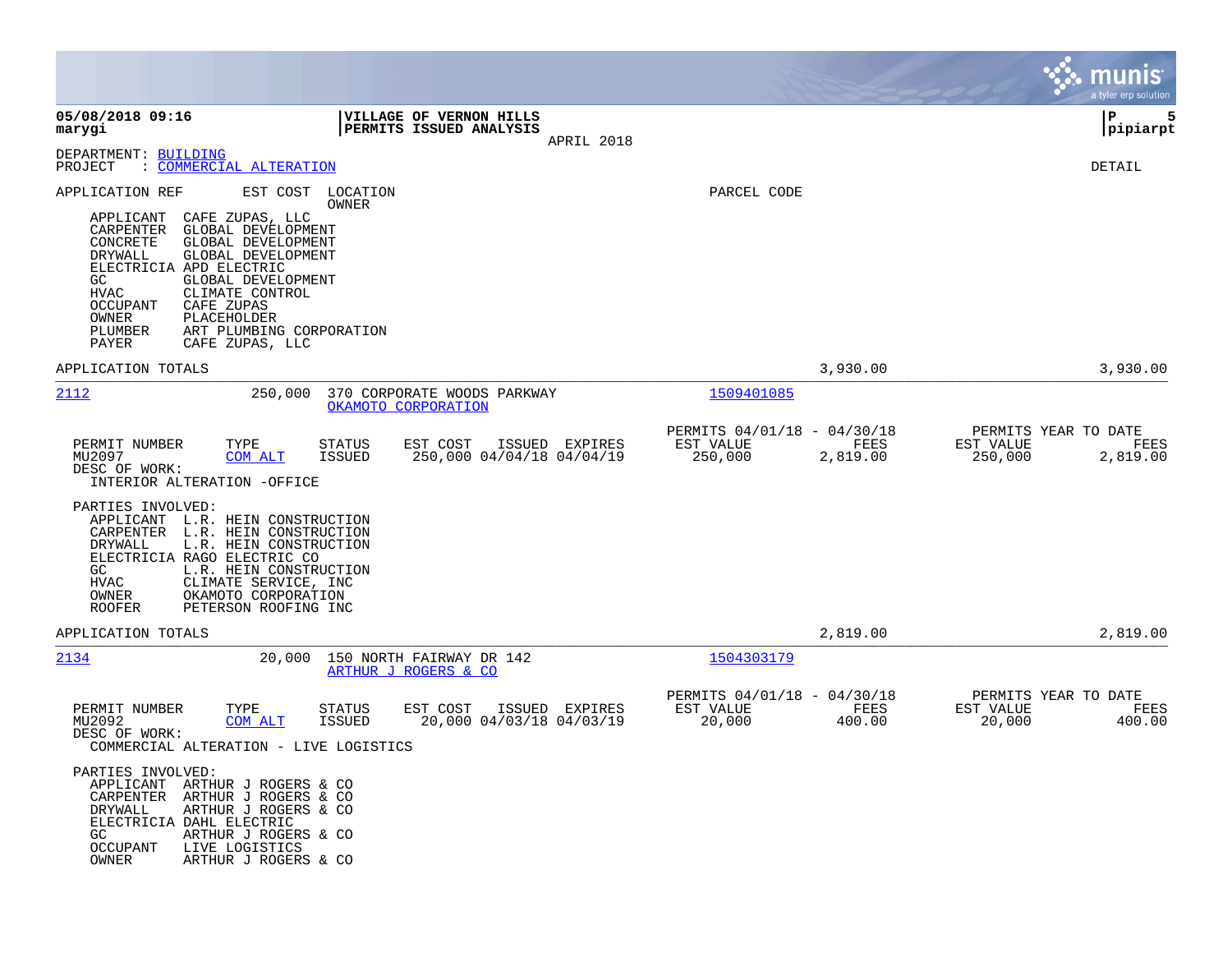|                                                                                                                                                                                                                                                                                                                                                                          |                                                                         |                                        |                                                 | munis<br>a tyler erp solution                                    |
|--------------------------------------------------------------------------------------------------------------------------------------------------------------------------------------------------------------------------------------------------------------------------------------------------------------------------------------------------------------------------|-------------------------------------------------------------------------|----------------------------------------|-------------------------------------------------|------------------------------------------------------------------|
| 05/08/2018 09:16<br>marygi                                                                                                                                                                                                                                                                                                                                               | VILLAGE OF VERNON HILLS<br>PERMITS ISSUED ANALYSIS                      | APRIL 2018                             |                                                 | lР<br>5<br> pipiarpt                                             |
| DEPARTMENT: BUILDING<br>: COMMERCIAL ALTERATION<br>PROJECT                                                                                                                                                                                                                                                                                                               |                                                                         |                                        |                                                 | DETAIL                                                           |
| EST COST<br>APPLICATION REF<br>CAFE ZUPAS, LLC<br>APPLICANT<br>CARPENTER<br>GLOBAL DEVELOPMENT<br>GLOBAL DEVELOPMENT<br>CONCRETE<br>DRYWALL<br>GLOBAL DEVELOPMENT<br>ELECTRICIA APD ELECTRIC<br>GC<br>GLOBAL DEVELOPMENT<br>HVAC<br>CLIMATE CONTROL<br>CAFE ZUPAS<br>OCCUPANT<br>OWNER<br>PLACEHOLDER<br>PLUMBER<br>ART PLUMBING CORPORATION<br>PAYER<br>CAFE ZUPAS, LLC | LOCATION<br>OWNER                                                       |                                        | PARCEL CODE                                     |                                                                  |
| APPLICATION TOTALS                                                                                                                                                                                                                                                                                                                                                       |                                                                         |                                        | 3,930.00                                        | 3,930.00                                                         |
| 2112<br>250,000                                                                                                                                                                                                                                                                                                                                                          | 370 CORPORATE WOODS PARKWAY<br>OKAMOTO CORPORATION                      |                                        | 1509401085                                      |                                                                  |
| PERMIT NUMBER<br>TYPE<br>MU2097<br>COM ALT<br>DESC OF WORK:<br>INTERIOR ALTERATION -OFFICE                                                                                                                                                                                                                                                                               | <b>STATUS</b><br>EST COST<br>250,000 04/04/18 04/04/19<br><b>ISSUED</b> | ISSUED EXPIRES<br>EST VALUE<br>250,000 | PERMITS 04/01/18 - 04/30/18<br>FEES<br>2,819.00 | PERMITS YEAR TO DATE<br>EST VALUE<br>FEES<br>250,000<br>2,819.00 |
| PARTIES INVOLVED:<br>APPLICANT L.R. HEIN CONSTRUCTION<br>L.R. HEIN CONSTRUCTION<br>CARPENTER<br>L.R. HEIN CONSTRUCTION<br>DRYWALL<br>ELECTRICIA RAGO ELECTRIC CO<br>GC<br>L.R. HEIN CONSTRUCTION<br>CLIMATE SERVICE, INC<br>HVAC<br>OWNER<br>OKAMOTO CORPORATION<br><b>ROOFER</b><br>PETERSON ROOFING INC                                                                |                                                                         |                                        |                                                 |                                                                  |
| APPLICATION TOTALS                                                                                                                                                                                                                                                                                                                                                       |                                                                         |                                        | 2,819.00                                        | 2,819.00                                                         |
| 2134<br>20,000                                                                                                                                                                                                                                                                                                                                                           | 150 NORTH FAIRWAY DR 142<br>ARTHUR J ROGERS & CO                        |                                        | 1504303179                                      |                                                                  |
| PERMIT NUMBER<br>TYPE<br>MU2092<br><b>COM ALT</b><br>DESC OF WORK:<br>COMMERCIAL ALTERATION - LIVE LOGISTICS                                                                                                                                                                                                                                                             | EST COST<br><b>STATUS</b><br><b>ISSUED</b><br>20,000 04/03/18 04/03/19  | ISSUED EXPIRES<br>EST VALUE<br>20,000  | PERMITS 04/01/18 - 04/30/18<br>FEES<br>400.00   | PERMITS YEAR TO DATE<br>EST VALUE<br>FEES<br>20,000<br>400.00    |
| PARTIES INVOLVED:<br>APPLICANT ARTHUR J ROGERS & CO<br>CARPENTER<br>ARTHUR J ROGERS & CO<br>ARTHUR J ROGERS & CO<br>DRYWALL<br>ELECTRICIA DAHL ELECTRIC<br>GC.<br>ARTHUR J ROGERS & CO<br><b>OCCUPANT</b><br>LIVE LOGISTICS<br>OWNER<br>ARTHUR J ROGERS & CO                                                                                                             |                                                                         |                                        |                                                 |                                                                  |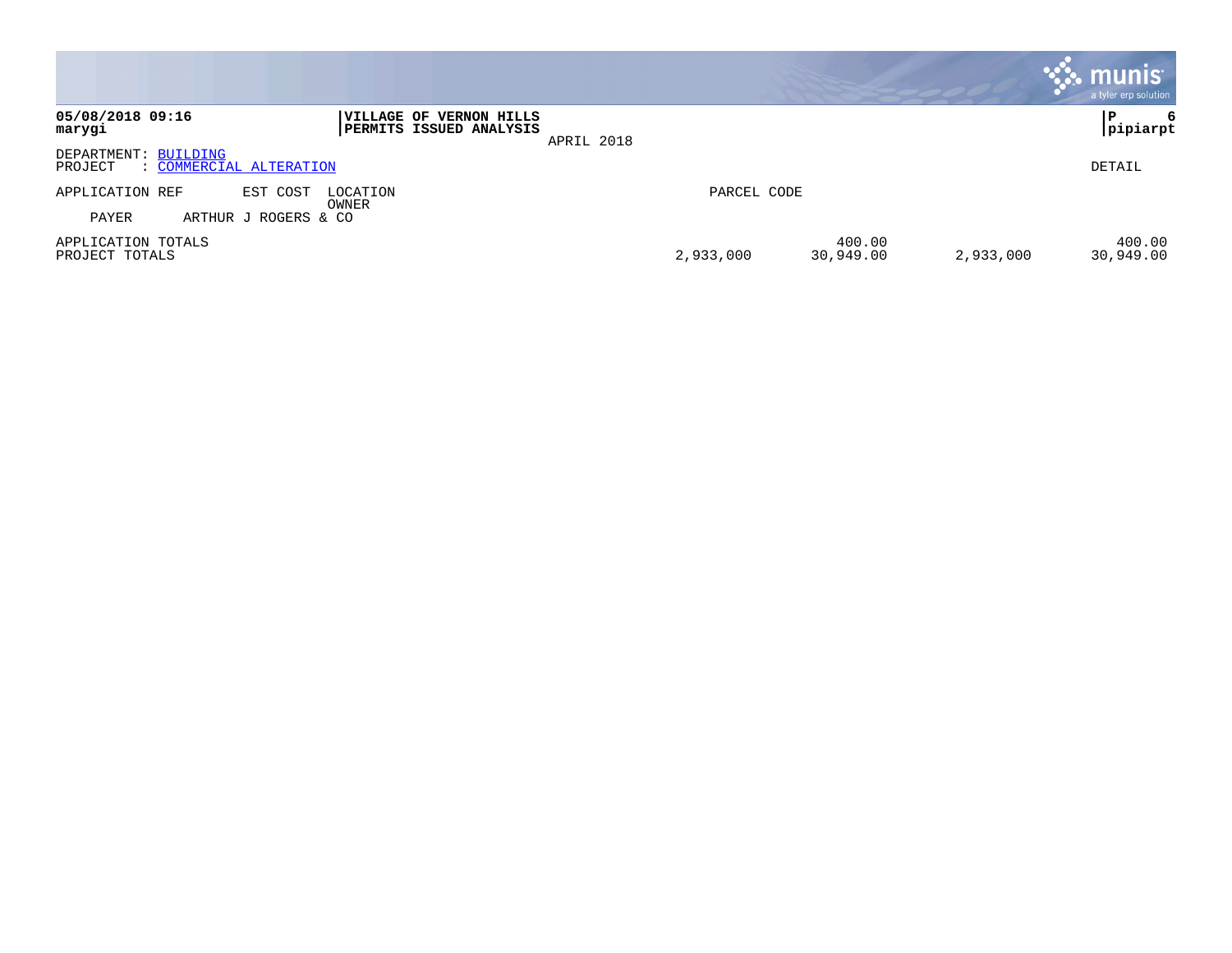|                                                                                                               |                                               | <b>munis</b><br>a tyler erp solution |
|---------------------------------------------------------------------------------------------------------------|-----------------------------------------------|--------------------------------------|
| 05/08/2018 09:16<br><b> VILLAGE OF VERNON HILLS</b><br><b>PERMITS ISSUED ANALYSIS</b><br>marygi<br>APRIL 2018 |                                               | P<br>6<br>pipiarpt                   |
| DEPARTMENT: BUILDING<br>: COMMERCIAL ALTERATION<br>PROJECT                                                    |                                               | DETAIL                               |
| APPLICATION REF<br>EST COST<br>LOCATION<br>OWNER                                                              | PARCEL CODE                                   |                                      |
| PAYER<br>ARTHUR J ROGERS & CO<br>APPLICATION TOTALS<br>PROJECT TOTALS                                         | 400.00<br>30,949.00<br>2,933,000<br>2,933,000 | 400.00<br>30,949.00                  |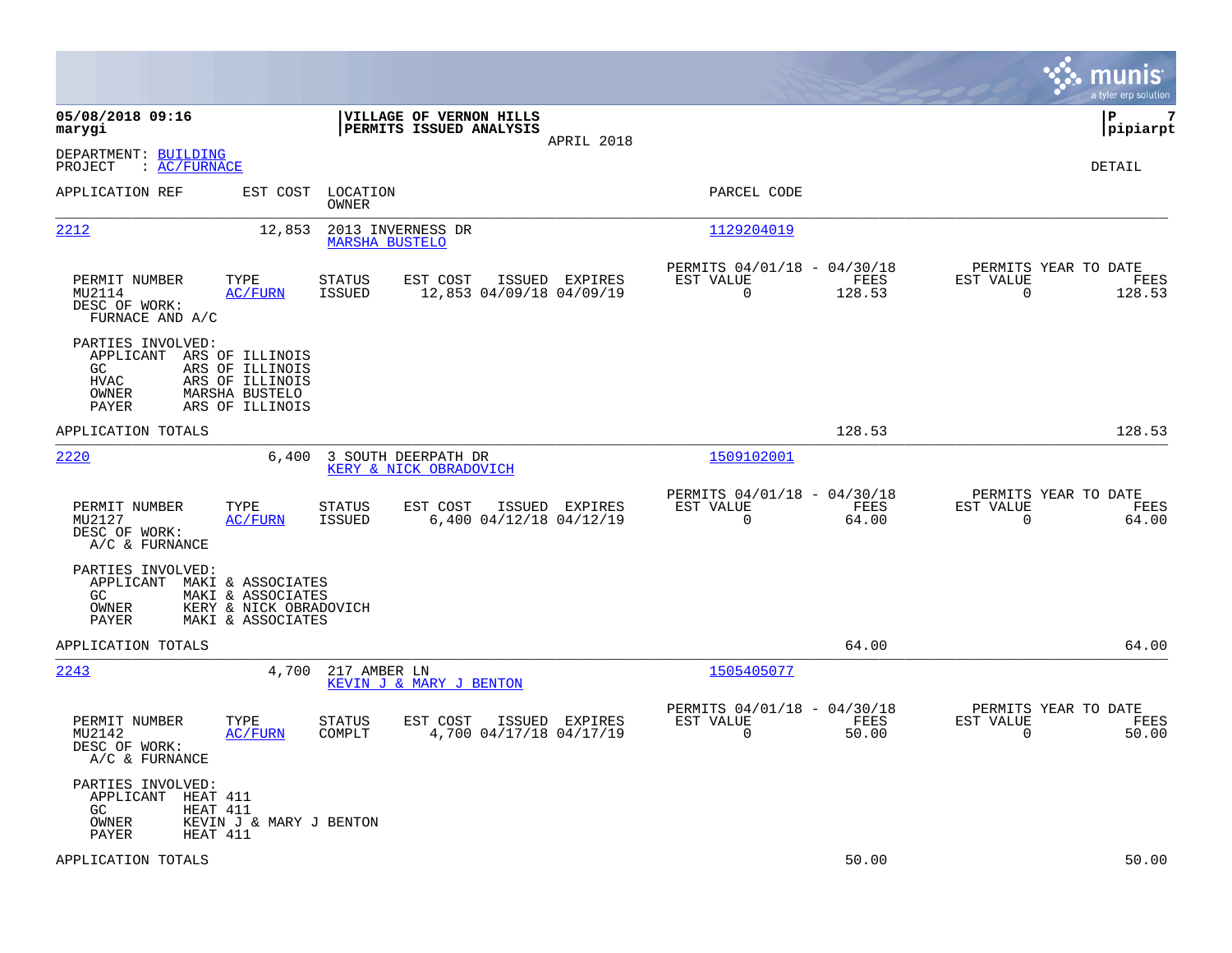|                                                                                                                                                                          |                                                                                         |                                                                          | munis<br>a tyler erp solution                                     |
|--------------------------------------------------------------------------------------------------------------------------------------------------------------------------|-----------------------------------------------------------------------------------------|--------------------------------------------------------------------------|-------------------------------------------------------------------|
| 05/08/2018 09:16<br>marygi                                                                                                                                               | VILLAGE OF VERNON HILLS<br>PERMITS ISSUED ANALYSIS<br>APRIL 2018                        |                                                                          | lР<br>7<br> pipiarpt                                              |
| DEPARTMENT: BUILDING<br>$\colon$ AC/FURNACE<br>PROJECT                                                                                                                   |                                                                                         |                                                                          | DETAIL                                                            |
| APPLICATION REF                                                                                                                                                          | EST COST<br>LOCATION<br>OWNER                                                           | PARCEL CODE                                                              |                                                                   |
| 2212                                                                                                                                                                     | 12,853<br>2013 INVERNESS DR<br><b>MARSHA BUSTELO</b>                                    | 1129204019                                                               |                                                                   |
| PERMIT NUMBER<br>TYPE<br>MU2114<br><b>AC/FURN</b><br>DESC OF WORK:<br>FURNACE AND A/C                                                                                    | <b>STATUS</b><br>EST COST<br>ISSUED EXPIRES<br>ISSUED<br>12,853 04/09/18 04/09/19       | PERMITS 04/01/18 - 04/30/18<br>EST VALUE<br>FEES<br>0<br>128.53          | PERMITS YEAR TO DATE<br>EST VALUE<br>FEES<br>0<br>128.53          |
| PARTIES INVOLVED:<br>APPLICANT ARS OF ILLINOIS<br>ARS OF ILLINOIS<br>GC.<br><b>HVAC</b><br>ARS OF ILLINOIS<br><b>OWNER</b><br>MARSHA BUSTELO<br>PAYER<br>ARS OF ILLINOIS |                                                                                         |                                                                          |                                                                   |
| APPLICATION TOTALS                                                                                                                                                       |                                                                                         | 128.53                                                                   | 128.53                                                            |
| 2220                                                                                                                                                                     | 3 SOUTH DEERPATH DR<br>6,400<br>KERY & NICK OBRADOVICH                                  | 1509102001                                                               |                                                                   |
| PERMIT NUMBER<br>TYPE<br>MU2127<br>AC/FURN<br>DESC OF WORK:<br>A/C & FURNANCE                                                                                            | <b>STATUS</b><br>EST COST<br>ISSUED EXPIRES<br><b>ISSUED</b><br>6,400 04/12/18 04/12/19 | PERMITS 04/01/18 - 04/30/18<br>EST VALUE<br>FEES<br>$\mathbf 0$<br>64.00 | PERMITS YEAR TO DATE<br>EST VALUE<br>FEES<br>$\mathbf 0$<br>64.00 |
| PARTIES INVOLVED:<br>APPLICANT MAKI & ASSOCIATES<br>GC.<br>MAKI & ASSOCIATES<br><b>OWNER</b><br>PAYER<br>MAKI & ASSOCIATES                                               | KERY & NICK OBRADOVICH                                                                  |                                                                          |                                                                   |
| APPLICATION TOTALS                                                                                                                                                       |                                                                                         | 64.00                                                                    | 64.00                                                             |
| 2243                                                                                                                                                                     | 4,700<br>217 AMBER LN<br>KEVIN J & MARY J BENTON                                        | 1505405077                                                               |                                                                   |
| PERMIT NUMBER<br>TYPE<br>MU2142<br>AC/FURN<br>DESC OF WORK:<br>A/C & FURNANCE                                                                                            | STATUS<br>EST COST<br>ISSUED EXPIRES<br>4,700 04/17/18 04/17/19<br>COMPLT               | PERMITS 04/01/18 - 04/30/18<br>EST VALUE<br>FEES<br>$\mathbf 0$<br>50.00 | PERMITS YEAR TO DATE<br>EST VALUE<br>FEES<br>$\mathbf 0$<br>50.00 |
| PARTIES INVOLVED:<br>APPLICANT<br>HEAT 411<br>GC<br>HEAT 411<br>OWNER<br><b>PAYER</b><br>HEAT 411                                                                        | KEVIN J & MARY J BENTON                                                                 |                                                                          |                                                                   |
| APPLICATION TOTALS                                                                                                                                                       |                                                                                         | 50.00                                                                    | 50.00                                                             |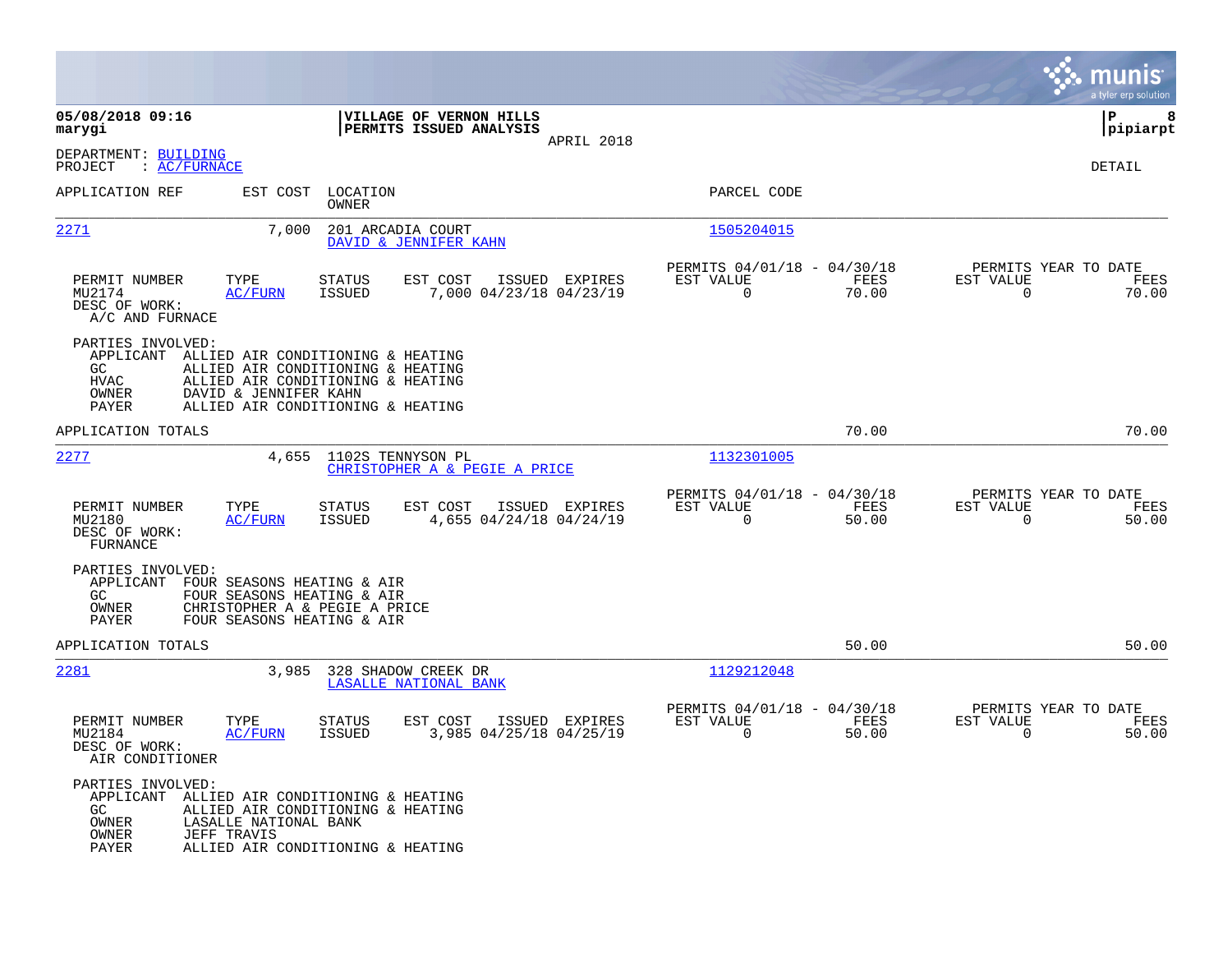|                                                                 |                                                                                                                                                                           |                                |                                                    |                |                                                            |               |                                                     | munis<br>a tyler erp solution |
|-----------------------------------------------------------------|---------------------------------------------------------------------------------------------------------------------------------------------------------------------------|--------------------------------|----------------------------------------------------|----------------|------------------------------------------------------------|---------------|-----------------------------------------------------|-------------------------------|
| 05/08/2018 09:16<br>marygi                                      |                                                                                                                                                                           |                                | VILLAGE OF VERNON HILLS<br>PERMITS ISSUED ANALYSIS | APRIL 2018     |                                                            |               |                                                     | lР<br>8<br> pipiarpt          |
| DEPARTMENT: BUILDING<br>PROJECT<br>: AC/FWNACE                  |                                                                                                                                                                           |                                |                                                    |                |                                                            |               |                                                     | DETAIL                        |
| APPLICATION REF                                                 | EST COST                                                                                                                                                                  | LOCATION<br>OWNER              |                                                    |                | PARCEL CODE                                                |               |                                                     |                               |
| <u> 2271</u>                                                    | 7,000                                                                                                                                                                     | 201 ARCADIA COURT              | DAVID & JENNIFER KAHN                              |                | 1505204015                                                 |               |                                                     |                               |
| PERMIT NUMBER<br>MU2174<br>DESC OF WORK:<br>A/C AND FURNACE     | TYPE<br><b>AC/FURN</b>                                                                                                                                                    | <b>STATUS</b><br><b>ISSUED</b> | EST COST<br>7,000 04/23/18 04/23/19                | ISSUED EXPIRES | PERMITS 04/01/18 - 04/30/18<br>EST VALUE<br>$\mathbf 0$    | FEES<br>70.00 | PERMITS YEAR TO DATE<br>EST VALUE<br>$\mathbf 0$    | FEES<br>70.00                 |
| PARTIES INVOLVED:<br>APPLICANT<br>GC.<br>HVAC<br>OWNER<br>PAYER | ALLIED AIR CONDITIONING & HEATING<br>ALLIED AIR CONDITIONING & HEATING<br>ALLIED AIR CONDITIONING & HEATING<br>DAVID & JENNIFER KAHN<br>ALLIED AIR CONDITIONING & HEATING |                                |                                                    |                |                                                            |               |                                                     |                               |
| APPLICATION TOTALS                                              |                                                                                                                                                                           |                                |                                                    |                |                                                            | 70.00         |                                                     | 70.00                         |
| 2277                                                            | 4,655                                                                                                                                                                     | 1102S TENNYSON PL              | CHRISTOPHER A & PEGIE A PRICE                      |                | 1132301005                                                 |               |                                                     |                               |
| PERMIT NUMBER<br>MU2180<br>DESC OF WORK:<br><b>FURNANCE</b>     | TYPE<br><b>AC/FURN</b>                                                                                                                                                    | STATUS<br><b>ISSUED</b>        | EST COST<br>4,655 04/24/18 04/24/19                | ISSUED EXPIRES | PERMITS 04/01/18 - 04/30/18<br>EST VALUE<br>$\overline{0}$ | FEES<br>50.00 | PERMITS YEAR TO DATE<br>EST VALUE<br>$\overline{0}$ | FEES<br>50.00                 |
| PARTIES INVOLVED:<br>APPLICANT<br>GC.<br>OWNER<br>PAYER         | FOUR SEASONS HEATING & AIR<br>FOUR SEASONS HEATING & AIR<br>CHRISTOPHER A & PEGIE A PRICE<br>FOUR SEASONS HEATING & AIR                                                   |                                |                                                    |                |                                                            |               |                                                     |                               |
| APPLICATION TOTALS                                              |                                                                                                                                                                           |                                |                                                    |                |                                                            | 50.00         |                                                     | 50.00                         |
| <u> 2281</u>                                                    | 3,985                                                                                                                                                                     |                                | 328 SHADOW CREEK DR<br>LASALLE NATIONAL BANK       |                | 1129212048                                                 |               |                                                     |                               |
| PERMIT NUMBER<br>MU2184<br>DESC OF WORK:<br>AIR CONDITIONER     | TYPE<br><b>AC/FURN</b>                                                                                                                                                    | STATUS<br><b>ISSUED</b>        | EST COST<br>3,985 04/25/18 04/25/19                | ISSUED EXPIRES | PERMITS 04/01/18 - 04/30/18<br>EST VALUE<br>$\mathbf 0$    | FEES<br>50.00 | PERMITS YEAR TO DATE<br>EST VALUE<br>$\mathbf 0$    | FEES<br>50.00                 |
| PARTIES INVOLVED:<br>APPLICANT<br>GC<br>OWNER<br>OWNER<br>PAYER | ALLIED AIR CONDITIONING & HEATING<br>ALLIED AIR CONDITIONING & HEATING<br>LASALLE NATIONAL BANK<br><b>JEFF TRAVIS</b><br>ALLIED AIR CONDITIONING & HEATING                |                                |                                                    |                |                                                            |               |                                                     |                               |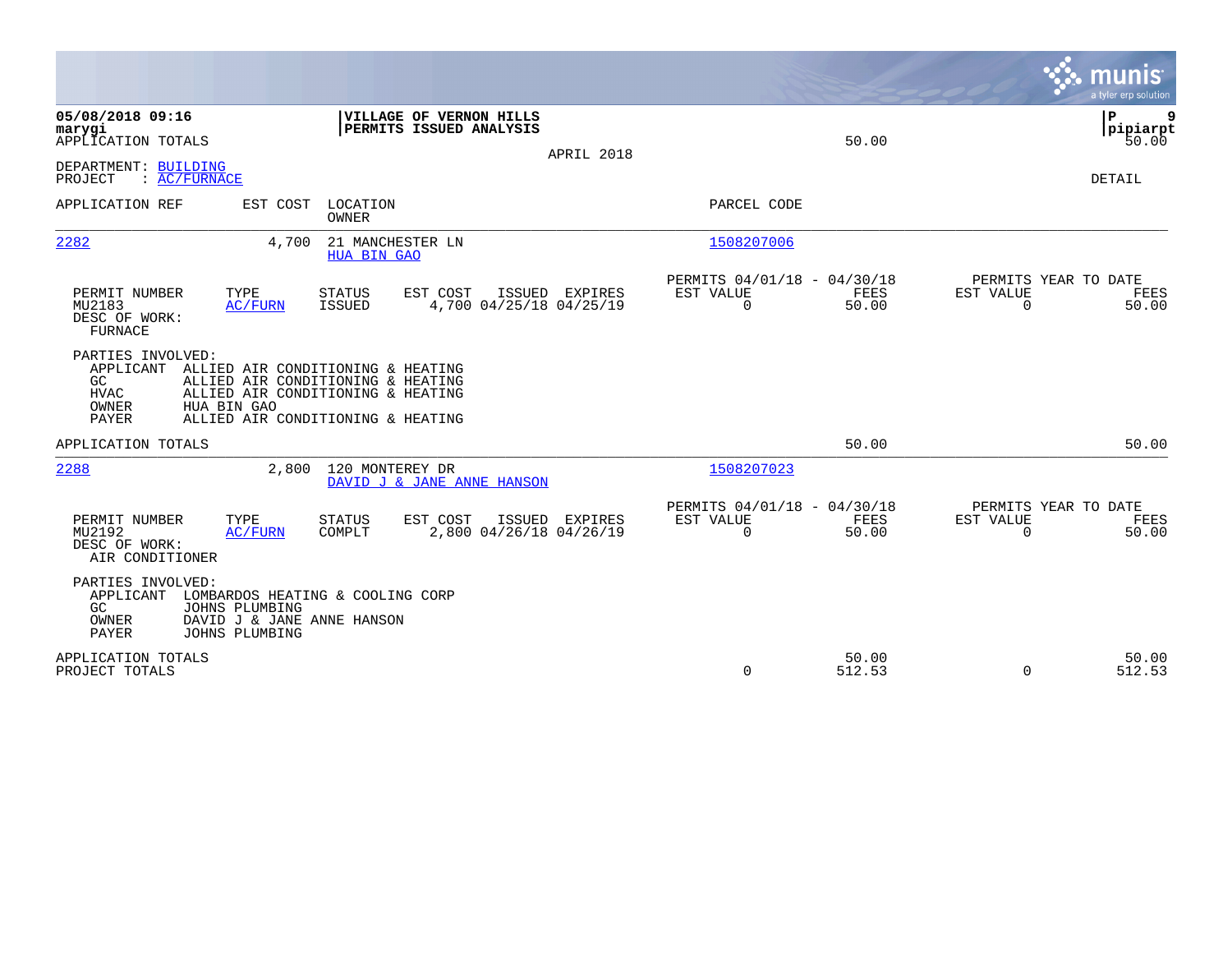|                                                                                                                                                                                                                                          |                                                                       | munis<br>a tyler erp solution                                     |
|------------------------------------------------------------------------------------------------------------------------------------------------------------------------------------------------------------------------------------------|-----------------------------------------------------------------------|-------------------------------------------------------------------|
| 05/08/2018 09:16<br>VILLAGE OF VERNON HILLS<br>PERMITS ISSUED ANALYSIS<br>marygi<br>APPLICATION TOTALS<br>APRIL 2018                                                                                                                     | 50.00                                                                 | P<br>9<br> pipiarpt<br>50.00                                      |
| DEPARTMENT: BUILDING<br>: AC/FURNACE<br>PROJECT                                                                                                                                                                                          |                                                                       | <b>DETAIL</b>                                                     |
| LOCATION<br>APPLICATION REF<br>EST COST<br><b>OWNER</b>                                                                                                                                                                                  | PARCEL CODE                                                           |                                                                   |
| 2282<br>21 MANCHESTER LN<br>4,700<br><b>HUA BIN GAO</b>                                                                                                                                                                                  | 1508207006                                                            |                                                                   |
| PERMIT NUMBER<br>TYPE<br><b>STATUS</b><br>EST COST<br>ISSUED EXPIRES<br>4,700 04/25/18 04/25/19<br>MU2183<br><b>ISSUED</b><br>AC/FURN<br>DESC OF WORK:<br>FURNACE                                                                        | PERMITS 04/01/18 - 04/30/18<br>EST VALUE<br>FEES<br>$\Omega$<br>50.00 | PERMITS YEAR TO DATE<br>EST VALUE<br>FEES<br>$\mathbf 0$<br>50.00 |
| PARTIES INVOLVED:<br>APPLICANT<br>ALLIED AIR CONDITIONING & HEATING<br>GC<br>ALLIED AIR CONDITIONING & HEATING<br><b>HVAC</b><br>ALLIED AIR CONDITIONING & HEATING<br>OWNER<br>HUA BIN GAO<br>PAYER<br>ALLIED AIR CONDITIONING & HEATING |                                                                       |                                                                   |
| APPLICATION TOTALS                                                                                                                                                                                                                       | 50.00                                                                 | 50.00                                                             |
| 2288<br>120 MONTEREY DR<br>2,800<br>DAVID J & JANE ANNE HANSON                                                                                                                                                                           | 1508207023                                                            |                                                                   |
| PERMIT NUMBER<br>TYPE<br>EST COST<br><b>STATUS</b><br>ISSUED<br>EXPIRES<br>2,800 04/26/18 04/26/19<br>MU2192<br>AC/FURN<br>COMPLT<br>DESC OF WORK:<br>AIR CONDITIONER                                                                    | PERMITS 04/01/18 - 04/30/18<br>EST VALUE<br>FEES<br>$\Omega$<br>50.00 | PERMITS YEAR TO DATE<br>EST VALUE<br>FEES<br>$\Omega$<br>50.00    |
| PARTIES INVOLVED:<br>APPLICANT<br>LOMBARDOS HEATING & COOLING CORP<br>GC.<br>JOHNS PLUMBING<br>OWNER<br>DAVID J & JANE ANNE HANSON<br>PAYER<br>JOHNS PLUMBING                                                                            |                                                                       |                                                                   |
| APPLICATION TOTALS<br>PROJECT TOTALS                                                                                                                                                                                                     | 50.00<br>$\Omega$<br>512.53                                           | 50.00<br>$\Omega$<br>512.53                                       |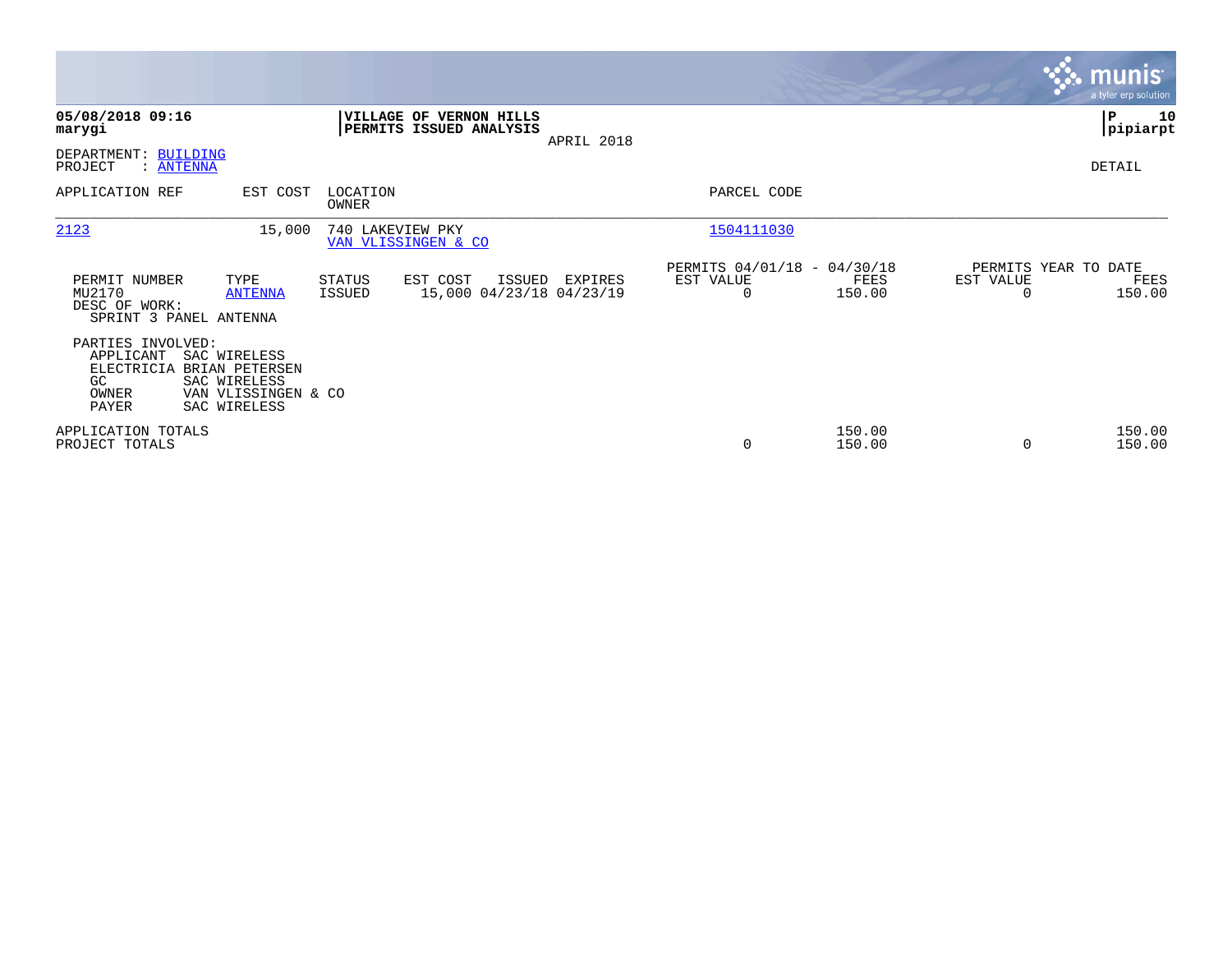|                                                                      |                                                                                              |                   |                                                           |            |                                                      |                  |                                   | <b>munis</b><br>a tyler erp solution |
|----------------------------------------------------------------------|----------------------------------------------------------------------------------------------|-------------------|-----------------------------------------------------------|------------|------------------------------------------------------|------------------|-----------------------------------|--------------------------------------|
| 05/08/2018 09:16<br>marygi                                           |                                                                                              |                   | <b>VILLAGE OF VERNON HILLS</b><br>PERMITS ISSUED ANALYSIS | APRIL 2018 |                                                      |                  |                                   | ∣P<br>10<br> pipiarpt                |
| DEPARTMENT: BUILDING<br>PROJECT<br>: ANTENNA                         |                                                                                              |                   |                                                           |            |                                                      |                  |                                   | DETAIL                               |
| APPLICATION REF                                                      | EST COST                                                                                     | LOCATION<br>OWNER |                                                           |            | PARCEL CODE                                          |                  |                                   |                                      |
| 2123                                                                 | 15,000                                                                                       | 740 LAKEVIEW PKY  | VAN VLISSINGEN & CO                                       |            | 1504111030                                           |                  |                                   |                                      |
| PERMIT NUMBER<br>MU2170<br>DESC OF WORK:<br>SPRINT 3 PANEL ANTENNA   | TYPE<br><b>ANTENNA</b>                                                                       | STATUS<br>ISSUED  | EST COST<br>ISSUED<br>15,000 04/23/18 04/23/19            | EXPIRES    | PERMITS 04/01/18 - 04/30/18<br>EST VALUE<br>$\Omega$ | FEES<br>150.00   | PERMITS YEAR TO DATE<br>EST VALUE | FEES<br>150.00                       |
| PARTIES INVOLVED:<br>APPLICANT<br>ELECTRICIA<br>GC<br>OWNER<br>PAYER | SAC WIRELESS<br><b>BRIAN PETERSEN</b><br>SAC WIRELESS<br>VAN VLISSINGEN & CO<br>SAC WIRELESS |                   |                                                           |            |                                                      |                  |                                   |                                      |
| APPLICATION TOTALS<br>PROJECT TOTALS                                 |                                                                                              |                   |                                                           |            | 0                                                    | 150.00<br>150.00 | $\Omega$                          | 150.00<br>150.00                     |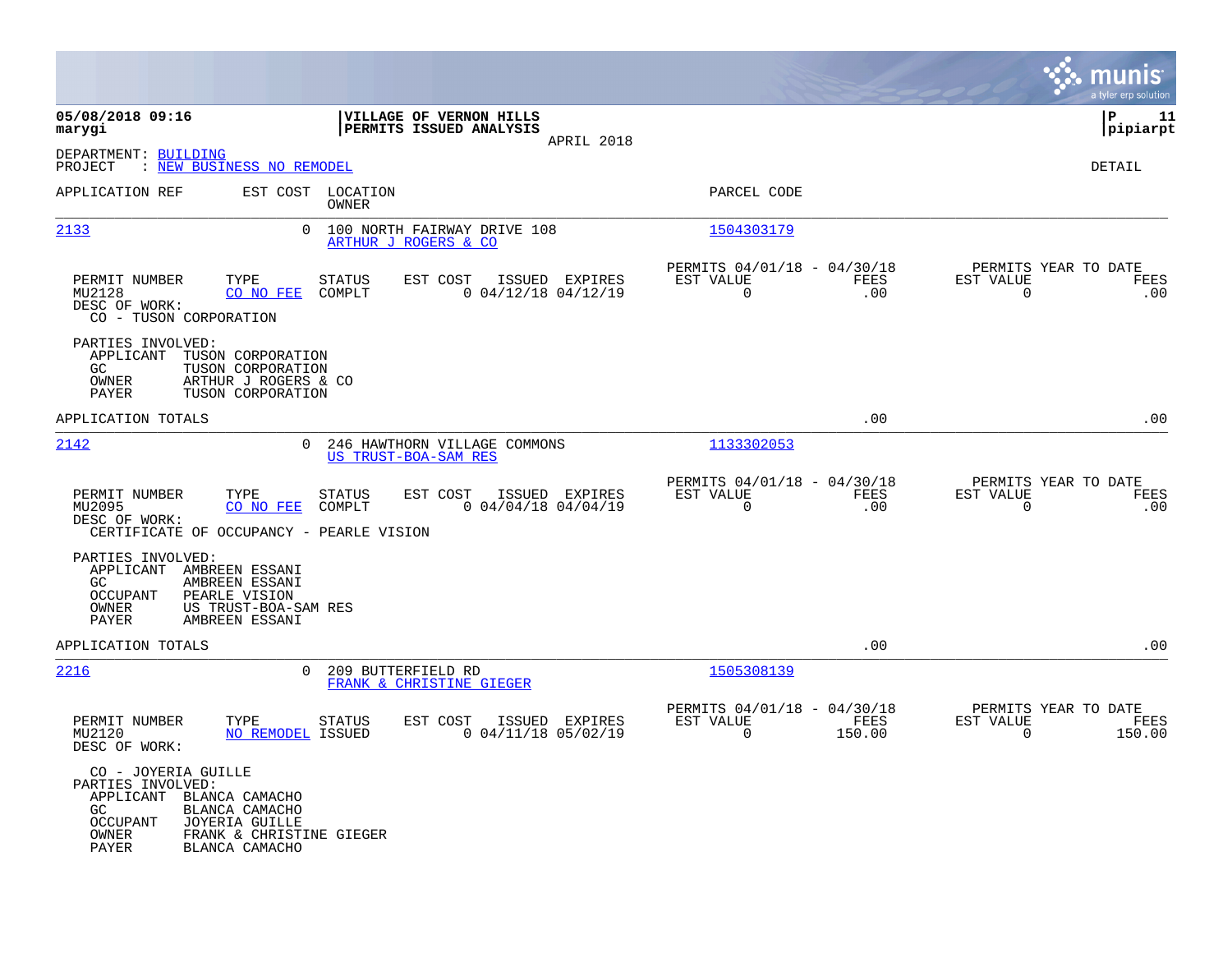|                                                                                                                                                                                                                  |                                                                                                  |                                                                           | munis<br>a tyler erp solution                                   |
|------------------------------------------------------------------------------------------------------------------------------------------------------------------------------------------------------------------|--------------------------------------------------------------------------------------------------|---------------------------------------------------------------------------|-----------------------------------------------------------------|
| 05/08/2018 09:16<br>marygi                                                                                                                                                                                       | VILLAGE OF VERNON HILLS<br>PERMITS ISSUED ANALYSIS<br>APRIL 2018                                 |                                                                           | l P<br>11<br> pipiarpt                                          |
| DEPARTMENT: BUILDING<br>: NEW BUSINESS NO REMODEL<br>PROJECT                                                                                                                                                     |                                                                                                  |                                                                           | DETAIL                                                          |
| APPLICATION REF                                                                                                                                                                                                  | EST COST LOCATION<br><b>OWNER</b>                                                                | PARCEL CODE                                                               |                                                                 |
| 2133                                                                                                                                                                                                             | $\Omega$<br>100 NORTH FAIRWAY DRIVE 108<br>ARTHUR J ROGERS & CO                                  | 1504303179                                                                |                                                                 |
| PERMIT NUMBER<br>TYPE<br>MU2128<br>CO NO FEE<br>DESC OF WORK:<br>CO - TUSON CORPORATION                                                                                                                          | STATUS<br>EST COST<br>ISSUED EXPIRES<br>COMPLT<br>$0$ 04/12/18 04/12/19                          | PERMITS 04/01/18 - 04/30/18<br>EST VALUE<br>FEES<br>$\overline{0}$<br>.00 | PERMITS YEAR TO DATE<br>EST VALUE<br>FEES<br>.00<br>$\mathbf 0$ |
| PARTIES INVOLVED:<br>APPLICANT<br>TUSON CORPORATION<br>TUSON CORPORATION<br>GC.<br>OWNER<br>ARTHUR J ROGERS & CO<br><b>PAYER</b><br>TUSON CORPORATION                                                            |                                                                                                  |                                                                           |                                                                 |
| APPLICATION TOTALS                                                                                                                                                                                               |                                                                                                  | .00                                                                       | .00                                                             |
| 2142                                                                                                                                                                                                             | $\Omega$<br>246 HAWTHORN VILLAGE COMMONS<br><b>US TRUST-BOA-SAM RES</b>                          | 1133302053                                                                |                                                                 |
| PERMIT NUMBER<br>TYPE<br>MU2095<br>CO NO FEE<br>DESC OF WORK:<br>CERTIFICATE OF OCCUPANCY - PEARLE VISION                                                                                                        | <b>STATUS</b><br>EST COST<br>ISSUED EXPIRES<br>COMPLT<br>$0$ 04/04/18 04/04/19                   | PERMITS 04/01/18 - 04/30/18<br>EST VALUE<br>FEES<br>$\Omega$<br>.00       | PERMITS YEAR TO DATE<br>EST VALUE<br>FEES<br>.00<br>0           |
| PARTIES INVOLVED:<br>APPLICANT AMBREEN ESSANI<br>AMBREEN ESSANI<br>GC.<br>PEARLE VISION<br><b>OCCUPANT</b><br>US TRUST-BOA-SAM RES<br>OWNER<br>AMBREEN ESSANI<br><b>PAYER</b>                                    |                                                                                                  |                                                                           |                                                                 |
| APPLICATION TOTALS                                                                                                                                                                                               |                                                                                                  | .00                                                                       | .00                                                             |
| 2216                                                                                                                                                                                                             | 209 BUTTERFIELD RD<br>$\Omega$<br>FRANK & CHRISTINE GIEGER                                       | 1505308139                                                                |                                                                 |
| PERMIT NUMBER<br>TYPE<br>MU2120<br>DESC OF WORK:                                                                                                                                                                 | <b>STATUS</b><br>EST COST<br>ISSUED EXPIRES<br><b>NO REMODEL ISSUED</b><br>$0$ 04/11/18 05/02/19 | PERMITS 04/01/18 - 04/30/18<br>EST VALUE<br>FEES<br>$\Omega$<br>150.00    | PERMITS YEAR TO DATE<br>EST VALUE<br>FEES<br>$\Omega$<br>150.00 |
| CO - JOYERIA GUILLE<br>PARTIES INVOLVED:<br>APPLICANT BLANCA CAMACHO<br>BLANCA CAMACHO<br>GC.<br><b>JOYERIA GUILLE</b><br><b>OCCUPANT</b><br>FRANK & CHRISTINE GIEGER<br>OWNER<br><b>PAYER</b><br>BLANCA CAMACHO |                                                                                                  |                                                                           |                                                                 |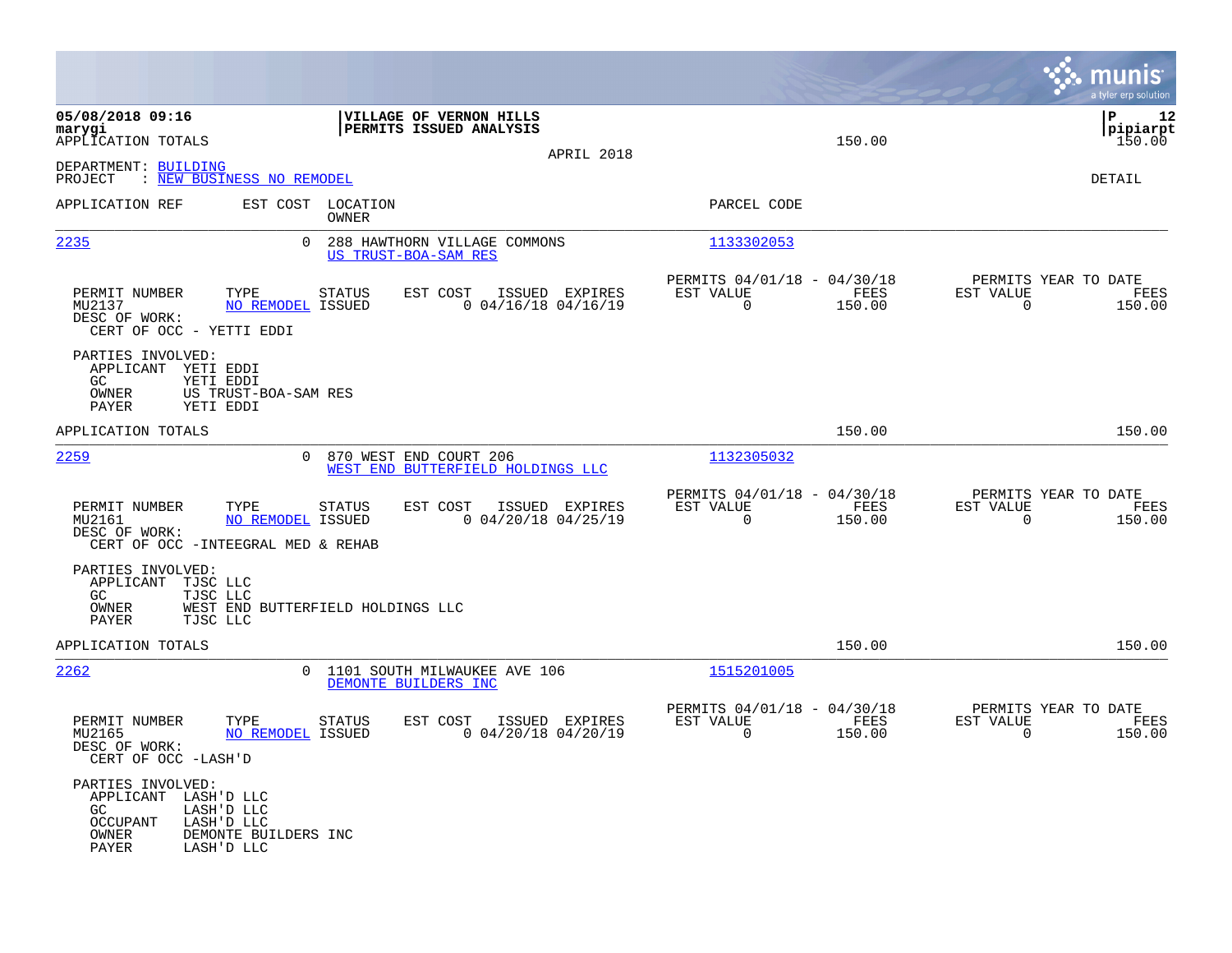|                                                                                                                                                        |                                                                         |                                         |                                                            |                | munis<br>a tyler erp solution                              |      |
|--------------------------------------------------------------------------------------------------------------------------------------------------------|-------------------------------------------------------------------------|-----------------------------------------|------------------------------------------------------------|----------------|------------------------------------------------------------|------|
| 05/08/2018 09:16<br>marygi<br>APPLICATION TOTALS                                                                                                       | VILLAGE OF VERNON HILLS<br>PERMITS ISSUED ANALYSIS                      |                                         |                                                            | 150.00         | l P<br> pipiarpt<br>150.00                                 | 12   |
| DEPARTMENT: BUILDING<br>: NEW BUSINESS NO REMODEL<br>PROJECT                                                                                           |                                                                         | APRIL 2018                              |                                                            |                | DETAIL                                                     |      |
| APPLICATION REF                                                                                                                                        | EST COST LOCATION<br>OWNER                                              |                                         | PARCEL CODE                                                |                |                                                            |      |
| 2235<br>$\Omega$                                                                                                                                       | 288 HAWTHORN VILLAGE COMMONS<br>US TRUST-BOA-SAM RES                    |                                         | 1133302053                                                 |                |                                                            |      |
| PERMIT NUMBER<br>TYPE<br>MU2137<br>NO REMODEL ISSUED<br>DESC OF WORK:<br>CERT OF OCC - YETTI EDDI                                                      | EST COST<br>STATUS                                                      | ISSUED EXPIRES<br>$0$ 04/16/18 04/16/19 | PERMITS 04/01/18 - 04/30/18<br>EST VALUE<br>$\overline{0}$ | FEES<br>150.00 | PERMITS YEAR TO DATE<br>EST VALUE<br>$\mathbf 0$<br>150.00 | FEES |
| PARTIES INVOLVED:<br>APPLICANT YETI EDDI<br>GC<br>YETI EDDI<br>OWNER<br>US TRUST-BOA-SAM RES<br>PAYER<br>YETI EDDI                                     |                                                                         |                                         |                                                            |                |                                                            |      |
| APPLICATION TOTALS                                                                                                                                     |                                                                         |                                         |                                                            | 150.00         | 150.00                                                     |      |
| 2259                                                                                                                                                   | $\Omega$<br>870 WEST END COURT 206<br>WEST END BUTTERFIELD HOLDINGS LLC |                                         | 1132305032                                                 |                |                                                            |      |
| PERMIT NUMBER<br>TYPE<br>NO REMODEL ISSUED<br>MU2161<br>DESC OF WORK:<br>CERT OF OCC - INTEEGRAL MED & REHAB                                           | EST COST<br><b>STATUS</b>                                               | ISSUED EXPIRES<br>$0$ 04/20/18 04/25/19 | PERMITS 04/01/18 - 04/30/18<br>EST VALUE<br>$\overline{0}$ | FEES<br>150.00 | PERMITS YEAR TO DATE<br>EST VALUE<br>$\mathbf 0$<br>150.00 | FEES |
| PARTIES INVOLVED:<br>APPLICANT<br>TJSC LLC<br>TJSC LLC<br>GC.<br>OWNER<br>PAYER<br>TJSC LLC                                                            | WEST END BUTTERFIELD HOLDINGS LLC                                       |                                         |                                                            |                |                                                            |      |
| APPLICATION TOTALS                                                                                                                                     |                                                                         |                                         |                                                            | 150.00         | 150.00                                                     |      |
| 2262<br>$\Omega$                                                                                                                                       | 1101 SOUTH MILWAUKEE AVE 106<br>DEMONTE BUILDERS INC                    |                                         | 1515201005                                                 |                |                                                            |      |
| PERMIT NUMBER<br>TYPE<br>MU2165<br><b>NO REMODEL ISSUED</b><br>DESC OF WORK:<br>CERT OF OCC -LASH'D                                                    | EST COST<br><b>STATUS</b>                                               | ISSUED EXPIRES<br>$0$ 04/20/18 04/20/19 | PERMITS 04/01/18 - 04/30/18<br>EST VALUE<br>$\Omega$       | FEES<br>150.00 | PERMITS YEAR TO DATE<br>EST VALUE<br>150.00<br>$\Omega$    | FEES |
| PARTIES INVOLVED:<br>APPLICANT LASH'D LLC<br>GC<br>LASH'D LLC<br><b>OCCUPANT</b><br>LASH'D LLC<br>DEMONTE BUILDERS INC<br>OWNER<br>PAYER<br>LASH'D LLC |                                                                         |                                         |                                                            |                |                                                            |      |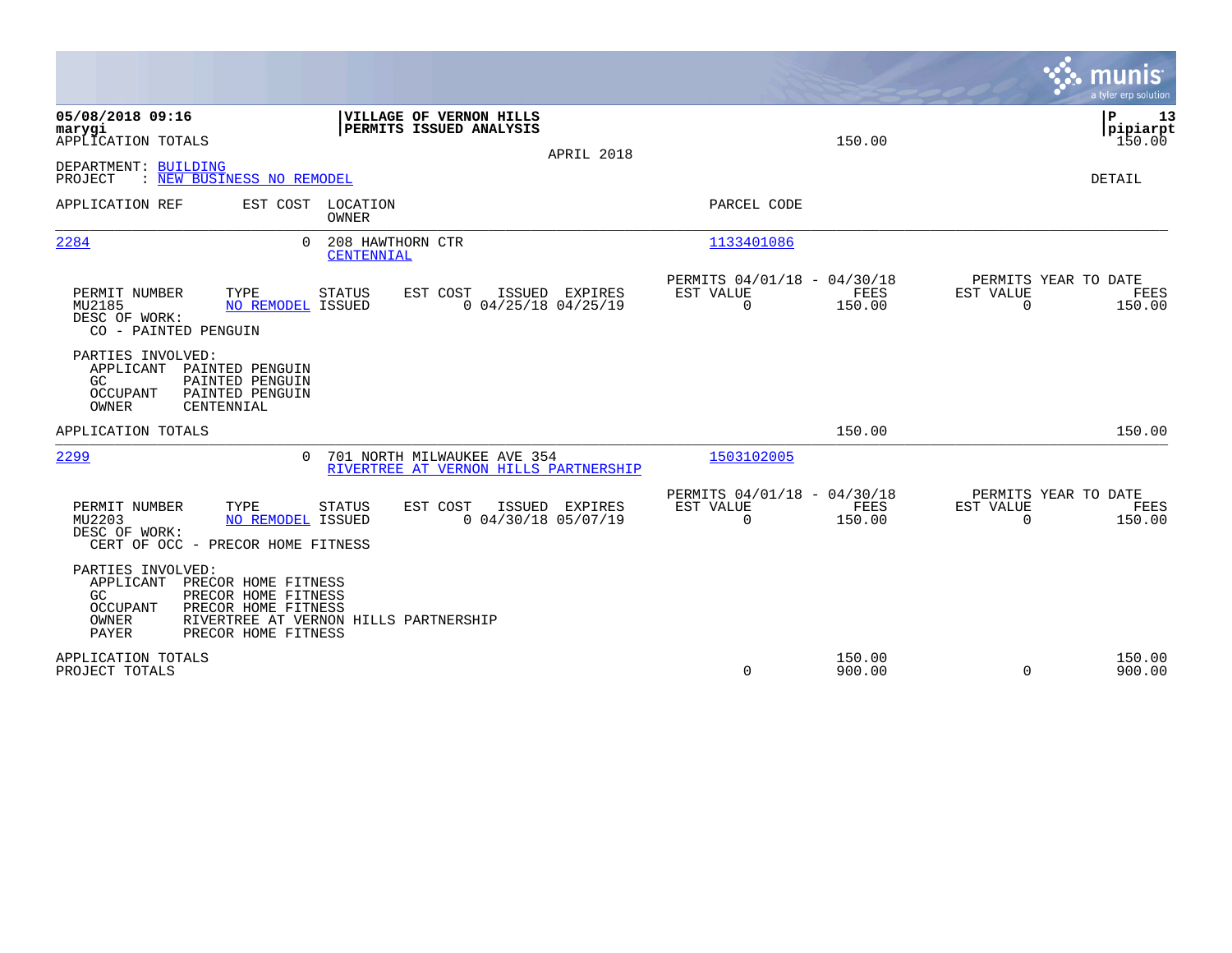|                                                                                                                                                                                                                 |                                                                                               | munis<br>a tyler erp solution                      |
|-----------------------------------------------------------------------------------------------------------------------------------------------------------------------------------------------------------------|-----------------------------------------------------------------------------------------------|----------------------------------------------------|
| 05/08/2018 09:16<br>VILLAGE OF VERNON HILLS<br>PERMITS ISSUED ANALYSIS<br>marygi<br>APPLICATION TOTALS<br>APRIL 2018                                                                                            | 150.00                                                                                        | ÞΡ<br>13<br> pipiarpt<br>150.00                    |
| DEPARTMENT: BUILDING<br>: NEW BUSINESS NO REMODEL<br>PROJECT                                                                                                                                                    |                                                                                               | <b>DETAIL</b>                                      |
| APPLICATION REF<br>EST COST LOCATION<br><b>OWNER</b>                                                                                                                                                            | PARCEL CODE                                                                                   |                                                    |
| 2284<br>208 HAWTHORN CTR<br>$\cap$<br>CENTENNIAL                                                                                                                                                                | 1133401086                                                                                    |                                                    |
| TYPE<br>PERMIT NUMBER<br><b>STATUS</b><br>EST COST<br>ISSUED EXPIRES<br>$0$ 04/25/18 04/25/19<br>MU2185<br>NO REMODEL ISSUED<br>DESC OF WORK:<br>CO - PAINTED PENGUIN                                           | PERMITS 04/01/18 - 04/30/18<br>EST VALUE<br>FEES<br>EST VALUE<br>$\Omega$<br>150.00           | PERMITS YEAR TO DATE<br>FEES<br>$\Omega$<br>150.00 |
| PARTIES INVOLVED:<br>APPLICANT<br>PAINTED PENGUIN<br>GC<br>PAINTED PENGUIN<br>PAINTED PENGUIN<br>OCCUPANT<br>OWNER<br>CENTENNIAL                                                                                |                                                                                               |                                                    |
| APPLICATION TOTALS                                                                                                                                                                                              | 150.00                                                                                        | 150.00                                             |
| 2299<br>701 NORTH MILWAUKEE AVE 354<br>$\Omega$<br>RIVERTREE AT VERNON HILLS PARTNERSHIP                                                                                                                        | 1503102005                                                                                    |                                                    |
| PERMIT NUMBER<br>TYPE<br><b>STATUS</b><br>EST COST<br>ISSUED EXPIRES<br>$0$ 04/30/18 05/07/19<br>MU2203<br>NO REMODEL ISSUED<br>DESC OF WORK:<br>CERT OF OCC - PRECOR HOME FITNESS                              | PERMITS 04/01/18 - 04/30/18<br>EST VALUE<br><b>EST VALUE</b><br>FEES<br>$\mathbf 0$<br>150.00 | PERMITS YEAR TO DATE<br>FEES<br>150.00<br>$\Omega$ |
| PARTIES INVOLVED:<br>APPLICANT<br>PRECOR HOME FITNESS<br>PRECOR HOME FITNESS<br>GC.<br>OCCUPANT<br>PRECOR HOME FITNESS<br>RIVERTREE AT VERNON HILLS PARTNERSHIP<br>OWNER<br><b>PAYER</b><br>PRECOR HOME FITNESS |                                                                                               |                                                    |
| APPLICATION TOTALS<br>PROJECT TOTALS                                                                                                                                                                            | 150.00<br>$\mathbf 0$<br>900.00                                                               | 150.00<br>$\mathbf 0$<br>900.00                    |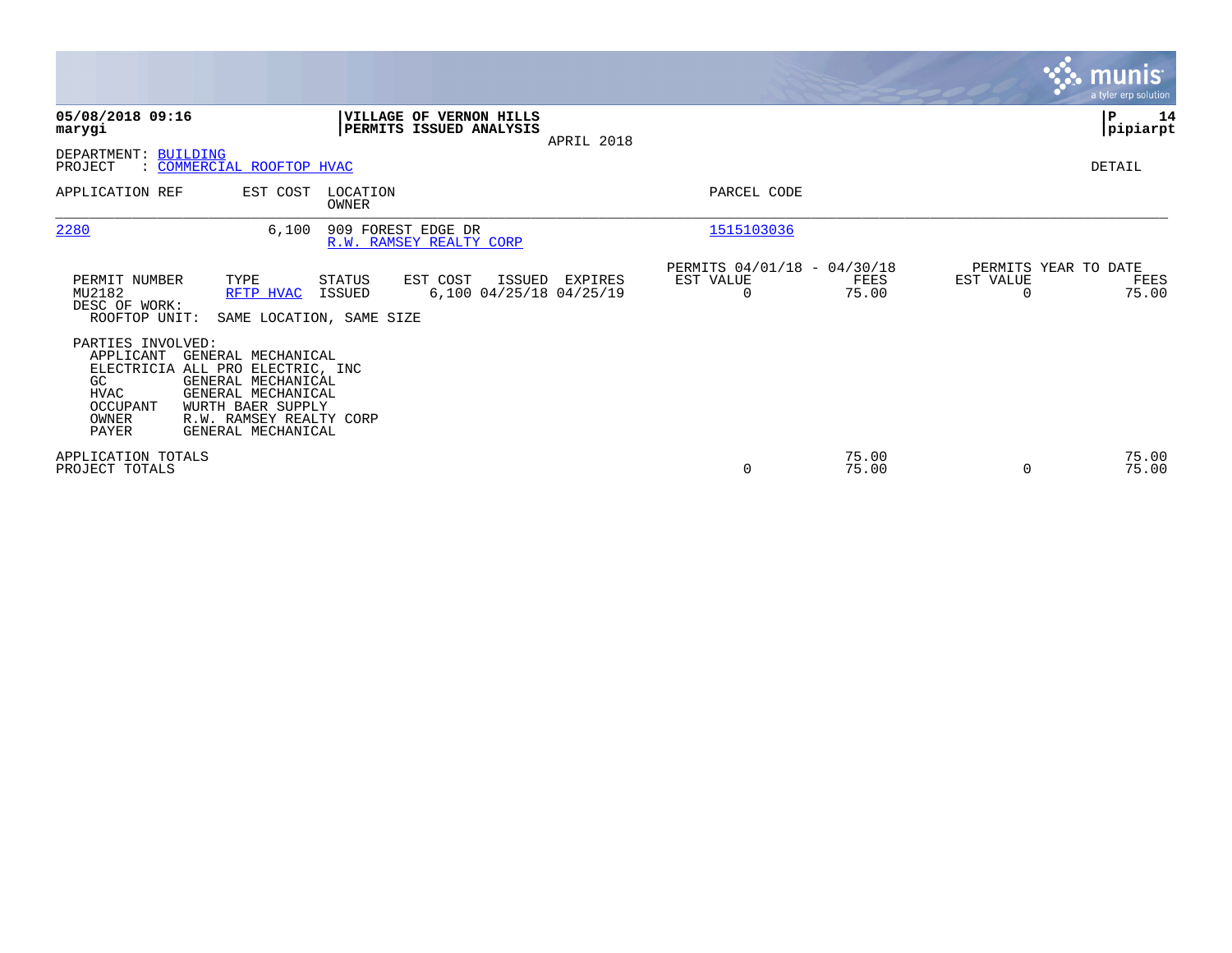|                                                                                   |                                                                                                                                                                          |                         |                                                    |            |                                                      |                |                       | <b>munis</b><br>a tyler erp solution  |
|-----------------------------------------------------------------------------------|--------------------------------------------------------------------------------------------------------------------------------------------------------------------------|-------------------------|----------------------------------------------------|------------|------------------------------------------------------|----------------|-----------------------|---------------------------------------|
| 05/08/2018 09:16<br>marygi                                                        |                                                                                                                                                                          |                         | VILLAGE OF VERNON HILLS<br>PERMITS ISSUED ANALYSIS | APRIL 2018 |                                                      |                |                       | $\mathbf P$<br>14<br> pipiarpt        |
| DEPARTMENT: BUILDING<br>PROJECT                                                   | : COMMERCIAL ROOFTOP HVAC                                                                                                                                                |                         |                                                    |            |                                                      |                |                       | DETAIL                                |
| APPLICATION REF                                                                   | EST COST                                                                                                                                                                 | LOCATION<br>OWNER       |                                                    |            | PARCEL CODE                                          |                |                       |                                       |
| 2280                                                                              | 6,100                                                                                                                                                                    | 909 FOREST EDGE DR      | R.W. RAMSEY REALTY CORP                            |            | 1515103036                                           |                |                       |                                       |
| PERMIT NUMBER<br>MU2182<br>DESC OF WORK:<br>ROOFTOP UNIT:                         | TYPE<br>RFTP HVAC<br>SAME LOCATION, SAME SIZE                                                                                                                            | <b>STATUS</b><br>ISSUED | EST COST<br>ISSUED<br>6,100 04/25/18 04/25/19      | EXPIRES    | PERMITS 04/01/18 - 04/30/18<br>EST VALUE<br>$\Omega$ | FEES<br>75.00  | EST VALUE<br>$\Omega$ | PERMITS YEAR TO DATE<br>FEES<br>75.00 |
| PARTIES INVOLVED:<br>APPLICANT<br>GC<br><b>HVAC</b><br>OCCUPANT<br>OWNER<br>PAYER | GENERAL MECHANICAL<br>ELECTRICIA ALL PRO ELECTRIC, INC<br>GENERAL MECHANICAL<br>GENERAL MECHANICAL<br>WURTH BAER SUPPLY<br>R.W. RAMSEY REALTY CORP<br>GENERAL MECHANICAL |                         |                                                    |            |                                                      |                |                       |                                       |
| APPLICATION TOTALS<br>PROJECT TOTALS                                              |                                                                                                                                                                          |                         |                                                    |            | 0                                                    | 75.00<br>75.00 | $\Omega$              | 75.00<br>75.00                        |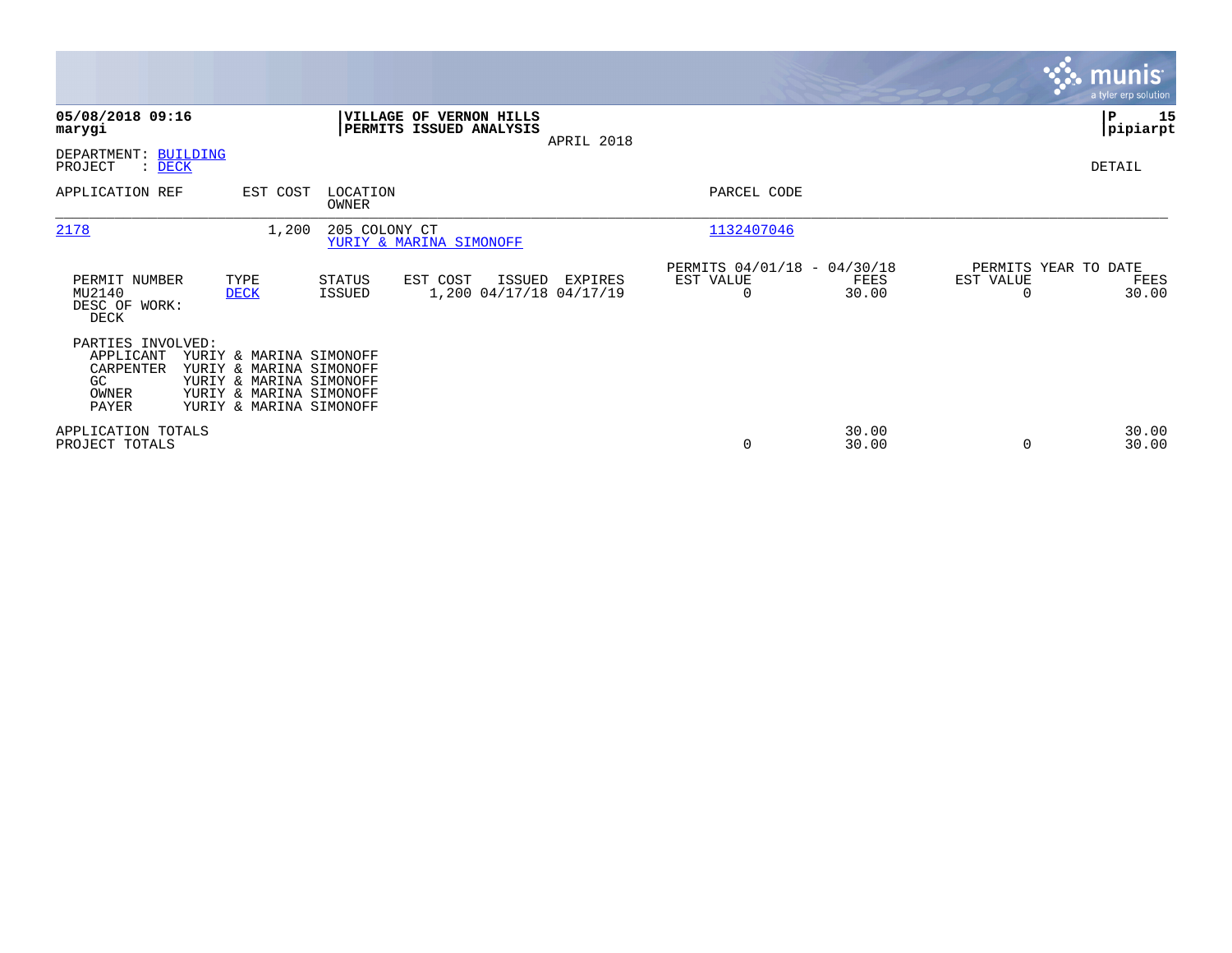|                                                                     |                                                                                                                                     |                         |                                                    |            |                                               |                |                                               | <b>munis</b><br>a tyler erp solution |
|---------------------------------------------------------------------|-------------------------------------------------------------------------------------------------------------------------------------|-------------------------|----------------------------------------------------|------------|-----------------------------------------------|----------------|-----------------------------------------------|--------------------------------------|
| 05/08/2018 09:16<br>marygi                                          |                                                                                                                                     |                         | VILLAGE OF VERNON HILLS<br>PERMITS ISSUED ANALYSIS | APRIL 2018 |                                               |                |                                               | P<br>15<br> pipiarpt                 |
| DEPARTMENT: BUILDING<br>PROJECT<br>: DECK                           |                                                                                                                                     |                         |                                                    |            |                                               |                |                                               | DETAIL                               |
| APPLICATION REF                                                     | EST COST                                                                                                                            | LOCATION<br>OWNER       |                                                    |            | PARCEL CODE                                   |                |                                               |                                      |
| 2178                                                                | 1,200                                                                                                                               | 205 COLONY CT           | YURIY & MARINA SIMONOFF                            |            | 1132407046                                    |                |                                               |                                      |
| PERMIT NUMBER<br>MU2140<br>DESC OF WORK:<br>DECK                    | TYPE<br><b>DECK</b>                                                                                                                 | <b>STATUS</b><br>ISSUED | EST COST<br>ISSUED<br>1,200 04/17/18 04/17/19      | EXPIRES    | PERMITS 04/01/18 - 04/30/18<br>EST VALUE<br>0 | FEES<br>30.00  | PERMITS YEAR TO DATE<br>EST VALUE<br>$\Omega$ | FEES<br>30.00                        |
| PARTIES INVOLVED:<br>APPLICANT<br>CARPENTER<br>GC<br>OWNER<br>PAYER | YURIY & MARINA SIMONOFF<br>YURIY & MARINA SIMONOFF<br>YURIY & MARINA SIMONOFF<br>YURIY & MARINA SIMONOFF<br>YURIY & MARINA SIMONOFF |                         |                                                    |            |                                               |                |                                               |                                      |
| APPLICATION TOTALS<br>PROJECT TOTALS                                |                                                                                                                                     |                         |                                                    |            | $\mathbf 0$                                   | 30.00<br>30.00 | 0                                             | 30.00<br>30.00                       |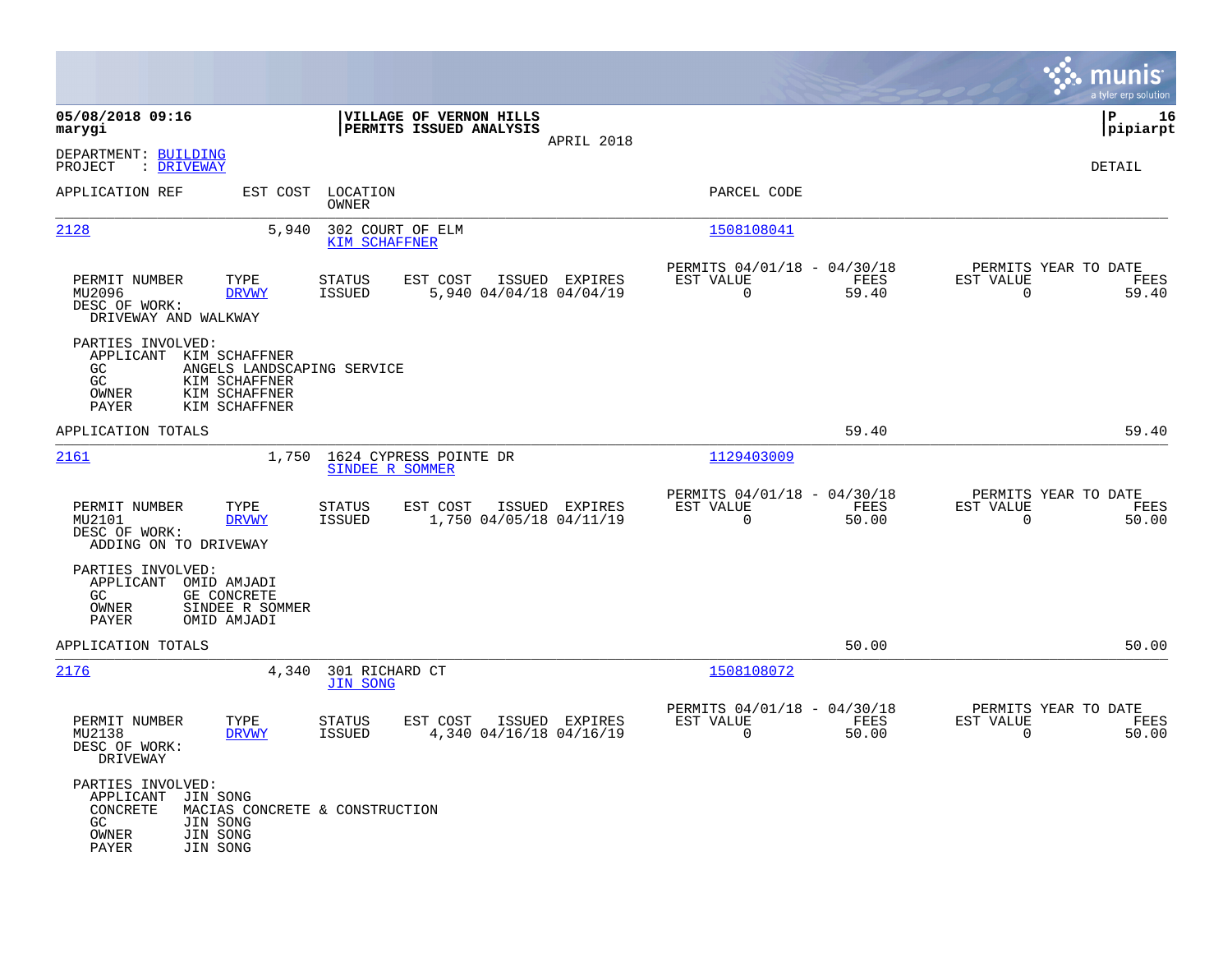|                                                                                                                                                                |                                                                                         |                                                                          | munis<br>a tyler erp solution                                  |
|----------------------------------------------------------------------------------------------------------------------------------------------------------------|-----------------------------------------------------------------------------------------|--------------------------------------------------------------------------|----------------------------------------------------------------|
| 05/08/2018 09:16<br>marygi                                                                                                                                     | VILLAGE OF VERNON HILLS<br>PERMITS ISSUED ANALYSIS<br>APRIL 2018                        |                                                                          | lР<br>16<br> pipiarpt                                          |
| DEPARTMENT: BUILDING<br>: DRIVEWAY<br>PROJECT                                                                                                                  |                                                                                         |                                                                          | <b>DETAIL</b>                                                  |
| APPLICATION REF<br>EST COST                                                                                                                                    | LOCATION<br><b>OWNER</b>                                                                | PARCEL CODE                                                              |                                                                |
| 2128<br>5,940                                                                                                                                                  | 302 COURT OF ELM<br><b>KIM SCHAFFNER</b>                                                | 1508108041                                                               |                                                                |
| PERMIT NUMBER<br>TYPE<br>MU2096<br><b>DRVWY</b><br>DESC OF WORK:<br>DRIVEWAY AND WALKWAY                                                                       | <b>STATUS</b><br>EST COST<br>ISSUED EXPIRES<br>5,940 04/04/18 04/04/19<br>ISSUED        | PERMITS 04/01/18 - 04/30/18<br>EST VALUE<br>FEES<br>$\mathbf 0$<br>59.40 | PERMITS YEAR TO DATE<br>EST VALUE<br>FEES<br>59.40<br>0        |
| PARTIES INVOLVED:<br>APPLICANT<br>KIM SCHAFFNER<br>ANGELS LANDSCAPING SERVICE<br>GC<br>GC<br>KIM SCHAFFNER<br>OWNER<br>KIM SCHAFFNER<br>PAYER<br>KIM SCHAFFNER |                                                                                         |                                                                          |                                                                |
| APPLICATION TOTALS                                                                                                                                             |                                                                                         | 59.40                                                                    | 59.40                                                          |
| 2161<br>1,750                                                                                                                                                  | 1624 CYPRESS POINTE DR<br>SINDEE R SOMMER                                               | 1129403009                                                               |                                                                |
| PERMIT NUMBER<br>TYPE<br>MU2101<br><b>DRVWY</b><br>DESC OF WORK:<br>ADDING ON TO DRIVEWAY                                                                      | EST COST<br>ISSUED EXPIRES<br><b>STATUS</b><br>1,750 04/05/18 04/11/19<br><b>ISSUED</b> | PERMITS 04/01/18 - 04/30/18<br>EST VALUE<br>FEES<br>$\mathbf 0$<br>50.00 | PERMITS YEAR TO DATE<br>EST VALUE<br>FEES<br>50.00<br>0        |
| PARTIES INVOLVED:<br>APPLICANT OMID AMJADI<br>GE CONCRETE<br>GC<br>OWNER<br>SINDEE R SOMMER<br>PAYER<br>OMID AMJADI                                            |                                                                                         |                                                                          |                                                                |
| APPLICATION TOTALS                                                                                                                                             |                                                                                         | 50.00                                                                    | 50.00                                                          |
| 2176<br>4,340                                                                                                                                                  | 301 RICHARD CT<br><b>JIN SONG</b>                                                       | 1508108072                                                               |                                                                |
| PERMIT NUMBER<br>TYPE<br>MU2138<br><b>DRVWY</b><br>DESC OF WORK:<br>DRIVEWAY                                                                                   | <b>STATUS</b><br>EST COST<br>ISSUED EXPIRES<br>4,340 04/16/18 04/16/19<br><b>ISSUED</b> | PERMITS 04/01/18 - 04/30/18<br>EST VALUE<br>FEES<br>$\Omega$<br>50.00    | PERMITS YEAR TO DATE<br>EST VALUE<br>FEES<br>$\Omega$<br>50.00 |
| PARTIES INVOLVED:<br>APPLICANT<br>JIN SONG<br>CONCRETE<br>GC<br>JIN SONG<br>JIN SONG<br>OWNER<br>JIN SONG<br>PAYER                                             | MACIAS CONCRETE & CONSTRUCTION                                                          |                                                                          |                                                                |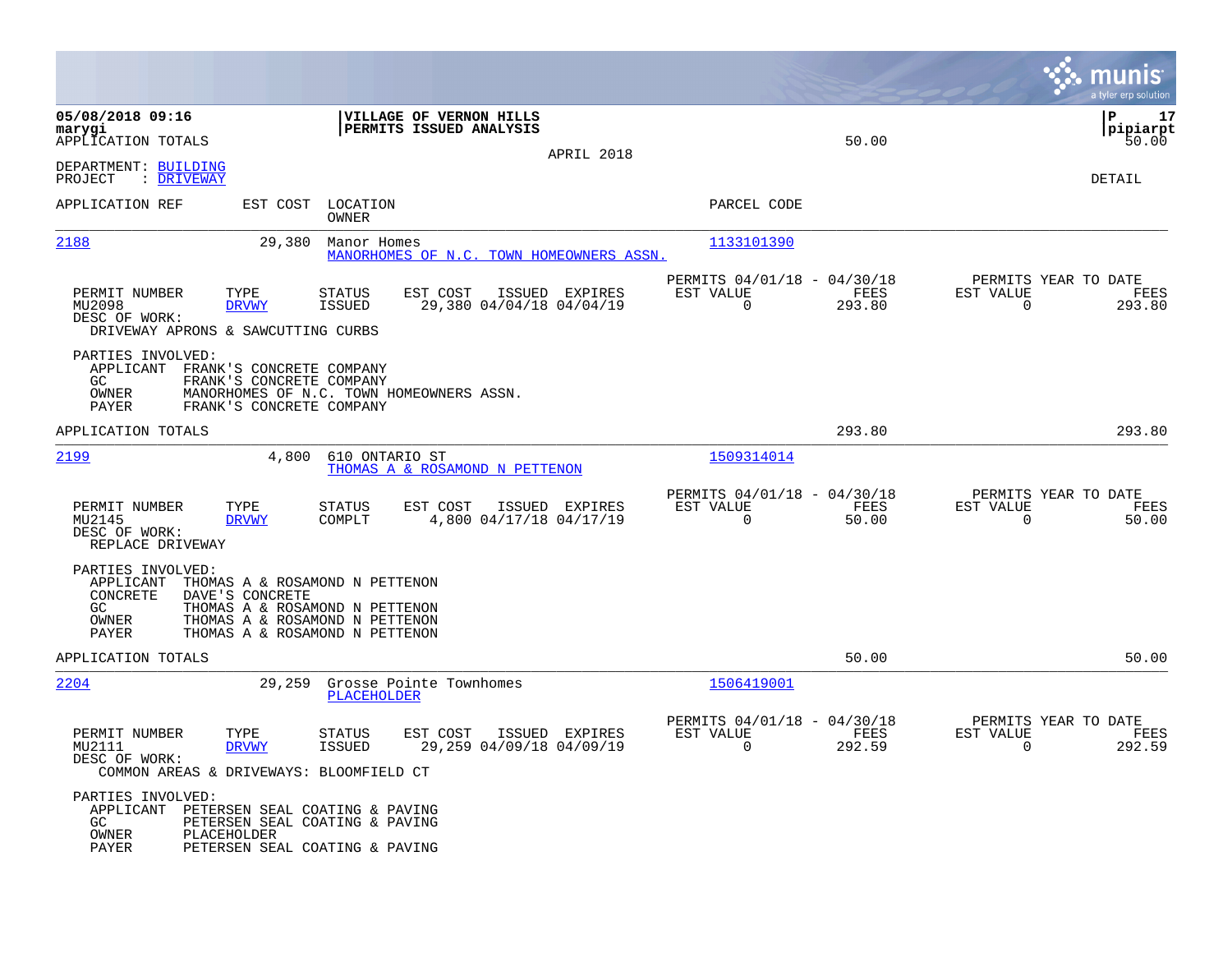|                                                                                     |                                                                                                                                                         |                                                         |                                            |                                                      |                       |                                                  | munis<br>a tyler erp solution |
|-------------------------------------------------------------------------------------|---------------------------------------------------------------------------------------------------------------------------------------------------------|---------------------------------------------------------|--------------------------------------------|------------------------------------------------------|-----------------------|--------------------------------------------------|-------------------------------|
| 05/08/2018 09:16<br>marygi<br>APPLICATION TOTALS                                    |                                                                                                                                                         | VILLAGE OF VERNON HILLS<br>PERMITS ISSUED ANALYSIS      |                                            |                                                      | 50.00                 |                                                  | P<br>17<br> pipiarpt<br>50.00 |
| DEPARTMENT: BUILDING<br>PROJECT<br>: DRIVEWAY                                       |                                                                                                                                                         |                                                         | APRIL 2018                                 |                                                      |                       |                                                  | DETAIL                        |
| APPLICATION REF                                                                     | EST COST                                                                                                                                                | LOCATION<br>OWNER                                       |                                            | PARCEL CODE                                          |                       |                                                  |                               |
| 2188                                                                                | 29,380                                                                                                                                                  | Manor Homes<br>MANORHOMES OF N.C. TOWN HOMEOWNERS ASSN. |                                            | 1133101390                                           |                       |                                                  |                               |
| PERMIT NUMBER<br>MU2098<br>DESC OF WORK:<br>DRIVEWAY APRONS & SAWCUTTING CURBS      | TYPE<br>STATUS<br><b>ISSUED</b><br><b>DRVWY</b>                                                                                                         | EST COST                                                | ISSUED EXPIRES<br>29,380 04/04/18 04/04/19 | PERMITS 04/01/18 - 04/30/18<br>EST VALUE<br>$\Omega$ | <b>FEES</b><br>293.80 | PERMITS YEAR TO DATE<br>EST VALUE<br>$\mathbf 0$ | FEES<br>293.80                |
| PARTIES INVOLVED:<br>APPLICANT<br>GC<br>OWNER<br>PAYER                              | FRANK'S CONCRETE COMPANY<br>FRANK'S CONCRETE COMPANY<br>MANORHOMES OF N.C. TOWN HOMEOWNERS ASSN.<br>FRANK'S CONCRETE COMPANY                            |                                                         |                                            |                                                      |                       |                                                  |                               |
| APPLICATION TOTALS                                                                  |                                                                                                                                                         |                                                         |                                            |                                                      | 293.80                |                                                  | 293.80                        |
| 2199                                                                                | 4,800                                                                                                                                                   | 610 ONTARIO ST<br>THOMAS A & ROSAMOND N PETTENON        |                                            | 1509314014                                           |                       |                                                  |                               |
| PERMIT NUMBER<br>MU2145<br>DESC OF WORK:<br>REPLACE DRIVEWAY                        | TYPE<br><b>STATUS</b><br>COMPLT<br><b>DRVWY</b>                                                                                                         | EST COST                                                | ISSUED EXPIRES<br>4,800 04/17/18 04/17/19  | PERMITS 04/01/18 - 04/30/18<br>EST VALUE<br>0        | FEES<br>50.00         | PERMITS YEAR TO DATE<br>EST VALUE<br>$\mathbf 0$ | FEES<br>50.00                 |
| PARTIES INVOLVED:<br>APPLICANT<br>CONCRETE<br>GC<br>OWNER<br>PAYER                  | THOMAS A & ROSAMOND N PETTENON<br>DAVE'S CONCRETE<br>THOMAS A & ROSAMOND N PETTENON<br>THOMAS A & ROSAMOND N PETTENON<br>THOMAS A & ROSAMOND N PETTENON |                                                         |                                            |                                                      |                       |                                                  |                               |
| APPLICATION TOTALS                                                                  |                                                                                                                                                         |                                                         |                                            |                                                      | 50.00                 |                                                  | 50.00                         |
| 2204                                                                                | 29,259                                                                                                                                                  | Grosse Pointe Townhomes<br>PLACEHOLDER                  |                                            | 1506419001                                           |                       |                                                  |                               |
| PERMIT NUMBER<br>MU2111<br>DESC OF WORK:<br>COMMON AREAS & DRIVEWAYS: BLOOMFIELD CT | TYPE<br><b>STATUS</b><br><b>DRVWY</b><br><b>ISSUED</b>                                                                                                  | EST COST                                                | ISSUED EXPIRES<br>29,259 04/09/18 04/09/19 | PERMITS 04/01/18 - 04/30/18<br>EST VALUE<br>$\Omega$ | FEES<br>292.59        | PERMITS YEAR TO DATE<br>EST VALUE<br>$\mathbf 0$ | FEES<br>292.59                |
| PARTIES INVOLVED:<br>APPLICANT<br>GC<br>OWNER<br>PLACEHOLDER<br>PAYER               | PETERSEN SEAL COATING & PAVING<br>PETERSEN SEAL COATING & PAVING<br>PETERSEN SEAL COATING & PAVING                                                      |                                                         |                                            |                                                      |                       |                                                  |                               |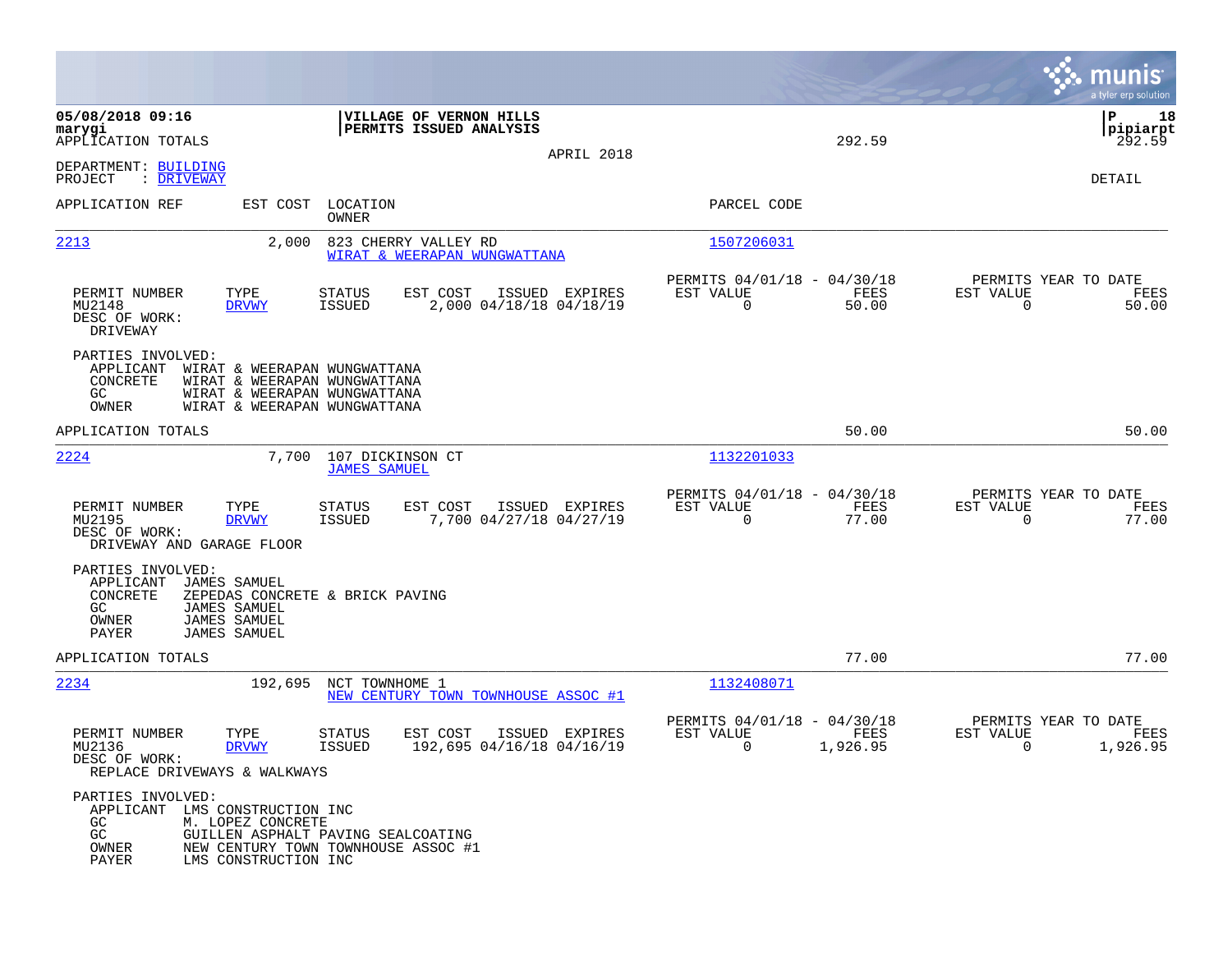|                                                                                                                                                                 |                                                                                                                              |                                              |                                                         |                  | munis<br>a tyler erp solution                                     |
|-----------------------------------------------------------------------------------------------------------------------------------------------------------------|------------------------------------------------------------------------------------------------------------------------------|----------------------------------------------|---------------------------------------------------------|------------------|-------------------------------------------------------------------|
| 05/08/2018 09:16<br>marygi<br>APPLICATION TOTALS                                                                                                                | VILLAGE OF VERNON HILLS<br>PERMITS ISSUED ANALYSIS                                                                           | APRIL 2018                                   |                                                         | 292.59           | P<br>18<br> pipiarpt<br>292.59                                    |
| DEPARTMENT: BUILDING<br>: DRIVEWAY<br>PROJECT                                                                                                                   |                                                                                                                              |                                              |                                                         |                  | DETAIL                                                            |
| APPLICATION REF                                                                                                                                                 | LOCATION<br>EST COST<br>OWNER                                                                                                |                                              | PARCEL CODE                                             |                  |                                                                   |
| 2213                                                                                                                                                            | 2,000<br>823 CHERRY VALLEY RD<br>WIRAT & WEERAPAN WUNGWATTANA                                                                |                                              | 1507206031                                              |                  |                                                                   |
| PERMIT NUMBER<br>TYPE<br>MU2148<br><b>DRVWY</b><br>DESC OF WORK:<br>DRIVEWAY                                                                                    | EST COST<br>STATUS<br>ISSUED                                                                                                 | ISSUED<br>EXPIRES<br>2,000 04/18/18 04/18/19 | PERMITS 04/01/18 - 04/30/18<br>EST VALUE<br>0           | FEES<br>50.00    | PERMITS YEAR TO DATE<br>EST VALUE<br>FEES<br>$\mathbf 0$<br>50.00 |
| PARTIES INVOLVED:<br>APPLICANT<br>CONCRETE<br>GC.<br>OWNER                                                                                                      | WIRAT & WEERAPAN WUNGWATTANA<br>WIRAT & WEERAPAN WUNGWATTANA<br>WIRAT & WEERAPAN WUNGWATTANA<br>WIRAT & WEERAPAN WUNGWATTANA |                                              |                                                         |                  |                                                                   |
| APPLICATION TOTALS                                                                                                                                              |                                                                                                                              |                                              |                                                         | 50.00            | 50.00                                                             |
| 2224                                                                                                                                                            | 107 DICKINSON CT<br>7,700<br><b>JAMES SAMUEL</b>                                                                             |                                              | 1132201033                                              |                  |                                                                   |
| PERMIT NUMBER<br>TYPE<br>MU2195<br><b>DRVWY</b><br>DESC OF WORK:<br>DRIVEWAY AND GARAGE FLOOR                                                                   | EST COST<br>STATUS<br><b>ISSUED</b>                                                                                          | ISSUED EXPIRES<br>7,700 04/27/18 04/27/19    | PERMITS 04/01/18 - 04/30/18<br>EST VALUE<br>$\mathbf 0$ | FEES<br>77.00    | PERMITS YEAR TO DATE<br>EST VALUE<br>FEES<br>$\mathbf 0$<br>77.00 |
| PARTIES INVOLVED:<br>APPLICANT<br><b>JAMES SAMUEL</b><br>CONCRETE<br>GC.<br><b>JAMES SAMUEL</b><br>OWNER<br><b>JAMES SAMUEL</b><br>PAYER<br><b>JAMES SAMUEL</b> | ZEPEDAS CONCRETE & BRICK PAVING                                                                                              |                                              |                                                         |                  |                                                                   |
| APPLICATION TOTALS                                                                                                                                              |                                                                                                                              |                                              |                                                         | 77.00            | 77.00                                                             |
| 2234                                                                                                                                                            | 192,695<br>NCT TOWNHOME 1<br>NEW CENTURY TOWN TOWNHOUSE ASSOC #1                                                             |                                              | 1132408071                                              |                  |                                                                   |
| PERMIT NUMBER<br>TYPE<br>MU2136<br><b>DRVWY</b><br>DESC OF WORK:<br>REPLACE DRIVEWAYS & WALKWAYS                                                                | <b>STATUS</b><br>EST COST<br><b>ISSUED</b>                                                                                   | ISSUED EXPIRES<br>192,695 04/16/18 04/16/19  | PERMITS 04/01/18 - 04/30/18<br>EST VALUE<br>0           | FEES<br>1,926.95 | PERMITS YEAR TO DATE<br>EST VALUE<br>FEES<br>1,926.95<br>0        |
| PARTIES INVOLVED:<br>APPLICANT LMS CONSTRUCTION INC<br>GC<br>M. LOPEZ CONCRETE<br>GC<br>OWNER<br>PAYER                                                          | GUILLEN ASPHALT PAVING SEALCOATING<br>NEW CENTURY TOWN TOWNHOUSE ASSOC #1<br>LMS CONSTRUCTION INC                            |                                              |                                                         |                  |                                                                   |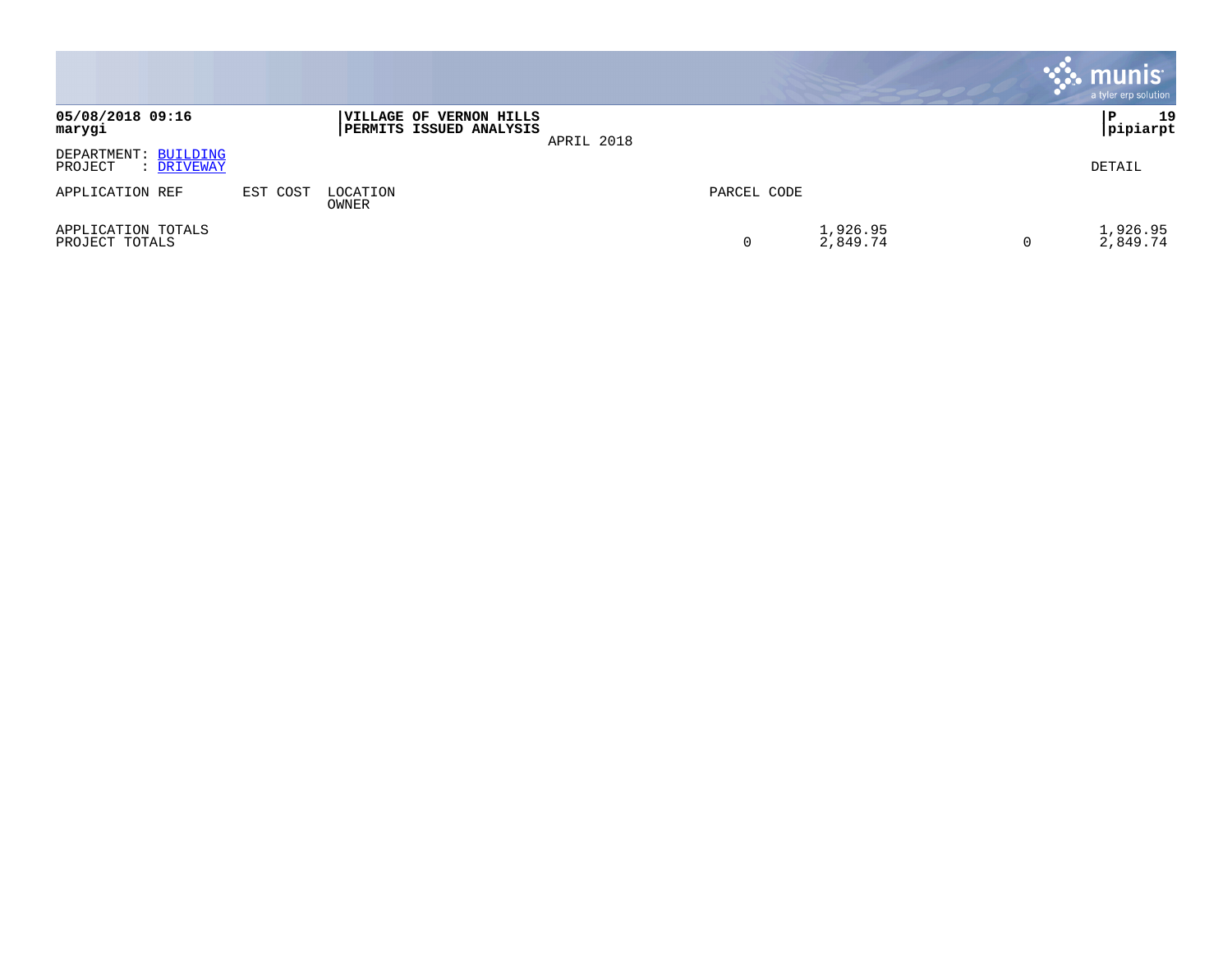|                                               |          |                                                           |            |             |                      |   | $\cdot$ munis $\cdot$<br>a tyler erp solution |
|-----------------------------------------------|----------|-----------------------------------------------------------|------------|-------------|----------------------|---|-----------------------------------------------|
| 05/08/2018 09:16<br>marygi                    |          | <b>VILLAGE OF VERNON HILLS</b><br>PERMITS ISSUED ANALYSIS | APRIL 2018 |             |                      |   | 19<br>P<br> pipiarpt                          |
| DEPARTMENT: BUILDING<br>PROJECT<br>: DRIVEWAY |          |                                                           |            |             |                      |   | DETAIL                                        |
| APPLICATION REF                               | EST COST | LOCATION<br>OWNER                                         |            | PARCEL CODE |                      |   |                                               |
| APPLICATION TOTALS<br>PROJECT TOTALS          |          |                                                           |            |             | 1,926.95<br>2,849.74 | 0 | 1,926.95<br>2,849.74                          |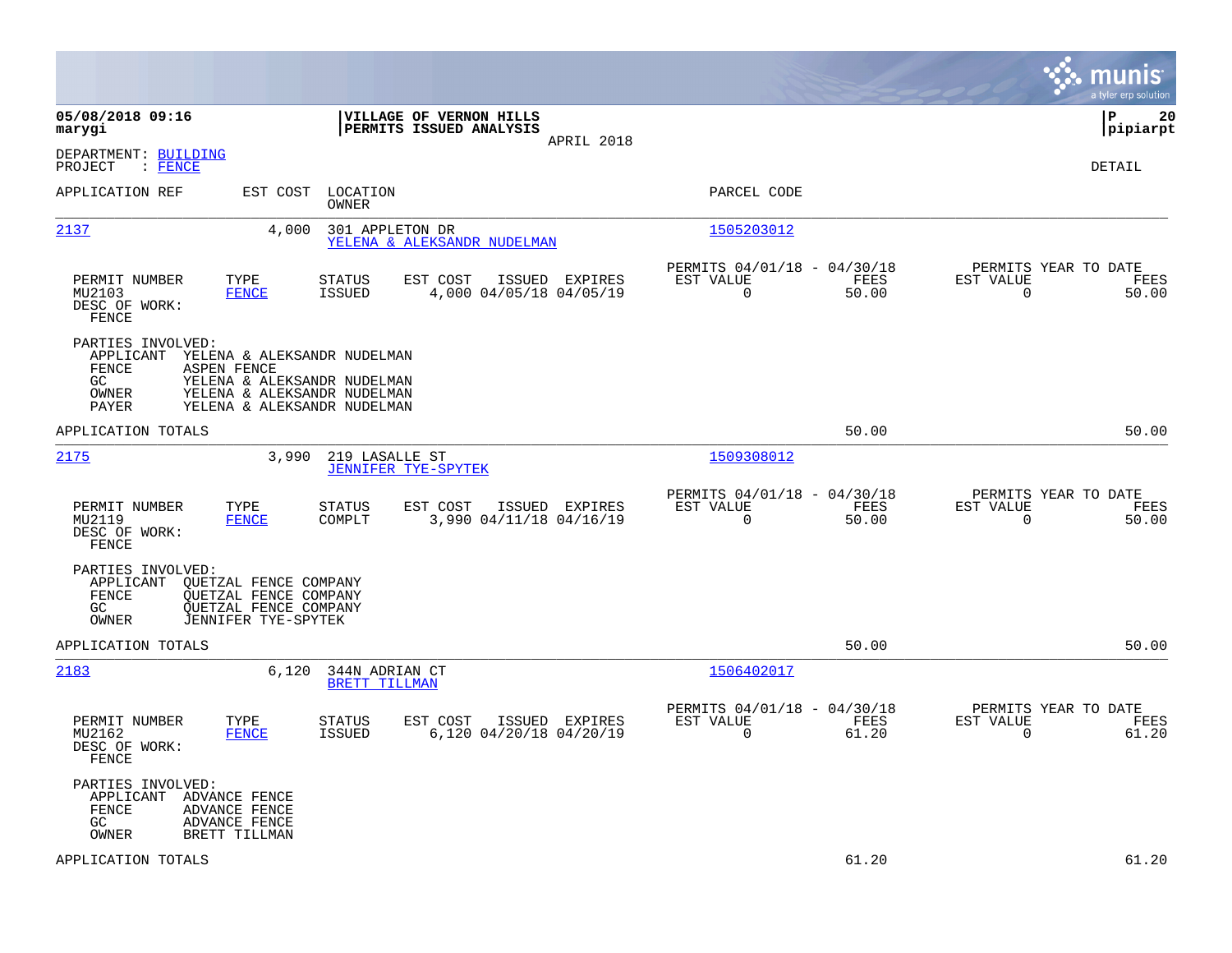|                                                                                                                                                                                                                    |                                                                                  |                                                                          | munis<br>a tyler erp solution                                     |
|--------------------------------------------------------------------------------------------------------------------------------------------------------------------------------------------------------------------|----------------------------------------------------------------------------------|--------------------------------------------------------------------------|-------------------------------------------------------------------|
| 05/08/2018 09:16<br>marygi                                                                                                                                                                                         | VILLAGE OF VERNON HILLS<br>PERMITS ISSUED ANALYSIS                               |                                                                          | 20<br> P<br> pipiarpt                                             |
| DEPARTMENT: BUILDING<br>PROJECT<br>$\colon$ FENCE                                                                                                                                                                  | APRIL 2018                                                                       |                                                                          | DETAIL                                                            |
| APPLICATION REF<br>EST COST                                                                                                                                                                                        | LOCATION<br>OWNER                                                                | PARCEL CODE                                                              |                                                                   |
| 2137<br>4,000                                                                                                                                                                                                      | 301 APPLETON DR<br>YELENA & ALEKSANDR NUDELMAN                                   | 1505203012                                                               |                                                                   |
| TYPE<br>PERMIT NUMBER<br>MU2103<br><b>FENCE</b><br>DESC OF WORK:<br>FENCE                                                                                                                                          | STATUS<br>EST COST<br>ISSUED EXPIRES<br><b>ISSUED</b><br>4,000 04/05/18 04/05/19 | PERMITS 04/01/18 - 04/30/18<br>EST VALUE<br>FEES<br>$\mathbf 0$<br>50.00 | PERMITS YEAR TO DATE<br>EST VALUE<br>FEES<br>$\mathbf 0$<br>50.00 |
| PARTIES INVOLVED:<br>APPLICANT<br>YELENA & ALEKSANDR NUDELMAN<br>FENCE<br><b>ASPEN FENCE</b><br>GC.<br>YELENA & ALEKSANDR NUDELMAN<br>OWNER<br>YELENA & ALEKSANDR NUDELMAN<br>PAYER<br>YELENA & ALEKSANDR NUDELMAN |                                                                                  |                                                                          |                                                                   |
| APPLICATION TOTALS                                                                                                                                                                                                 |                                                                                  | 50.00                                                                    | 50.00                                                             |
| 2175<br>3,990                                                                                                                                                                                                      | 219 LASALLE ST<br><b>JENNIFER TYE-SPYTEK</b>                                     | 1509308012                                                               |                                                                   |
| PERMIT NUMBER<br>TYPE<br>MU2119<br><b>FENCE</b><br>DESC OF WORK:<br>FENCE                                                                                                                                          | STATUS<br>EST COST<br>ISSUED EXPIRES<br>3,990 04/11/18 04/16/19<br>COMPLT        | PERMITS 04/01/18 - 04/30/18<br>EST VALUE<br>FEES<br>$\mathbf 0$<br>50.00 | PERMITS YEAR TO DATE<br>EST VALUE<br>FEES<br>$\mathbf 0$<br>50.00 |
| PARTIES INVOLVED:<br>QUETZAL FENCE COMPANY<br>APPLICANT<br>FENCE<br><b>QUETZAL FENCE COMPANY</b><br>GC<br><b>QUETZAL FENCE COMPANY</b><br>JENNIFER TYE-SPYTEK<br>OWNER                                             |                                                                                  |                                                                          |                                                                   |
| APPLICATION TOTALS                                                                                                                                                                                                 |                                                                                  | 50.00                                                                    | 50.00                                                             |
| 2183<br>6,120                                                                                                                                                                                                      | 344N ADRIAN CT<br>BRETT TILLMAN                                                  | 1506402017                                                               |                                                                   |
| PERMIT NUMBER<br>TYPE<br>MU2162<br><b>FENCE</b><br>DESC OF WORK:<br>FENCE                                                                                                                                          | ISSUED EXPIRES<br>STATUS<br>EST COST<br>6,120 04/20/18 04/20/19<br><b>ISSUED</b> | PERMITS 04/01/18 - 04/30/18<br>EST VALUE<br>FEES<br>$\mathbf 0$<br>61.20 | PERMITS YEAR TO DATE<br>EST VALUE<br>FEES<br>0<br>61.20           |
| PARTIES INVOLVED:<br>APPLICANT<br>ADVANCE FENCE<br>FENCE<br>ADVANCE FENCE<br>GC<br><b>ADVANCE FENCE</b><br>OWNER<br>BRETT TILLMAN                                                                                  |                                                                                  |                                                                          |                                                                   |
| APPLICATION TOTALS                                                                                                                                                                                                 |                                                                                  | 61.20                                                                    | 61.20                                                             |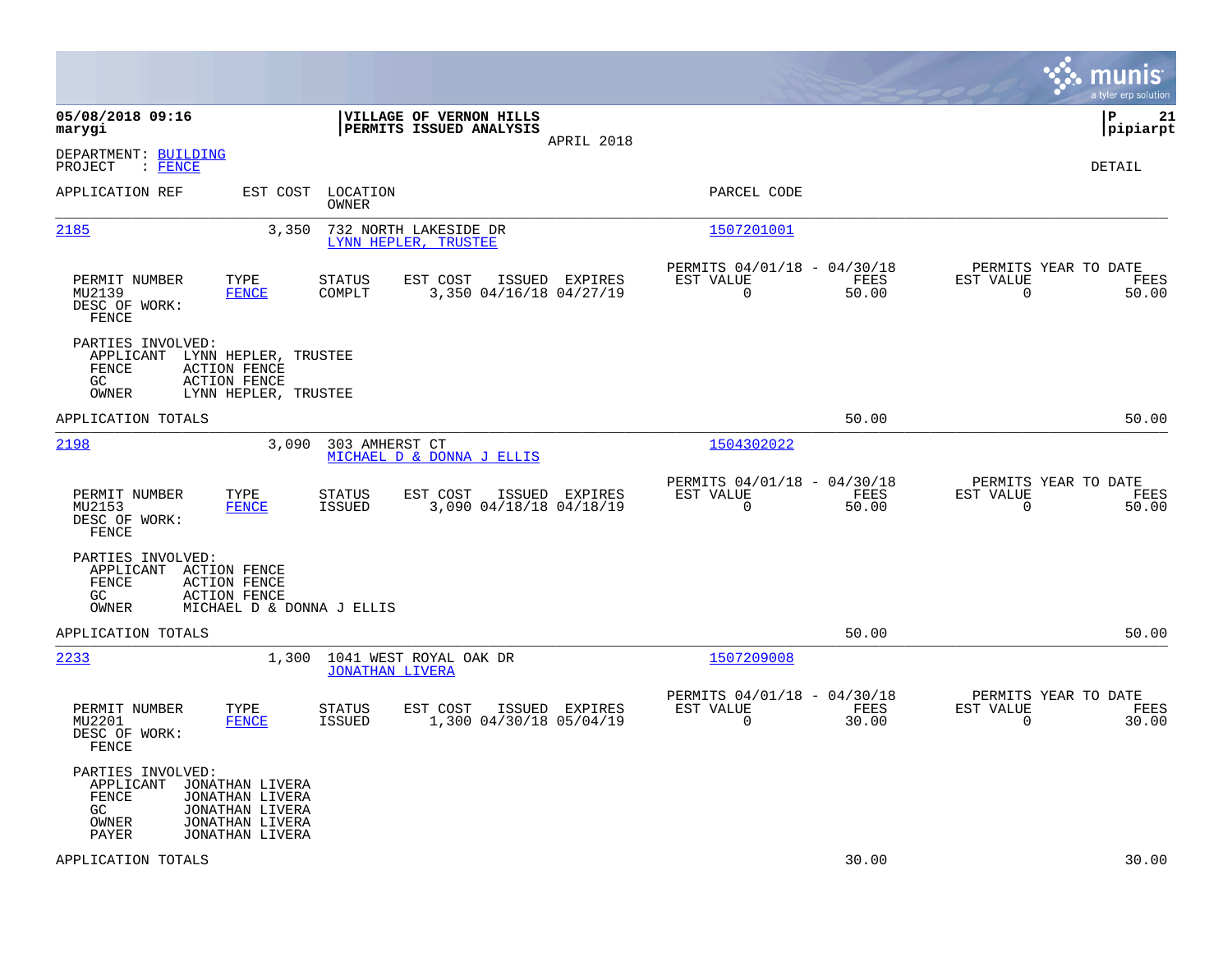|                                                                      |                                                                                             |                         |                                                    |                |                                                         |               |                                                  | munis<br>a tyler erp solution |
|----------------------------------------------------------------------|---------------------------------------------------------------------------------------------|-------------------------|----------------------------------------------------|----------------|---------------------------------------------------------|---------------|--------------------------------------------------|-------------------------------|
| 05/08/2018 09:16<br>marygi                                           |                                                                                             |                         | VILLAGE OF VERNON HILLS<br>PERMITS ISSUED ANALYSIS | APRIL 2018     |                                                         |               |                                                  | lР<br>21<br> pipiarpt         |
| DEPARTMENT: BUILDING<br>PROJECT<br>$:$ FENCE                         |                                                                                             |                         |                                                    |                |                                                         |               |                                                  | <b>DETAIL</b>                 |
| APPLICATION REF                                                      | EST COST                                                                                    | LOCATION<br>OWNER       |                                                    |                | PARCEL CODE                                             |               |                                                  |                               |
| 2185                                                                 | 3,350                                                                                       |                         | 732 NORTH LAKESIDE DR<br>LYNN HEPLER, TRUSTEE      |                | 1507201001                                              |               |                                                  |                               |
| PERMIT NUMBER<br>MU2139<br>DESC OF WORK:<br>FENCE                    | TYPE<br><b>FENCE</b>                                                                        | <b>STATUS</b><br>COMPLT | EST COST<br>3,350 04/16/18 04/27/19                | ISSUED EXPIRES | PERMITS 04/01/18 - 04/30/18<br>EST VALUE<br>0           | FEES<br>50.00 | PERMITS YEAR TO DATE<br>EST VALUE<br>0           | FEES<br>50.00                 |
| PARTIES INVOLVED:<br>APPLICANT<br>FENCE<br>GC<br>OWNER               | LYNN HEPLER, TRUSTEE<br><b>ACTION FENCE</b><br><b>ACTION FENCE</b><br>LYNN HEPLER, TRUSTEE  |                         |                                                    |                |                                                         |               |                                                  |                               |
| APPLICATION TOTALS                                                   |                                                                                             |                         |                                                    |                |                                                         | 50.00         |                                                  | 50.00                         |
| 2198                                                                 | 3,090                                                                                       | 303 AMHERST CT          | MICHAEL D & DONNA J ELLIS                          |                | 1504302022                                              |               |                                                  |                               |
| PERMIT NUMBER<br>MU2153<br>DESC OF WORK:<br>FENCE                    | TYPE<br><b>FENCE</b>                                                                        | STATUS<br><b>ISSUED</b> | EST COST<br>3,090 04/18/18 04/18/19                | ISSUED EXPIRES | PERMITS 04/01/18 - 04/30/18<br>EST VALUE<br>$\Omega$    | FEES<br>50.00 | PERMITS YEAR TO DATE<br>EST VALUE<br>$\mathbf 0$ | FEES<br>50.00                 |
| PARTIES INVOLVED:<br>APPLICANT ACTION FENCE<br>FENCE<br>GC.<br>OWNER | <b>ACTION FENCE</b><br><b>ACTION FENCE</b><br>MICHAEL D & DONNA J ELLIS                     |                         |                                                    |                |                                                         |               |                                                  |                               |
| APPLICATION TOTALS                                                   |                                                                                             |                         |                                                    |                |                                                         | 50.00         |                                                  | 50.00                         |
| 2233                                                                 | 1,300                                                                                       | <b>JONATHAN LIVERA</b>  | 1041 WEST ROYAL OAK DR                             |                | 1507209008                                              |               |                                                  |                               |
| PERMIT NUMBER<br>MU2201<br>DESC OF WORK:<br>FENCE                    | TYPE<br><b>FENCE</b>                                                                        | STATUS<br><b>ISSUED</b> | EST COST<br>1,300 04/30/18 05/04/19                | ISSUED EXPIRES | PERMITS 04/01/18 - 04/30/18<br>EST VALUE<br>$\mathbf 0$ | FEES<br>30.00 | PERMITS YEAR TO DATE<br>EST VALUE<br>$\mathbf 0$ | FEES<br>30.00                 |
| PARTIES INVOLVED:<br>APPLICANT<br>FENCE<br>GC<br>OWNER<br>PAYER      | JONATHAN LIVERA<br>JONATHAN LIVERA<br>JONATHAN LIVERA<br>JONATHAN LIVERA<br>JONATHAN LIVERA |                         |                                                    |                |                                                         |               |                                                  |                               |
| APPLICATION TOTALS                                                   |                                                                                             |                         |                                                    |                |                                                         | 30.00         |                                                  | 30.00                         |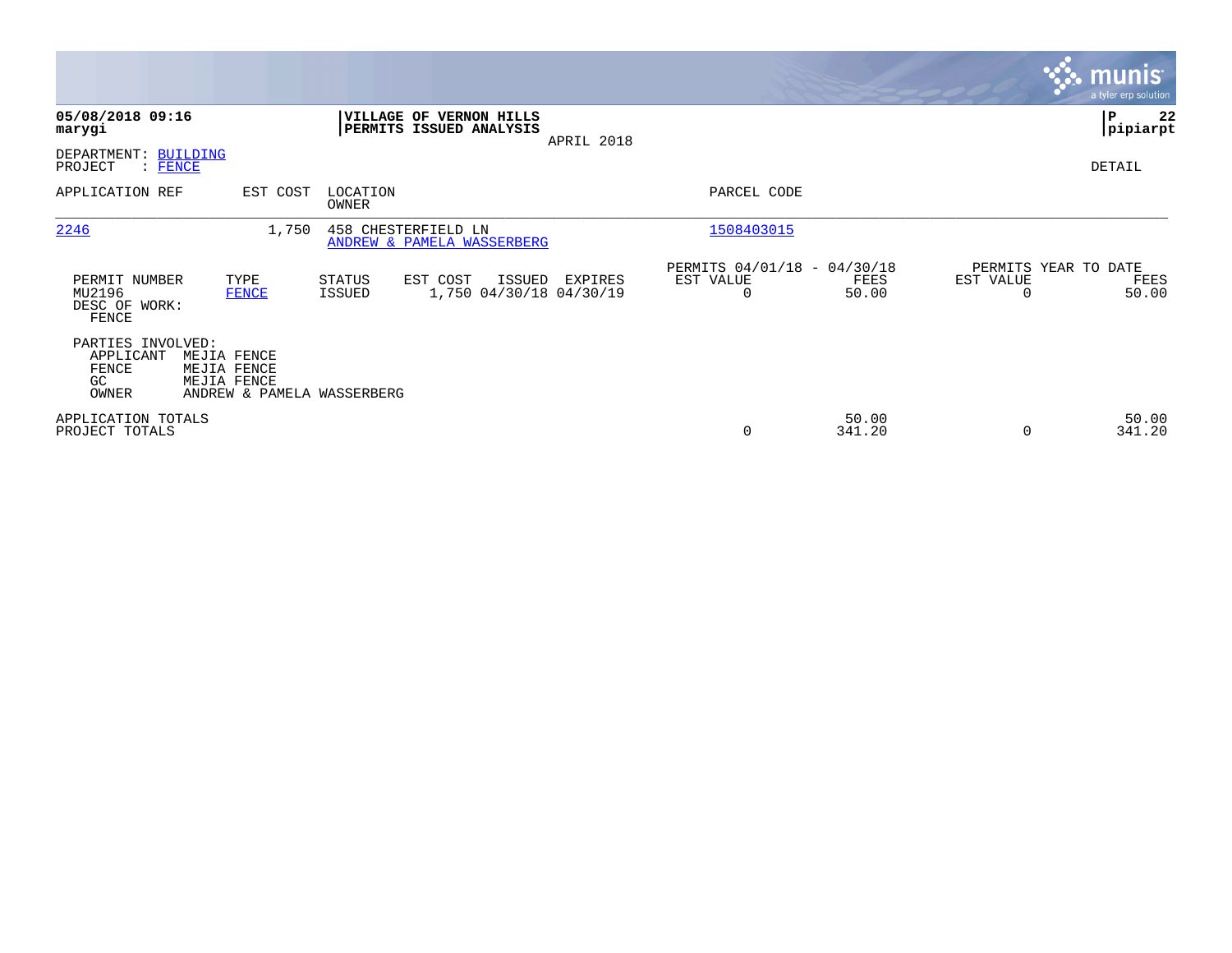|                                                        |                                                                         |                         |                                                           |            |                                                      |                 |                                   | <b>munis</b><br>a tyler erp solution |
|--------------------------------------------------------|-------------------------------------------------------------------------|-------------------------|-----------------------------------------------------------|------------|------------------------------------------------------|-----------------|-----------------------------------|--------------------------------------|
| 05/08/2018 09:16<br>marygi                             |                                                                         |                         | <b>VILLAGE OF VERNON HILLS</b><br>PERMITS ISSUED ANALYSIS | APRIL 2018 |                                                      |                 |                                   | 22<br>∣₽<br> pipiarpt                |
| DEPARTMENT: BUILDING<br>PROJECT<br>$\colon$ FENCE      |                                                                         |                         |                                                           |            |                                                      |                 |                                   | DETAIL                               |
| APPLICATION REF                                        | EST COST                                                                | LOCATION<br>OWNER       |                                                           |            | PARCEL CODE                                          |                 |                                   |                                      |
| 2246                                                   | 1,750                                                                   |                         | 458 CHESTERFIELD LN<br>ANDREW & PAMELA WASSERBERG         |            | 1508403015                                           |                 |                                   |                                      |
| PERMIT NUMBER<br>MU2196<br>DESC OF WORK:<br>FENCE      | TYPE<br><b>FENCE</b>                                                    | <b>STATUS</b><br>ISSUED | EST COST<br>ISSUED<br>1,750 04/30/18 04/30/19             | EXPIRES    | PERMITS 04/01/18 - 04/30/18<br>EST VALUE<br>$\Omega$ | FEES<br>50.00   | PERMITS YEAR TO DATE<br>EST VALUE | FEES<br>50.00                        |
| PARTIES INVOLVED:<br>APPLICANT<br>FENCE<br>GC<br>OWNER | MEJIA FENCE<br>MEJIA FENCE<br>MEJIA FENCE<br>ANDREW & PAMELA WASSERBERG |                         |                                                           |            |                                                      |                 |                                   |                                      |
| APPLICATION TOTALS<br>PROJECT TOTALS                   |                                                                         |                         |                                                           |            | 0                                                    | 50.00<br>341.20 | $\Omega$                          | 50.00<br>341.20                      |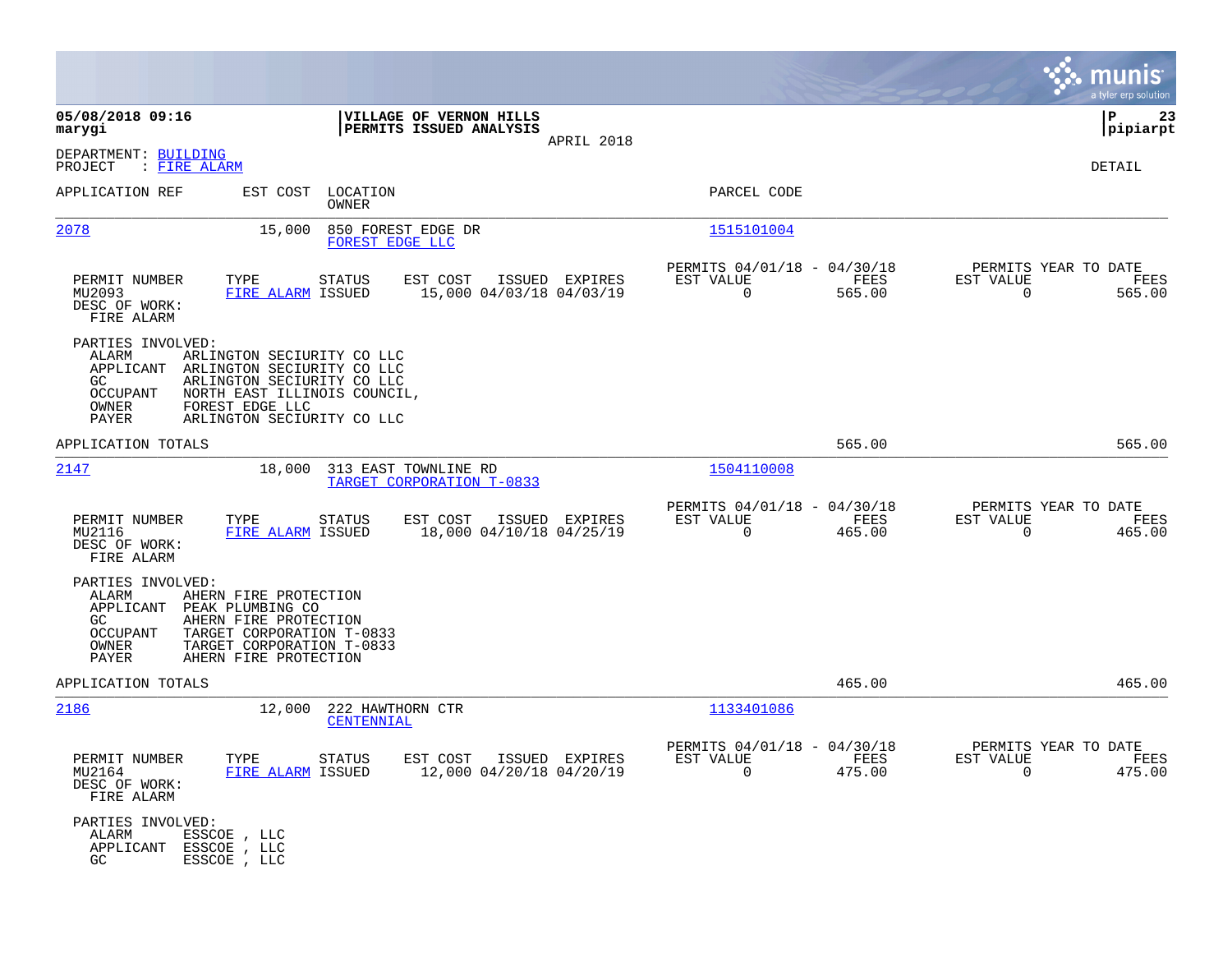|                                                                                                                                                                                    |                                                                                                                                                      |                                                                           | munis<br>a tyler erp solution                                      |
|------------------------------------------------------------------------------------------------------------------------------------------------------------------------------------|------------------------------------------------------------------------------------------------------------------------------------------------------|---------------------------------------------------------------------------|--------------------------------------------------------------------|
| 05/08/2018 09:16<br>marygi                                                                                                                                                         | VILLAGE OF VERNON HILLS<br>PERMITS ISSUED ANALYSIS<br>APRIL 2018                                                                                     |                                                                           | ΙP<br>23<br> pipiarpt                                              |
| DEPARTMENT: BUILDING<br>PROJECT<br>: <u>FIRE ALARM</u>                                                                                                                             |                                                                                                                                                      |                                                                           | DETAIL                                                             |
| APPLICATION REF<br>EST COST                                                                                                                                                        | LOCATION<br>OWNER                                                                                                                                    | PARCEL CODE                                                               |                                                                    |
| 2078<br>15,000                                                                                                                                                                     | 850 FOREST EDGE DR<br>FOREST EDGE LLC                                                                                                                | 1515101004                                                                |                                                                    |
| PERMIT NUMBER<br>TYPE<br>MU2093<br>DESC OF WORK:<br>FIRE ALARM                                                                                                                     | <b>STATUS</b><br>EST COST<br>ISSUED EXPIRES<br>15,000 04/03/18 04/03/19<br>FIRE ALARM ISSUED                                                         | PERMITS 04/01/18 - 04/30/18<br>EST VALUE<br>FEES<br>565.00<br>$\mathbf 0$ | PERMITS YEAR TO DATE<br>EST VALUE<br>FEES<br>$\mathbf 0$<br>565.00 |
| PARTIES INVOLVED:<br>ALARM<br>APPLICANT<br>GC.<br><b>OCCUPANT</b><br>OWNER<br>FOREST EDGE LLC<br>PAYER                                                                             | ARLINGTON SECIURITY CO LLC<br>ARLINGTON SECIURITY CO LLC<br>ARLINGTON SECIURITY CO LLC<br>NORTH EAST ILLINOIS COUNCIL,<br>ARLINGTON SECIURITY CO LLC |                                                                           |                                                                    |
| APPLICATION TOTALS                                                                                                                                                                 |                                                                                                                                                      | 565.00                                                                    | 565.00                                                             |
| 2147                                                                                                                                                                               | 18,000<br>313 EAST TOWNLINE RD<br>TARGET CORPORATION T-0833                                                                                          | 1504110008                                                                |                                                                    |
| PERMIT NUMBER<br>TYPE<br>MU2116<br>DESC OF WORK:<br>FIRE ALARM                                                                                                                     | EST COST<br>ISSUED EXPIRES<br>STATUS<br>FIRE ALARM ISSUED<br>18,000 04/10/18 04/25/19                                                                | PERMITS 04/01/18 - 04/30/18<br>EST VALUE<br>FEES<br>465.00<br>0           | PERMITS YEAR TO DATE<br>EST VALUE<br>FEES<br>465.00<br>0           |
| PARTIES INVOLVED:<br>ALARM<br>AHERN FIRE PROTECTION<br>APPLICANT<br>PEAK PLUMBING CO<br>AHERN FIRE PROTECTION<br>GC.<br><b>OCCUPANT</b><br>OWNER<br>PAYER<br>AHERN FIRE PROTECTION | TARGET CORPORATION T-0833<br>TARGET CORPORATION T-0833                                                                                               |                                                                           |                                                                    |
| APPLICATION TOTALS                                                                                                                                                                 |                                                                                                                                                      | 465.00                                                                    | 465.00                                                             |
| 2186                                                                                                                                                                               | 12,000<br>222 HAWTHORN CTR<br>CENTENNIAL                                                                                                             | 1133401086                                                                |                                                                    |
| PERMIT NUMBER<br>TYPE<br>MU2164<br>DESC OF WORK:<br>FIRE ALARM                                                                                                                     | STATUS<br>EST COST ISSUED EXPIRES<br>12,000 04/20/18 04/20/19<br>FIRE ALARM ISSUED                                                                   | PERMITS 04/01/18 - 04/30/18<br>EST VALUE<br>FEES<br>$\Omega$<br>475.00    | PERMITS YEAR TO DATE<br>EST VALUE<br>FEES<br>$\Omega$<br>475.00    |
| PARTIES INVOLVED:<br>ESSCOE , LLC<br>ALARM<br>APPLICANT ESSCOE , LLC<br>ESSCOE, LLC<br>GC.                                                                                         |                                                                                                                                                      |                                                                           |                                                                    |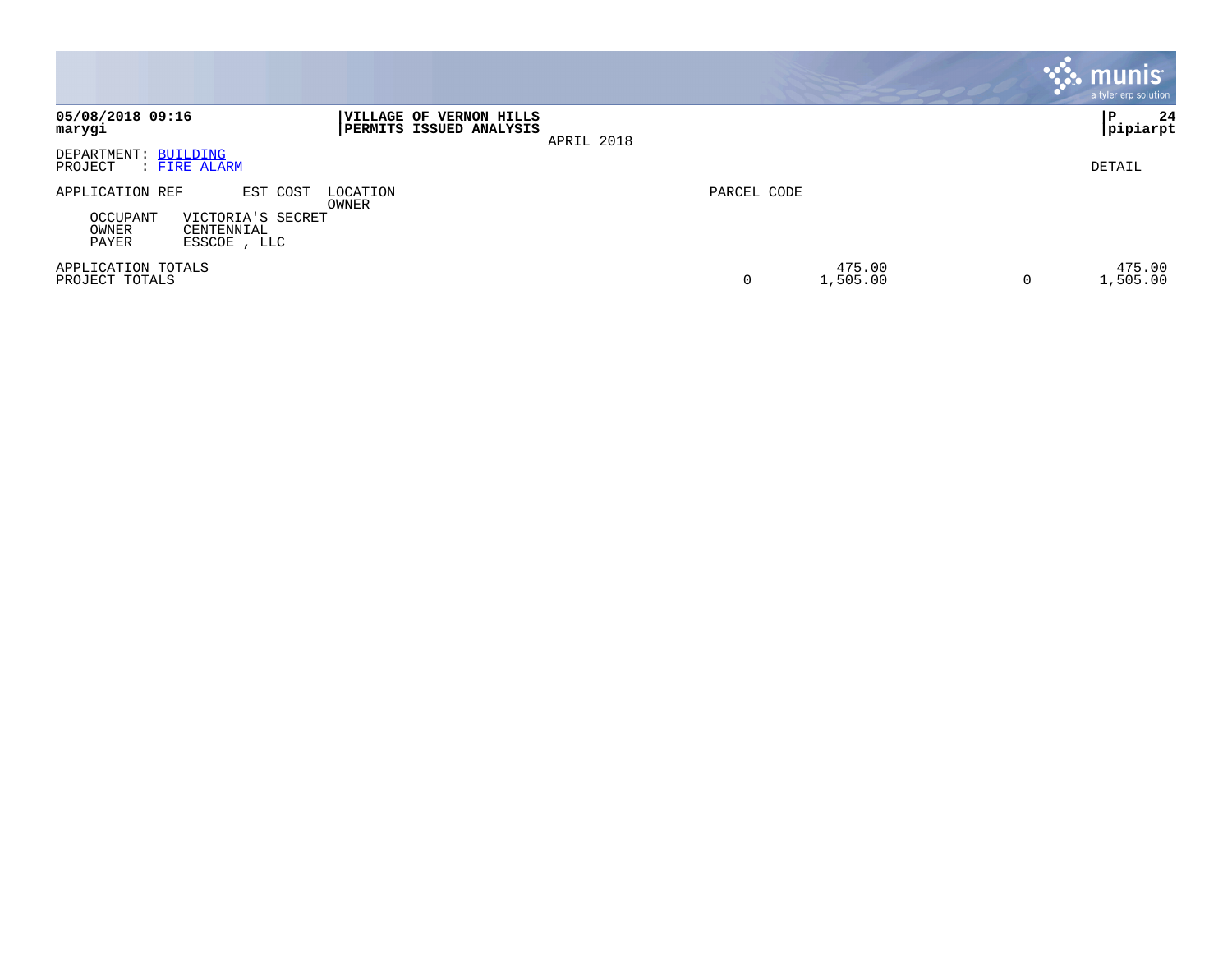|                                                                                                                                  |                                                                     | <b>munis</b><br>a tyler erp solution |
|----------------------------------------------------------------------------------------------------------------------------------|---------------------------------------------------------------------|--------------------------------------|
| 05/08/2018 09:16<br><b>IVILLAGE OF</b><br>marygi                                                                                 | <b>VERNON HILLS</b><br><b>PERMITS ISSUED ANALYSIS</b><br>APRIL 2018 | 24<br>P<br>pipiarpt                  |
| DEPARTMENT: BUILDING<br>PROJECT<br>: <u>FIRE ALARM</u>                                                                           |                                                                     | DETAIL                               |
| APPLICATION REF<br>EST COST<br>LOCATION<br>OWNER<br>OCCUPANT<br>VICTORIA'S SECRET<br>OWNER<br>CENTENNIAL<br>PAYER<br>ESSCOE, LLC | PARCEL CODE                                                         |                                      |
| APPLICATION TOTALS<br>PROJECT TOTALS                                                                                             | 475.00<br>0<br>1,505.00                                             | 475.00<br>1,505.00<br>0              |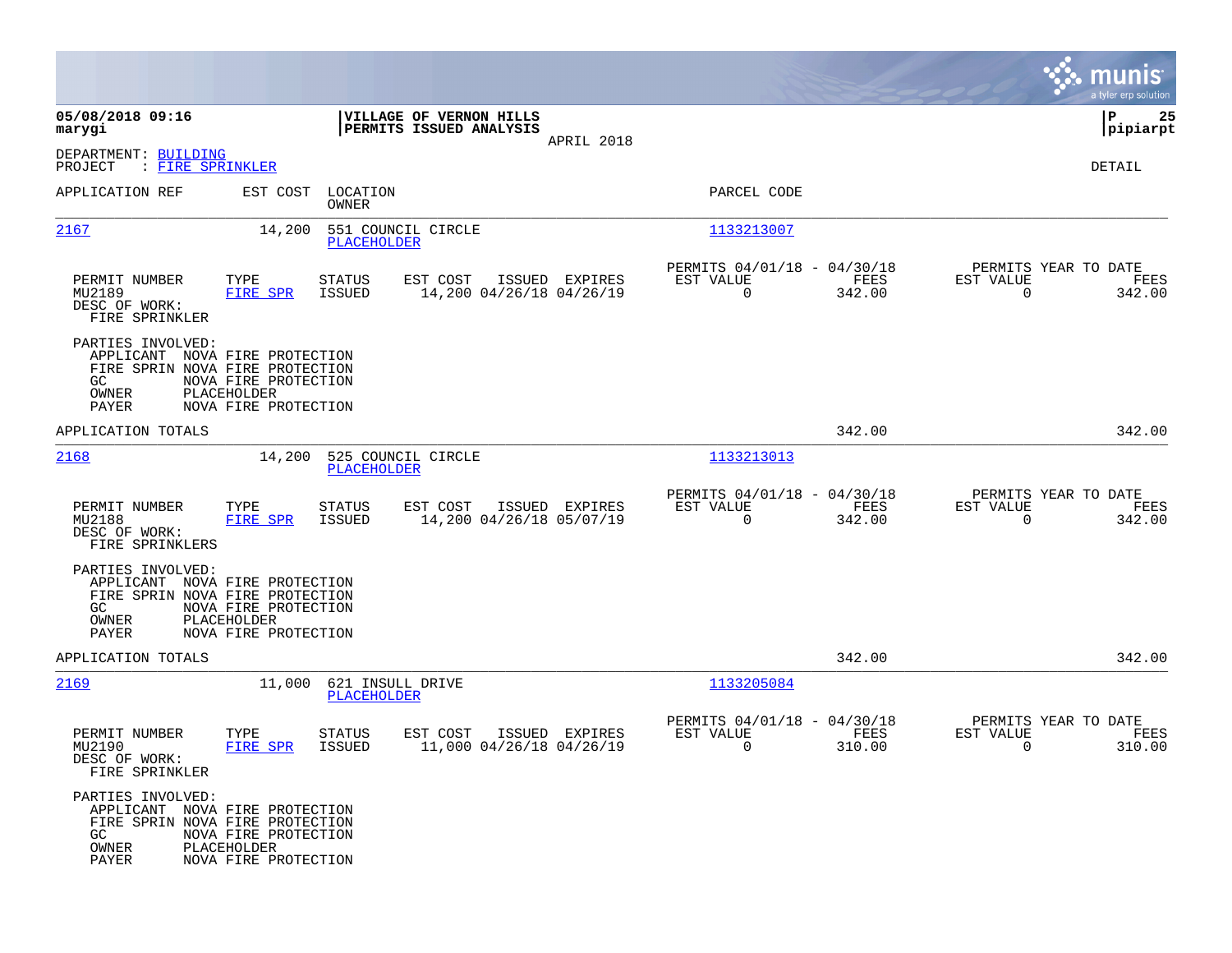|                                                                                                                        |                                                             |                                        |                                                    |                |                                                         |                |                                                  | munis<br>a tyler erp solution |
|------------------------------------------------------------------------------------------------------------------------|-------------------------------------------------------------|----------------------------------------|----------------------------------------------------|----------------|---------------------------------------------------------|----------------|--------------------------------------------------|-------------------------------|
| 05/08/2018 09:16<br>marygi                                                                                             |                                                             |                                        | VILLAGE OF VERNON HILLS<br>PERMITS ISSUED ANALYSIS |                |                                                         |                |                                                  | ΙP<br>25<br> pipiarpt         |
| DEPARTMENT: BUILDING<br>: FIRE SPRINKLER<br>PROJECT                                                                    |                                                             |                                        |                                                    | APRIL 2018     |                                                         |                |                                                  | DETAIL                        |
| APPLICATION REF                                                                                                        | EST COST                                                    | LOCATION<br>OWNER                      |                                                    |                | PARCEL CODE                                             |                |                                                  |                               |
| 2167                                                                                                                   | 14,200                                                      | PLACEHOLDER                            | 551 COUNCIL CIRCLE                                 |                | 1133213007                                              |                |                                                  |                               |
| PERMIT NUMBER<br>MU2189<br>DESC OF WORK:<br>FIRE SPRINKLER                                                             | TYPE<br>FIRE SPR                                            | <b>STATUS</b><br>ISSUED                | EST COST<br>14,200 04/26/18 04/26/19               | ISSUED EXPIRES | PERMITS 04/01/18 - 04/30/18<br>EST VALUE<br>$\Omega$    | FEES<br>342.00 | PERMITS YEAR TO DATE<br>EST VALUE<br>$\Omega$    | FEES<br>342.00                |
| PARTIES INVOLVED:<br>APPLICANT NOVA FIRE PROTECTION<br>FIRE SPRIN NOVA FIRE PROTECTION<br>GC.<br>OWNER<br>PAYER        | NOVA FIRE PROTECTION<br>PLACEHOLDER<br>NOVA FIRE PROTECTION |                                        |                                                    |                |                                                         |                |                                                  |                               |
| APPLICATION TOTALS                                                                                                     |                                                             |                                        |                                                    |                |                                                         | 342.00         |                                                  | 342.00                        |
| 2168                                                                                                                   | 14,200                                                      | PLACEHOLDER                            | 525 COUNCIL CIRCLE                                 |                | 1133213013                                              |                |                                                  |                               |
| PERMIT NUMBER<br>MU2188<br>DESC OF WORK:<br>FIRE SPRINKLERS                                                            | TYPE<br>FIRE SPR                                            | <b>STATUS</b><br>ISSUED                | EST COST<br>14,200 04/26/18 05/07/19               | ISSUED EXPIRES | PERMITS 04/01/18 - 04/30/18<br>EST VALUE<br>$\mathbf 0$ | FEES<br>342.00 | PERMITS YEAR TO DATE<br>EST VALUE<br>$\mathbf 0$ | FEES<br>342.00                |
| PARTIES INVOLVED:<br>APPLICANT NOVA FIRE PROTECTION<br>FIRE SPRIN NOVA FIRE PROTECTION<br>GC.<br>OWNER<br><b>PAYER</b> | NOVA FIRE PROTECTION<br>PLACEHOLDER<br>NOVA FIRE PROTECTION |                                        |                                                    |                |                                                         |                |                                                  |                               |
| APPLICATION TOTALS                                                                                                     |                                                             |                                        |                                                    |                |                                                         | 342.00         |                                                  | 342.00                        |
| 2169                                                                                                                   | 11,000                                                      | 621 INSULL DRIVE<br><b>PLACEHOLDER</b> |                                                    |                | 1133205084                                              |                |                                                  |                               |
| PERMIT NUMBER<br>MU2190<br>DESC OF WORK:<br>FIRE SPRINKLER                                                             | TYPE<br>FIRE SPR                                            | STATUS<br>ISSUED                       | EST COST<br>11,000 04/26/18 04/26/19               | ISSUED EXPIRES | PERMITS 04/01/18 - 04/30/18<br>EST VALUE<br>0           | FEES<br>310.00 | PERMITS YEAR TO DATE<br>EST VALUE<br>0           | FEES<br>310.00                |
| PARTIES INVOLVED:<br>APPLICANT NOVA FIRE PROTECTION<br>FIRE SPRIN NOVA FIRE PROTECTION<br>GC<br>OWNER<br>PAYER         | NOVA FIRE PROTECTION<br>PLACEHOLDER<br>NOVA FIRE PROTECTION |                                        |                                                    |                |                                                         |                |                                                  |                               |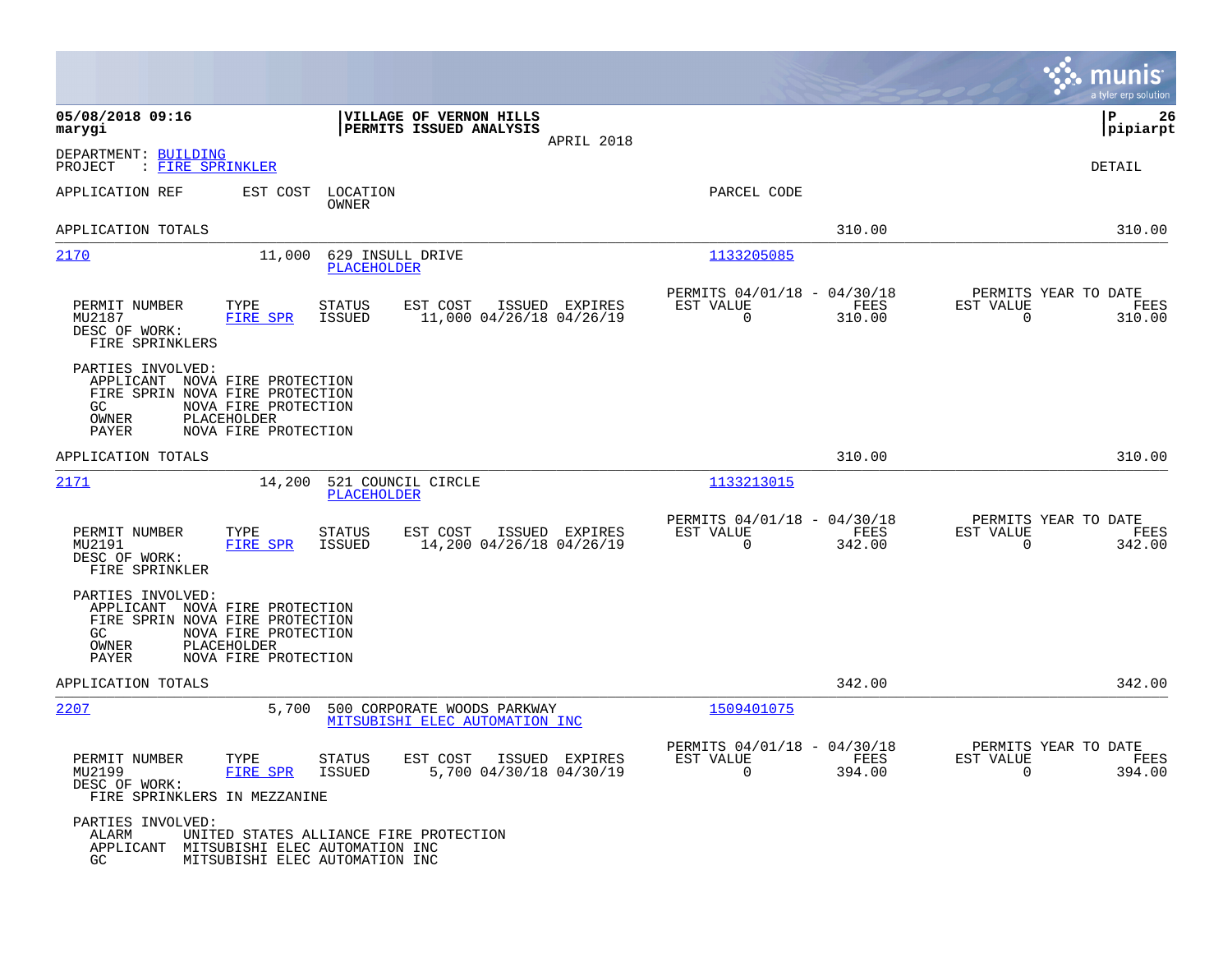|                                                                          |                                                                                                                                  |                                                                           | munis<br>a tyler erp solution                                      |
|--------------------------------------------------------------------------|----------------------------------------------------------------------------------------------------------------------------------|---------------------------------------------------------------------------|--------------------------------------------------------------------|
| 05/08/2018 09:16<br>marygi                                               | VILLAGE OF VERNON HILLS<br>PERMITS ISSUED ANALYSIS<br>APRIL 2018                                                                 |                                                                           | P<br>26<br> pipiarpt                                               |
| DEPARTMENT: BUILDING<br>: FIRE SPRINKLER<br>PROJECT                      |                                                                                                                                  |                                                                           | DETAIL                                                             |
| APPLICATION REF                                                          | LOCATION<br>EST COST<br>OWNER                                                                                                    | PARCEL CODE                                                               |                                                                    |
| APPLICATION TOTALS                                                       |                                                                                                                                  | 310.00                                                                    | 310.00                                                             |
| 2170                                                                     | 11,000<br>629 INSULL DRIVE<br><b>PLACEHOLDER</b>                                                                                 | 1133205085                                                                |                                                                    |
| PERMIT NUMBER<br>MU2187<br>DESC OF WORK:<br>FIRE SPRINKLERS              | EST COST<br>TYPE<br><b>STATUS</b><br>ISSUED EXPIRES<br>FIRE SPR<br>ISSUED<br>11,000 04/26/18 04/26/19                            | PERMITS 04/01/18 - 04/30/18<br>EST VALUE<br>FEES<br>0<br>310.00           | PERMITS YEAR TO DATE<br>EST VALUE<br>FEES<br>$\mathbf 0$<br>310.00 |
| PARTIES INVOLVED:<br>GC.<br>OWNER<br>PAYER                               | APPLICANT NOVA FIRE PROTECTION<br>FIRE SPRIN NOVA FIRE PROTECTION<br>NOVA FIRE PROTECTION<br>PLACEHOLDER<br>NOVA FIRE PROTECTION |                                                                           |                                                                    |
| APPLICATION TOTALS                                                       |                                                                                                                                  | 310.00                                                                    | 310.00                                                             |
| 2171                                                                     | 14,200<br>521 COUNCIL CIRCLE<br>PLACEHOLDER                                                                                      | 1133213015                                                                |                                                                    |
| PERMIT NUMBER<br>MU2191<br>DESC OF WORK:<br>FIRE SPRINKLER               | TYPE<br><b>STATUS</b><br>EST COST<br>ISSUED EXPIRES<br>FIRE SPR<br>ISSUED<br>14,200 04/26/18 04/26/19                            | PERMITS 04/01/18 - 04/30/18<br>EST VALUE<br>FEES<br>$\mathbf 0$<br>342.00 | PERMITS YEAR TO DATE<br>EST VALUE<br>FEES<br>$\Omega$<br>342.00    |
| PARTIES INVOLVED:<br><b>GC</b><br>OWNER<br>PAYER                         | APPLICANT NOVA FIRE PROTECTION<br>FIRE SPRIN NOVA FIRE PROTECTION<br>NOVA FIRE PROTECTION<br>PLACEHOLDER<br>NOVA FIRE PROTECTION |                                                                           |                                                                    |
| APPLICATION TOTALS                                                       |                                                                                                                                  | 342.00                                                                    | 342.00                                                             |
| 2207                                                                     | 5,700<br>500 CORPORATE WOODS PARKWAY<br>MITSUBISHI ELEC AUTOMATION INC                                                           | 1509401075                                                                |                                                                    |
| PERMIT NUMBER<br>MU2199<br>DESC OF WORK:<br>FIRE SPRINKLERS IN MEZZANINE | TYPE<br><b>STATUS</b><br>EST COST<br>ISSUED EXPIRES<br>FIRE SPR<br>5,700 04/30/18 04/30/19<br><b>ISSUED</b>                      | PERMITS 04/01/18 - 04/30/18<br>EST VALUE<br>FEES<br>$\mathbf 0$<br>394.00 | PERMITS YEAR TO DATE<br>EST VALUE<br>FEES<br>$\mathbf 0$<br>394.00 |
| PARTIES INVOLVED:<br>ALARM<br>APPLICANT<br>GC.                           | UNITED STATES ALLIANCE FIRE PROTECTION<br>MITSUBISHI ELEC AUTOMATION INC<br>MITSUBISHI ELEC AUTOMATION INC                       |                                                                           |                                                                    |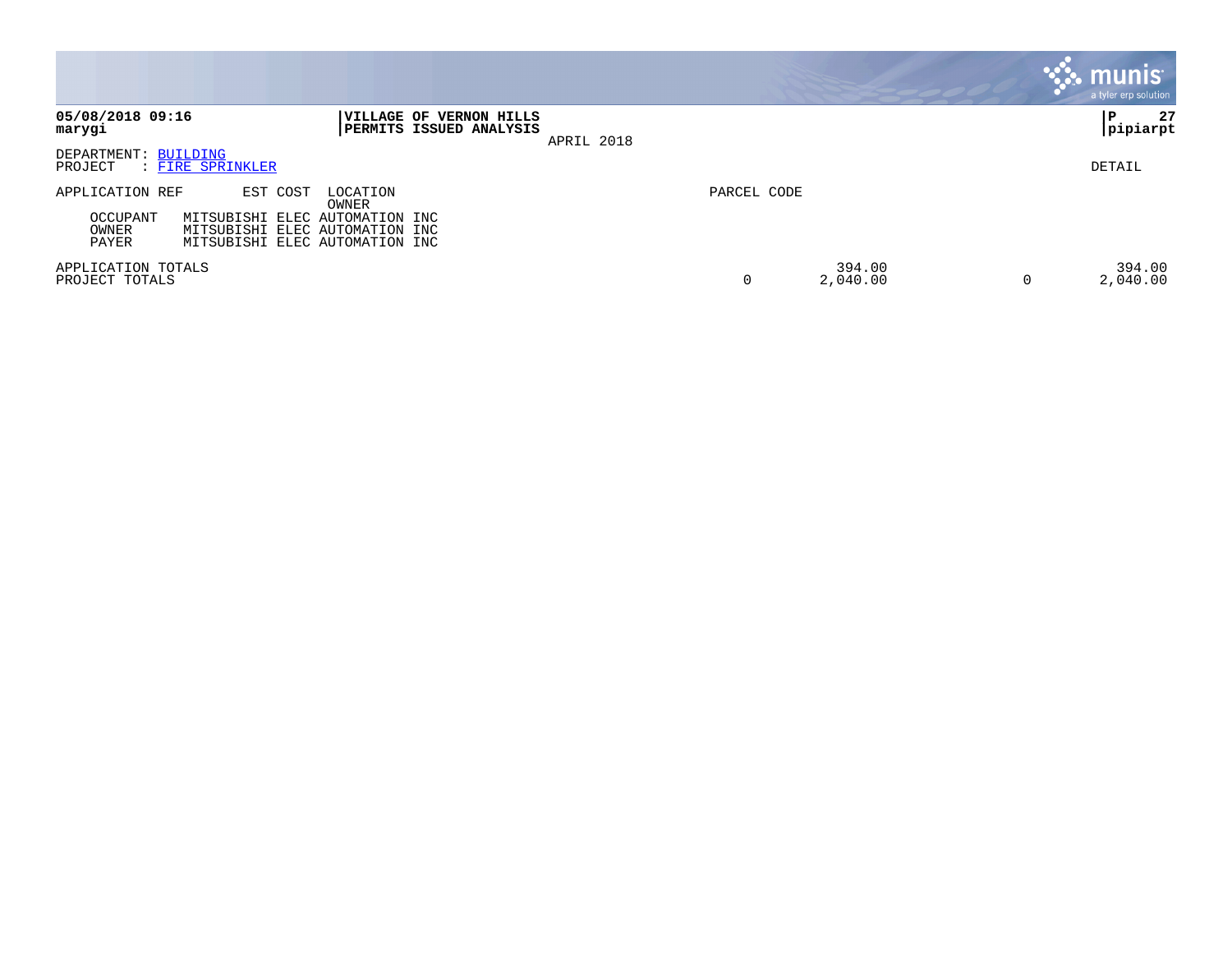|                                      |                                                                                                    |                   |                                                           |            |             |                    |   | <b>munis</b><br>a tyler erp solution |
|--------------------------------------|----------------------------------------------------------------------------------------------------|-------------------|-----------------------------------------------------------|------------|-------------|--------------------|---|--------------------------------------|
| 05/08/2018 09:16<br>marygi           |                                                                                                    |                   | VILLAGE OF VERNON HILLS<br><b>PERMITS ISSUED ANALYSIS</b> | APRIL 2018 |             |                    |   | 27<br>∣P<br> pipiarpt                |
| DEPARTMENT: BUILDING<br>PROJECT      | : FIRE SPRINKLER                                                                                   |                   |                                                           |            |             |                    |   | DETAIL                               |
| APPLICATION REF                      | EST COST                                                                                           | LOCATION<br>OWNER |                                                           |            | PARCEL CODE |                    |   |                                      |
| OCCUPANT<br>OWNER<br>PAYER           | MITSUBISHI ELEC AUTOMATION INC<br>MITSUBISHI ELEC AUTOMATION INC<br>MITSUBISHI ELEC AUTOMATION INC |                   |                                                           |            |             |                    |   |                                      |
| APPLICATION TOTALS<br>PROJECT TOTALS |                                                                                                    |                   |                                                           |            | 0           | 394.00<br>2,040.00 | 0 | 394.00<br>2,040.00                   |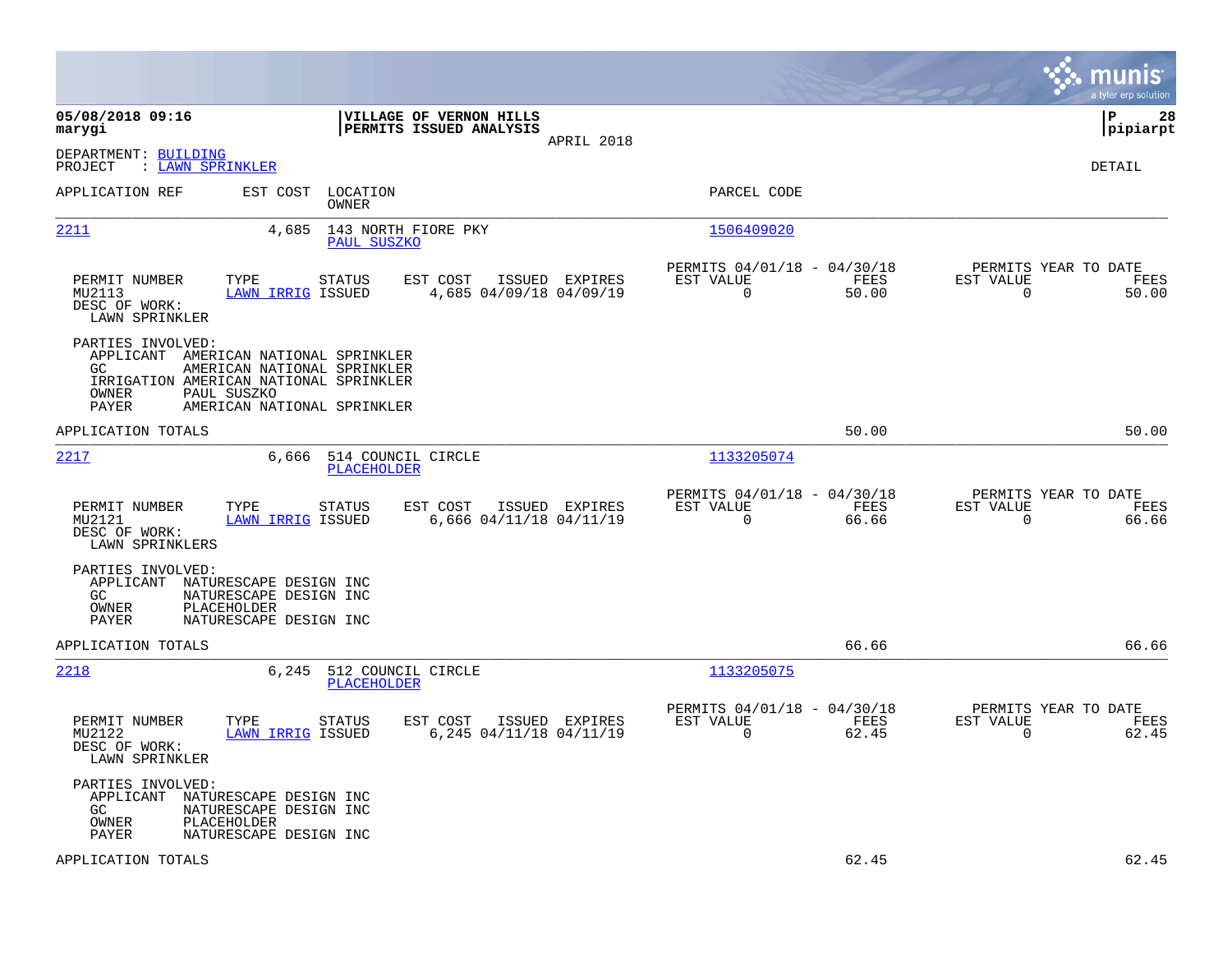|                                                             |                                                                                                                                                              |                                                    |                |                                                            |               |                                                  | munis<br>a tyler erp solution |
|-------------------------------------------------------------|--------------------------------------------------------------------------------------------------------------------------------------------------------------|----------------------------------------------------|----------------|------------------------------------------------------------|---------------|--------------------------------------------------|-------------------------------|
| 05/08/2018 09:16<br>marygi                                  |                                                                                                                                                              | VILLAGE OF VERNON HILLS<br>PERMITS ISSUED ANALYSIS | APRIL 2018     |                                                            |               |                                                  | lР<br>28<br> pipiarpt         |
| DEPARTMENT: BUILDING<br>: LAWN SPRINKLER<br>PROJECT         |                                                                                                                                                              |                                                    |                |                                                            |               |                                                  | DETAIL                        |
| APPLICATION REF                                             | EST COST<br>LOCATION<br><b>OWNER</b>                                                                                                                         |                                                    |                | PARCEL CODE                                                |               |                                                  |                               |
| 2211                                                        | 4,685<br>PAUL SUSZKO                                                                                                                                         | 143 NORTH FIORE PKY                                |                | 1506409020                                                 |               |                                                  |                               |
| PERMIT NUMBER<br>MU2113<br>DESC OF WORK:<br>LAWN SPRINKLER  | TYPE<br>STATUS<br>LAWN IRRIG ISSUED                                                                                                                          | EST COST<br>4,685 04/09/18 04/09/19                | ISSUED EXPIRES | PERMITS 04/01/18 - 04/30/18<br>EST VALUE<br>$\mathbf 0$    | FEES<br>50.00 | PERMITS YEAR TO DATE<br>EST VALUE<br>$\mathbf 0$ | FEES<br>50.00                 |
| PARTIES INVOLVED:<br>GC.<br>OWNER<br><b>PAYER</b>           | APPLICANT AMERICAN NATIONAL SPRINKLER<br>AMERICAN NATIONAL SPRINKLER<br>IRRIGATION AMERICAN NATIONAL SPRINKLER<br>PAUL SUSZKO<br>AMERICAN NATIONAL SPRINKLER |                                                    |                |                                                            |               |                                                  |                               |
| APPLICATION TOTALS                                          |                                                                                                                                                              |                                                    |                |                                                            | 50.00         |                                                  | 50.00                         |
| <u> 2217</u>                                                | 6,666<br><b>PLACEHOLDER</b>                                                                                                                                  | 514 COUNCIL CIRCLE                                 |                | 1133205074                                                 |               |                                                  |                               |
| PERMIT NUMBER<br>MU2121<br>DESC OF WORK:<br>LAWN SPRINKLERS | TYPE<br><b>STATUS</b><br>LAWN IRRIG ISSUED                                                                                                                   | EST COST<br>6,666 04/11/18 04/11/19                | ISSUED EXPIRES | PERMITS 04/01/18 - 04/30/18<br>EST VALUE<br>$\Omega$       | FEES<br>66.66 | PERMITS YEAR TO DATE<br>EST VALUE<br>$\Omega$    | FEES<br>66.66                 |
| PARTIES INVOLVED:<br>APPLICANT<br>GC<br>OWNER<br>PAYER      | NATURESCAPE DESIGN INC<br>NATURESCAPE DESIGN INC<br>PLACEHOLDER<br>NATURESCAPE DESIGN INC                                                                    |                                                    |                |                                                            |               |                                                  |                               |
| APPLICATION TOTALS                                          |                                                                                                                                                              |                                                    |                |                                                            | 66.66         |                                                  | 66.66                         |
| 2218                                                        | 6,245<br>PLACEHOLDER                                                                                                                                         | 512 COUNCIL CIRCLE                                 |                | 1133205075                                                 |               |                                                  |                               |
| PERMIT NUMBER<br>MU2122<br>DESC OF WORK:<br>LAWN SPRINKLER  | TYPE<br><b>STATUS</b><br>LAWN IRRIG ISSUED                                                                                                                   | EST COST<br>6,245 04/11/18 04/11/19                | ISSUED EXPIRES | PERMITS 04/01/18 - 04/30/18<br>EST VALUE<br>$\overline{0}$ | FEES<br>62.45 | PERMITS YEAR TO DATE<br>EST VALUE<br>$\mathbf 0$ | FEES<br>62.45                 |
| PARTIES INVOLVED:<br>APPLICANT<br>GC.<br>OWNER<br>PAYER     | NATURESCAPE DESIGN INC<br>NATURESCAPE DESIGN INC<br>PLACEHOLDER<br>NATURESCAPE DESIGN INC                                                                    |                                                    |                |                                                            |               |                                                  |                               |
| APPLICATION TOTALS                                          |                                                                                                                                                              |                                                    |                |                                                            | 62.45         |                                                  | 62.45                         |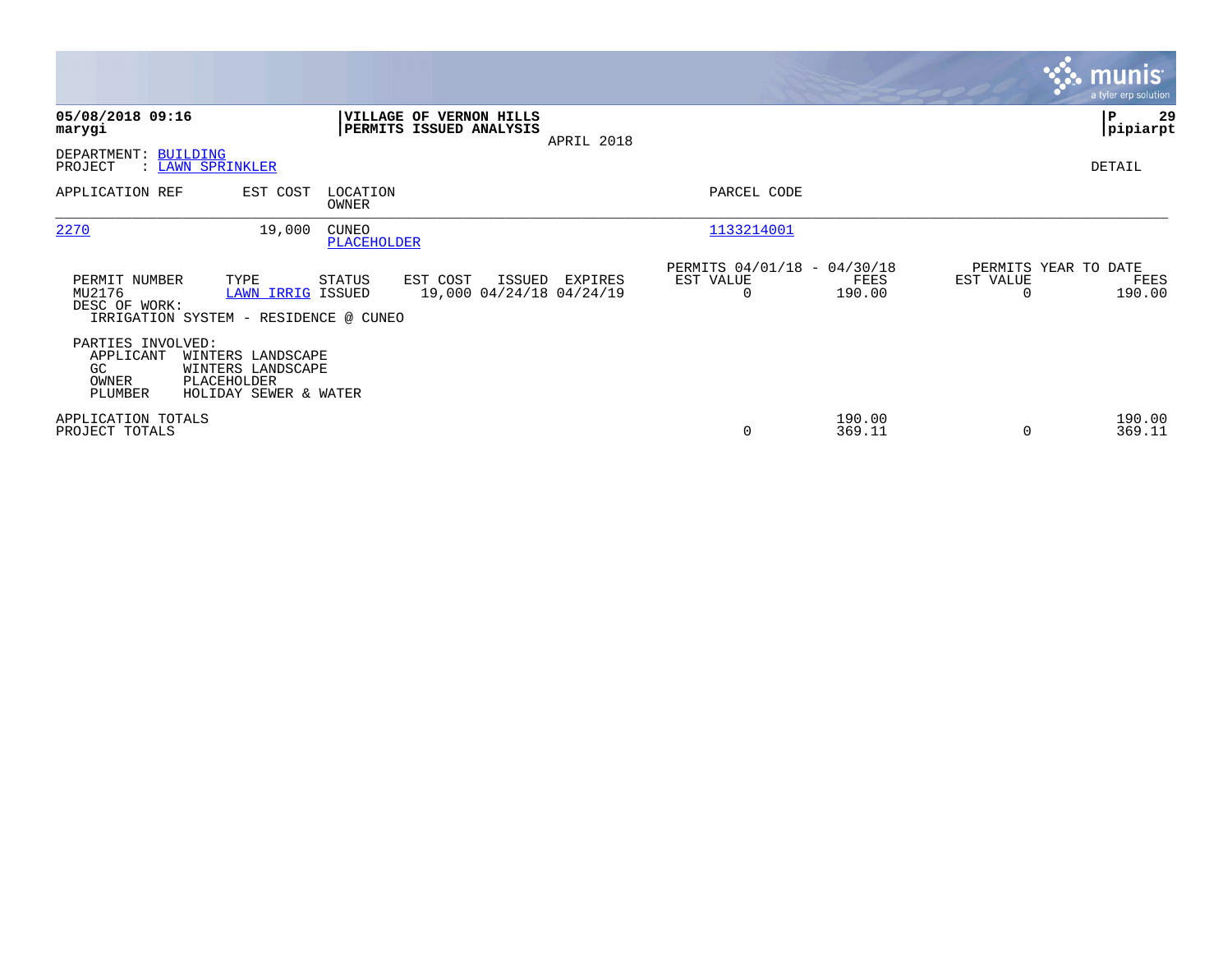|                                                          |                                                                                |                             |                                                           |            |                                                      |                  |           | <b>munis</b><br>a tyler erp solution   |
|----------------------------------------------------------|--------------------------------------------------------------------------------|-----------------------------|-----------------------------------------------------------|------------|------------------------------------------------------|------------------|-----------|----------------------------------------|
| 05/08/2018 09:16<br>marygi                               |                                                                                |                             | <b>VILLAGE OF VERNON HILLS</b><br>PERMITS ISSUED ANALYSIS | APRIL 2018 |                                                      |                  |           | ∣P<br>29<br> pipiarpt                  |
| DEPARTMENT: BUILDING<br>PROJECT                          | : LAWN SPRINKLER                                                               |                             |                                                           |            |                                                      |                  |           | DETAIL                                 |
| APPLICATION REF                                          | EST COST                                                                       | LOCATION<br>OWNER           |                                                           |            | PARCEL CODE                                          |                  |           |                                        |
| 2270                                                     | 19,000                                                                         | <b>CUNEO</b><br>PLACEHOLDER |                                                           |            | 1133214001                                           |                  |           |                                        |
| PERMIT NUMBER<br>MU2176<br>DESC OF WORK:                 | TYPE<br><b>LAWN IRRIG ISSUED</b><br>IRRIGATION SYSTEM - RESIDENCE @ CUNEO      | STATUS                      | EST COST<br>ISSUED<br>19,000 04/24/18 04/24/19            | EXPIRES    | PERMITS 04/01/18 - 04/30/18<br>EST VALUE<br>$\Omega$ | FEES<br>190.00   | EST VALUE | PERMITS YEAR TO DATE<br>FEES<br>190.00 |
| PARTIES INVOLVED:<br>APPLICANT<br>GC<br>OWNER<br>PLUMBER | WINTERS LANDSCAPE<br>WINTERS LANDSCAPE<br>PLACEHOLDER<br>HOLIDAY SEWER & WATER |                             |                                                           |            |                                                      |                  |           |                                        |
| APPLICATION TOTALS<br>PROJECT TOTALS                     |                                                                                |                             |                                                           |            | 0                                                    | 190.00<br>369.11 | $\Omega$  | 190.00<br>369.11                       |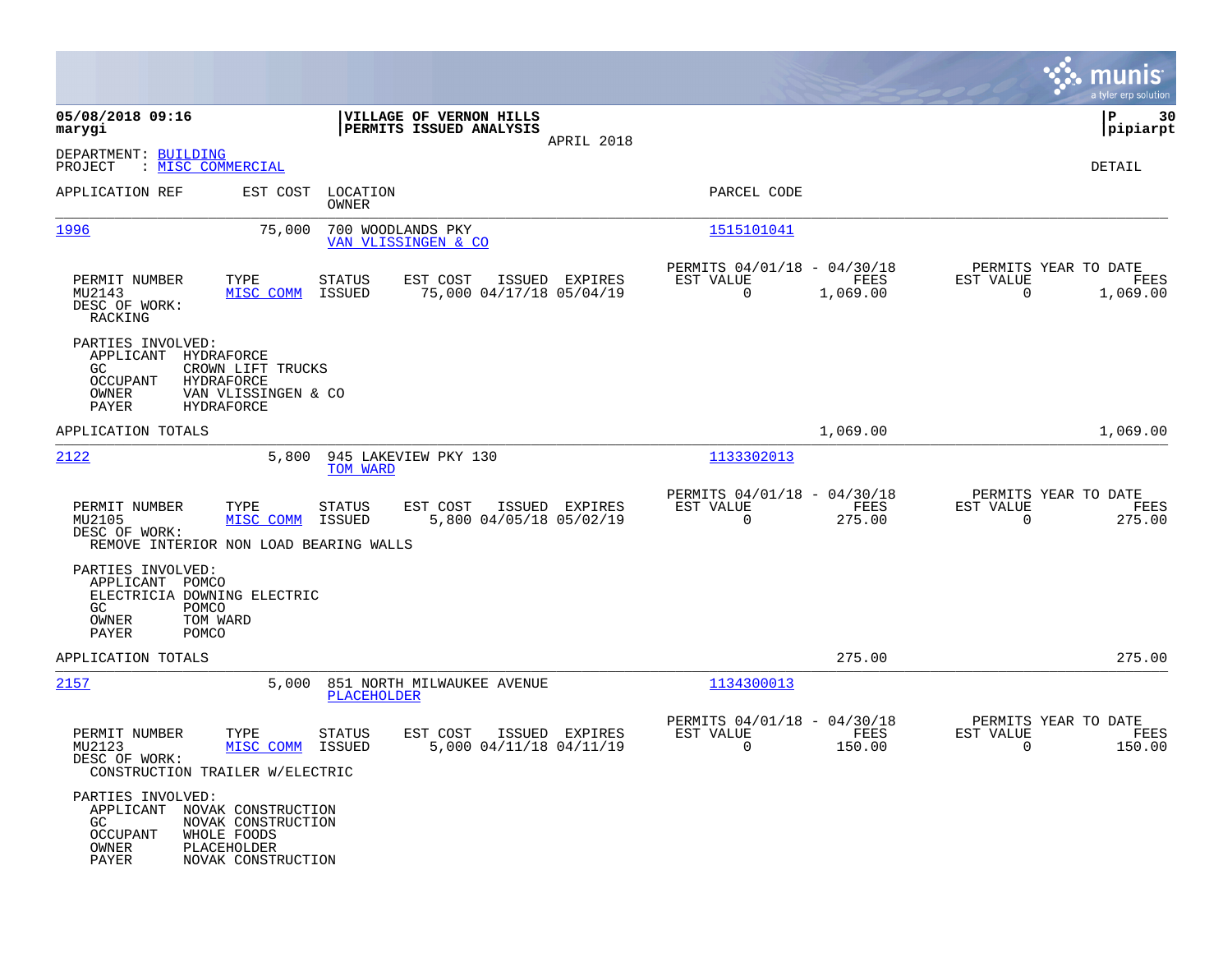|                                                                                                                |                                                                                                  |                         |                                                    |                |                                                         |                  |                                                     | munis<br>a tyler erp solution |
|----------------------------------------------------------------------------------------------------------------|--------------------------------------------------------------------------------------------------|-------------------------|----------------------------------------------------|----------------|---------------------------------------------------------|------------------|-----------------------------------------------------|-------------------------------|
| 05/08/2018 09:16<br>marygi                                                                                     |                                                                                                  |                         | VILLAGE OF VERNON HILLS<br>PERMITS ISSUED ANALYSIS |                |                                                         |                  |                                                     | ΙP<br>30<br> pipiarpt         |
| DEPARTMENT: BUILDING<br>: MISC COMMERCIAL<br>PROJECT                                                           |                                                                                                  |                         |                                                    | APRIL 2018     |                                                         |                  |                                                     | DETAIL                        |
| APPLICATION REF                                                                                                | EST COST                                                                                         | LOCATION<br>OWNER       |                                                    |                | PARCEL CODE                                             |                  |                                                     |                               |
| 1996                                                                                                           | 75,000                                                                                           | 700 WOODLANDS PKY       | VAN VLISSINGEN & CO                                |                | 1515101041                                              |                  |                                                     |                               |
| PERMIT NUMBER<br>MU2143<br>DESC OF WORK:<br>RACKING                                                            | TYPE<br>MISC COMM                                                                                | <b>STATUS</b><br>ISSUED | EST COST<br>75,000 04/17/18 05/04/19               | ISSUED EXPIRES | PERMITS 04/01/18 - 04/30/18<br>EST VALUE<br>$\mathbf 0$ | FEES<br>1,069.00 | PERMITS YEAR TO DATE<br>EST VALUE<br>$\overline{0}$ | FEES<br>1,069.00              |
| PARTIES INVOLVED:<br>APPLICANT<br>GC.<br><b>OCCUPANT</b><br>OWNER<br>PAYER                                     | HYDRAFORCE<br>CROWN LIFT TRUCKS<br><b>HYDRAFORCE</b><br>VAN VLISSINGEN & CO<br><b>HYDRAFORCE</b> |                         |                                                    |                |                                                         |                  |                                                     |                               |
| APPLICATION TOTALS                                                                                             |                                                                                                  |                         |                                                    |                |                                                         | 1,069.00         |                                                     | 1,069.00                      |
| 2122                                                                                                           | 5,800                                                                                            | TOM WARD                | 945 LAKEVIEW PKY 130                               |                | 1133302013                                              |                  |                                                     |                               |
| PERMIT NUMBER<br>MU2105<br>DESC OF WORK:<br>REMOVE INTERIOR NON LOAD BEARING WALLS                             | TYPE<br>MISC COMM                                                                                | <b>STATUS</b><br>ISSUED | EST COST<br>5,800 04/05/18 05/02/19                | ISSUED EXPIRES | PERMITS 04/01/18 - 04/30/18<br>EST VALUE<br>$\mathbf 0$ | FEES<br>275.00   | PERMITS YEAR TO DATE<br>EST VALUE<br>$\mathbf 0$    | FEES<br>275.00                |
| PARTIES INVOLVED:<br>APPLICANT POMCO<br>ELECTRICIA DOWNING ELECTRIC<br>GC.<br>POMCO<br>OWNER<br>PAYER<br>POMCO | TOM WARD                                                                                         |                         |                                                    |                |                                                         |                  |                                                     |                               |
| APPLICATION TOTALS                                                                                             |                                                                                                  |                         |                                                    |                |                                                         | 275.00           |                                                     | 275.00                        |
| 2157                                                                                                           | 5,000                                                                                            | <b>PLACEHOLDER</b>      | 851 NORTH MILWAUKEE AVENUE                         |                | 1134300013                                              |                  |                                                     |                               |
| PERMIT NUMBER<br>MU2123<br>DESC OF WORK:<br>CONSTRUCTION TRAILER W/ELECTRIC                                    | TYPE<br>MISC COMM                                                                                | STATUS<br>ISSUED        | EST COST<br>5,000 04/11/18 04/11/19                | ISSUED EXPIRES | PERMITS 04/01/18 - 04/30/18<br>EST VALUE<br>0           | FEES<br>150.00   | PERMITS YEAR TO DATE<br>EST VALUE<br>0              | FEES<br>150.00                |
| PARTIES INVOLVED:<br>APPLICANT NOVAK CONSTRUCTION<br>GC<br><b>OCCUPANT</b><br>OWNER<br>PAYER                   | NOVAK CONSTRUCTION<br>WHOLE FOODS<br>PLACEHOLDER<br>NOVAK CONSTRUCTION                           |                         |                                                    |                |                                                         |                  |                                                     |                               |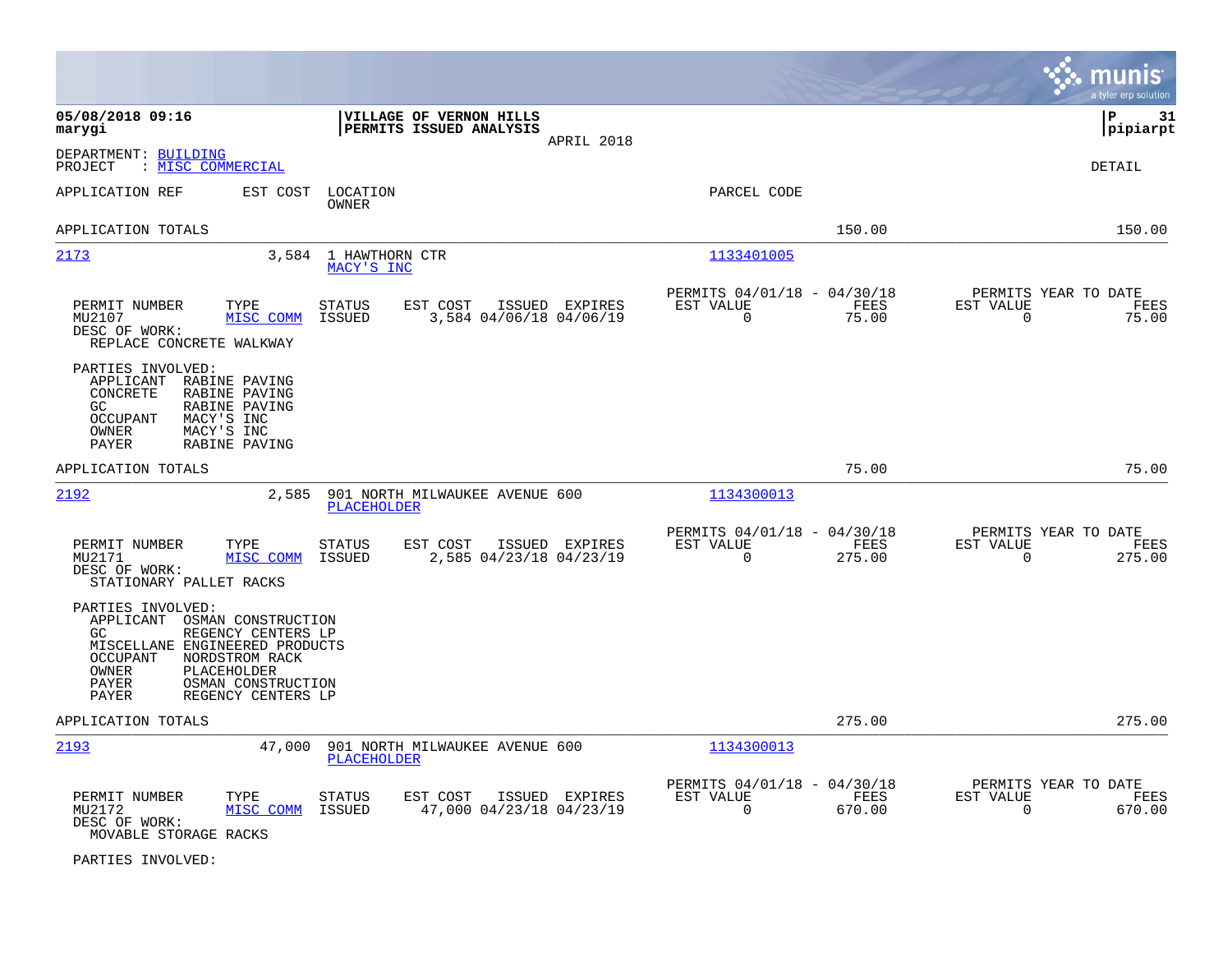|                                                                                                                                                                                                                                             |                                                                                  |                                                                          | munis<br>a tyler erp solution                                      |
|---------------------------------------------------------------------------------------------------------------------------------------------------------------------------------------------------------------------------------------------|----------------------------------------------------------------------------------|--------------------------------------------------------------------------|--------------------------------------------------------------------|
| 05/08/2018 09:16<br>marygi                                                                                                                                                                                                                  | VILLAGE OF VERNON HILLS<br>PERMITS ISSUED ANALYSIS<br>APRIL 2018                 |                                                                          | l P<br>-31<br> pipiarpt                                            |
| DEPARTMENT: BUILDING<br>: MISC COMMERCIAL<br>PROJECT                                                                                                                                                                                        |                                                                                  |                                                                          | <b>DETAIL</b>                                                      |
| APPLICATION REF<br>EST COST                                                                                                                                                                                                                 | LOCATION<br>OWNER                                                                | PARCEL CODE                                                              |                                                                    |
| APPLICATION TOTALS                                                                                                                                                                                                                          |                                                                                  | 150.00                                                                   | 150.00                                                             |
| 2173                                                                                                                                                                                                                                        | 3,584 1 HAWTHORN CTR<br>MACY'S INC                                               | 1133401005                                                               |                                                                    |
| PERMIT NUMBER<br>TYPE<br>MU2107<br>MISC COMM<br>DESC OF WORK:<br>REPLACE CONCRETE WALKWAY                                                                                                                                                   | EST COST<br>STATUS<br>ISSUED EXPIRES<br>3,584 04/06/18 04/06/19<br>ISSUED        | PERMITS 04/01/18 - 04/30/18<br>EST VALUE<br>FEES<br>$\mathbf 0$<br>75.00 | PERMITS YEAR TO DATE<br>EST VALUE<br>FEES<br>$\mathbf 0$<br>75.00  |
| PARTIES INVOLVED:<br>APPLICANT<br>RABINE PAVING<br>CONCRETE<br>RABINE PAVING<br>GC<br>RABINE PAVING<br>OCCUPANT<br>MACY'S INC<br>MACY'S INC<br>OWNER<br>PAYER<br>RABINE PAVING                                                              |                                                                                  |                                                                          |                                                                    |
| APPLICATION TOTALS                                                                                                                                                                                                                          |                                                                                  | 75.00                                                                    | 75.00                                                              |
| 2192<br>2,585                                                                                                                                                                                                                               | 901 NORTH MILWAUKEE AVENUE 600<br><b>PLACEHOLDER</b>                             | 1134300013                                                               |                                                                    |
| PERMIT NUMBER<br>TYPE<br>MU2171<br>MISC COMM<br>DESC OF WORK:<br>STATIONARY PALLET RACKS                                                                                                                                                    | <b>STATUS</b><br>EST COST<br>ISSUED EXPIRES<br>ISSUED<br>2,585 04/23/18 04/23/19 | PERMITS 04/01/18 - 04/30/18<br>EST VALUE<br>FEES<br>0<br>275.00          | PERMITS YEAR TO DATE<br>EST VALUE<br>FEES<br>$\mathbf 0$<br>275.00 |
| PARTIES INVOLVED:<br>APPLICANT OSMAN CONSTRUCTION<br>GC.<br>REGENCY CENTERS LP<br>MISCELLANE ENGINEERED PRODUCTS<br>OCCUPANT<br>NORDSTROM RACK<br>OWNER<br><b>PLACEHOLDER</b><br>PAYER<br>OSMAN CONSTRUCTION<br>REGENCY CENTERS LP<br>PAYER |                                                                                  |                                                                          |                                                                    |
| APPLICATION TOTALS                                                                                                                                                                                                                          |                                                                                  | 275.00                                                                   | 275.00                                                             |
| 2193<br>47,000                                                                                                                                                                                                                              | 901 NORTH MILWAUKEE AVENUE 600<br><b>PLACEHOLDER</b>                             | 1134300013                                                               |                                                                    |
| PERMIT NUMBER<br>TYPE<br>MISC COMM<br>MU2172<br>DESC OF WORK:<br>MOVABLE STORAGE RACKS                                                                                                                                                      | EST COST<br>ISSUED EXPIRES<br>STATUS<br>47,000 04/23/18 04/23/19<br>ISSUED       | PERMITS 04/01/18 - 04/30/18<br>EST VALUE<br>FEES<br>$\Omega$<br>670.00   | PERMITS YEAR TO DATE<br>EST VALUE<br>FEES<br>$\Omega$<br>670.00    |

PARTIES INVOLVED: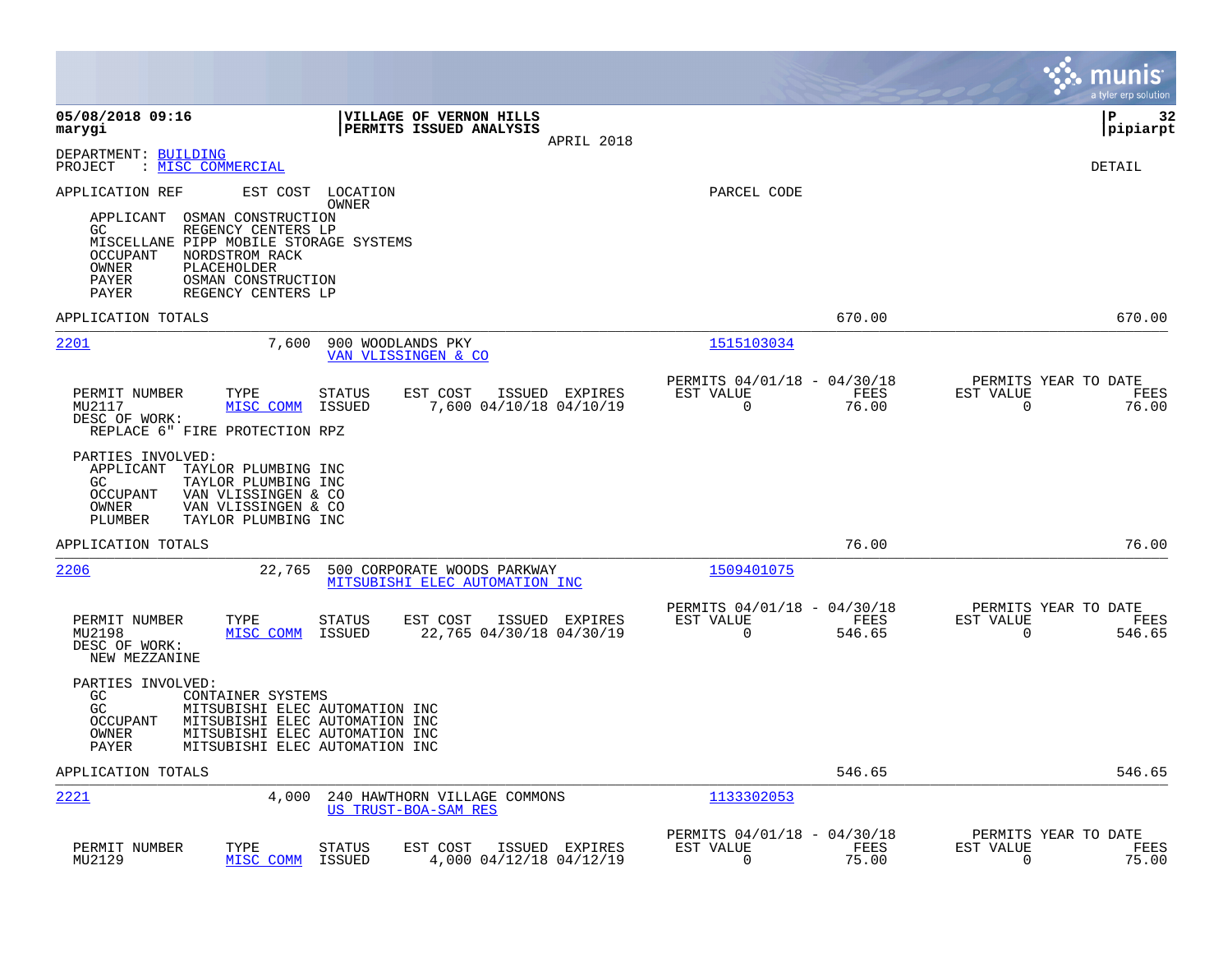|                                                                                                                                                                                                                                                                                       |                                                                           | munis<br>a tyler erp solution                                      |
|---------------------------------------------------------------------------------------------------------------------------------------------------------------------------------------------------------------------------------------------------------------------------------------|---------------------------------------------------------------------------|--------------------------------------------------------------------|
| 05/08/2018 09:16<br>VILLAGE OF VERNON HILLS<br>marygi<br>PERMITS ISSUED ANALYSIS<br>APRIL 2018                                                                                                                                                                                        |                                                                           | l P<br>32<br> pipiarpt                                             |
| DEPARTMENT: BUILDING<br>PROJECT<br>: MISC COMMERCIAL                                                                                                                                                                                                                                  |                                                                           | DETAIL                                                             |
| EST COST<br>APPLICATION REF<br>LOCATION<br>OWNER<br>OSMAN CONSTRUCTION<br>APPLICANT<br>GC.<br>REGENCY CENTERS LP<br>MISCELLANE PIPP MOBILE STORAGE SYSTEMS<br><b>OCCUPANT</b><br>NORDSTROM RACK<br>OWNER<br>PLACEHOLDER<br>PAYER<br>OSMAN CONSTRUCTION<br>PAYER<br>REGENCY CENTERS LP | PARCEL CODE                                                               |                                                                    |
| APPLICATION TOTALS                                                                                                                                                                                                                                                                    | 670.00                                                                    | 670.00                                                             |
| 2201<br>7,600<br>900 WOODLANDS PKY<br>VAN VLISSINGEN & CO                                                                                                                                                                                                                             | 1515103034                                                                |                                                                    |
| PERMIT NUMBER<br>STATUS<br>EST COST<br>ISSUED EXPIRES<br>TYPE<br>MISC COMM<br>7,600 04/10/18 04/10/19<br>MU2117<br>ISSUED<br>DESC OF WORK:<br>REPLACE 6" FIRE PROTECTION RPZ                                                                                                          | PERMITS 04/01/18 - 04/30/18<br>EST VALUE<br>FEES<br>$\mathbf 0$<br>76.00  | PERMITS YEAR TO DATE<br>EST VALUE<br>FEES<br>0<br>76.00            |
| PARTIES INVOLVED:<br>APPLICANT<br>TAYLOR PLUMBING INC<br>GC<br>TAYLOR PLUMBING INC<br>OCCUPANT<br>VAN VLISSINGEN & CO<br>OWNER<br>VAN VLISSINGEN & CO<br>PLUMBER<br>TAYLOR PLUMBING INC                                                                                               |                                                                           |                                                                    |
| APPLICATION TOTALS                                                                                                                                                                                                                                                                    | 76.00                                                                     | 76.00                                                              |
| 2206<br>22,765<br>500 CORPORATE WOODS PARKWAY<br>MITSUBISHI ELEC AUTOMATION INC                                                                                                                                                                                                       | 1509401075                                                                |                                                                    |
| PERMIT NUMBER<br>TYPE<br>EST COST<br>STATUS<br>ISSUED EXPIRES<br>MU2198<br>MISC COMM<br>ISSUED<br>22,765 04/30/18 04/30/19<br>DESC OF WORK:<br>NEW MEZZANINE                                                                                                                          | PERMITS 04/01/18 - 04/30/18<br>EST VALUE<br>FEES<br>$\mathbf 0$<br>546.65 | PERMITS YEAR TO DATE<br>EST VALUE<br>FEES<br>$\mathbf 0$<br>546.65 |
| PARTIES INVOLVED:<br>GC<br>CONTAINER SYSTEMS<br>GC<br>MITSUBISHI ELEC AUTOMATION INC<br><b>OCCUPANT</b><br>MITSUBISHI ELEC AUTOMATION INC<br>OWNER<br>MITSUBISHI ELEC AUTOMATION INC<br>PAYER<br>MITSUBISHI ELEC AUTOMATION INC                                                       |                                                                           |                                                                    |
| APPLICATION TOTALS                                                                                                                                                                                                                                                                    | 546.65                                                                    | 546.65                                                             |
| 2221<br>4,000<br>240 HAWTHORN VILLAGE COMMONS<br>US TRUST-BOA-SAM RES                                                                                                                                                                                                                 | 1133302053                                                                |                                                                    |
| PERMIT NUMBER<br>TYPE<br>STATUS<br>EST COST<br>ISSUED EXPIRES<br>MISC COMM<br>MU2129<br>ISSUED<br>4,000 04/12/18 04/12/19                                                                                                                                                             | PERMITS 04/01/18 - 04/30/18<br>EST VALUE<br>FEES<br>75.00<br>$\Omega$     | PERMITS YEAR TO DATE<br>EST VALUE<br>FEES<br>75.00<br>$\Omega$     |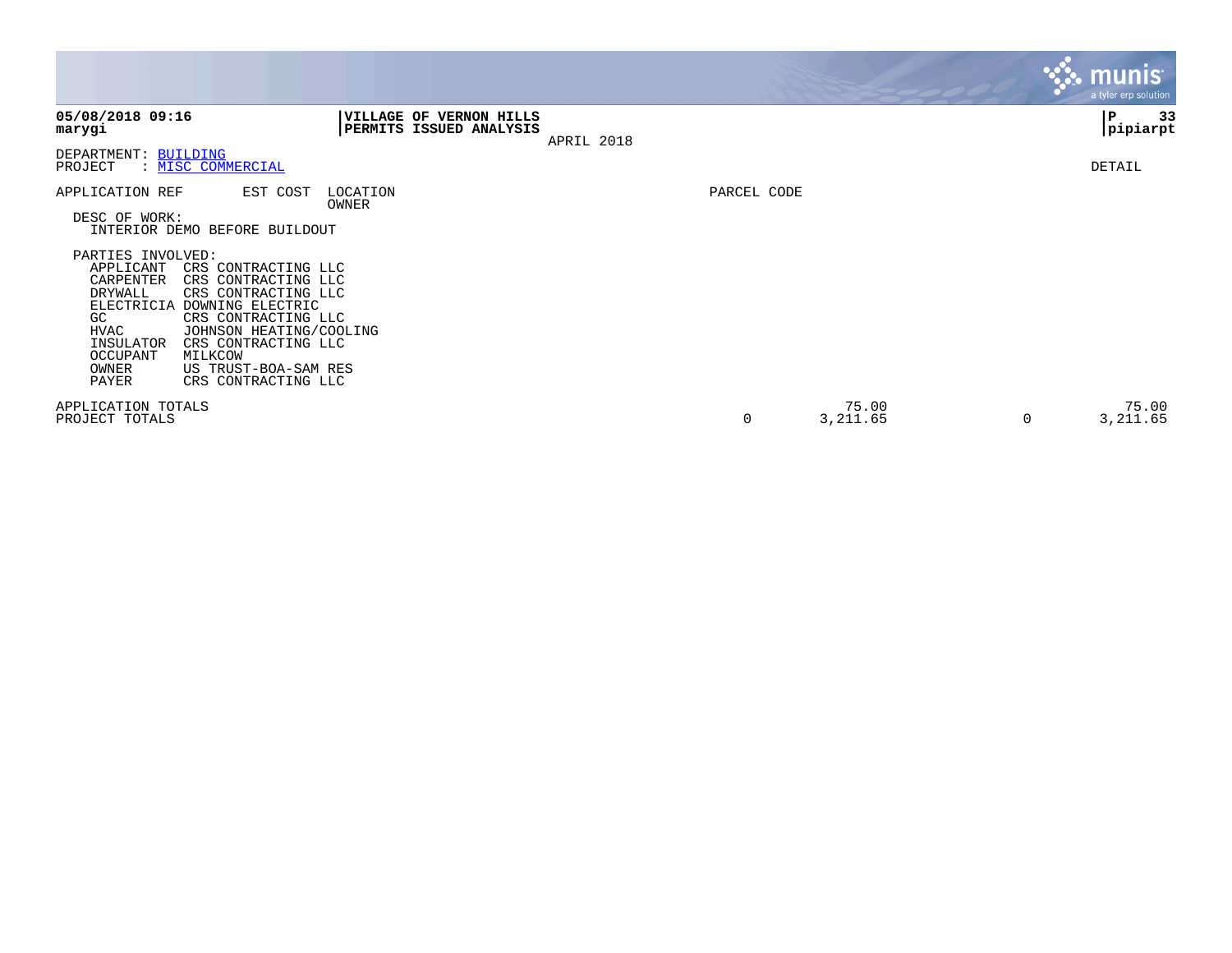|                                                                                                                                                                                                                                                                                                   |                                                           |            |             |                        | $\mathbf{3.3}$ munis<br>a tyler erp solution |
|---------------------------------------------------------------------------------------------------------------------------------------------------------------------------------------------------------------------------------------------------------------------------------------------------|-----------------------------------------------------------|------------|-------------|------------------------|----------------------------------------------|
| 05/08/2018 09:16<br>marygi                                                                                                                                                                                                                                                                        | <b>VILLAGE OF VERNON HILLS</b><br>PERMITS ISSUED ANALYSIS | APRIL 2018 |             |                        | 33<br>P<br> pipiarpt                         |
| DEPARTMENT: BUILDING<br>PROJECT<br>: MISC COMMERCIAL                                                                                                                                                                                                                                              |                                                           |            |             |                        | DETAIL                                       |
| APPLICATION REF<br>EST COST<br>DESC OF WORK:<br>INTERIOR DEMO BEFORE BUILDOUT<br>PARTIES INVOLVED:<br>APPLICANT<br>CRS CONTRACTING LLC<br>CARPENTER<br>CRS CONTRACTING LLC<br>DRYWALL<br>CRS CONTRACTING LLC<br><b>ELECTRICIA</b><br>DOWNING ELECTRIC<br>CRS CONTRACTING LLC<br>GC<br><b>HVAC</b> | LOCATION<br>OWNER                                         |            | PARCEL CODE |                        |                                              |
| JOHNSON HEATING/COOLING<br>INSULATOR<br>CRS CONTRACTING LLC<br><b>OCCUPANT</b><br>MILKCOW<br>US TRUST-BOA-SAM RES<br>OWNER<br>PAYER<br>CRS CONTRACTING LLC<br>APPLICATION TOTALS<br>PROJECT TOTALS                                                                                                |                                                           |            | 0           | 75.00<br>3,211.65<br>0 | 75.00<br>3,211.65                            |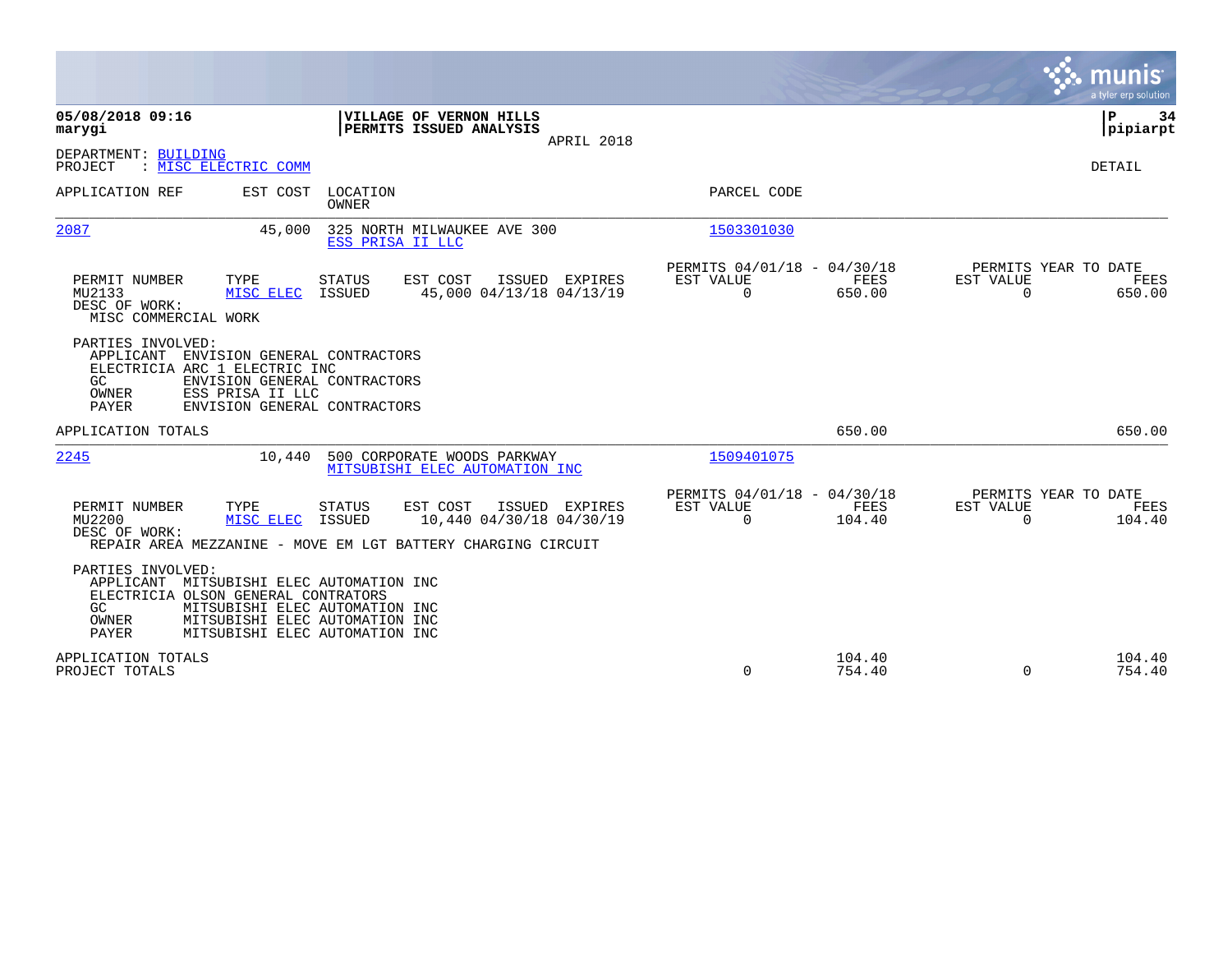|                                                                                                                                                                                                                                           |                                               |                                                      |                             | munis<br>a tyler erp solution                         |
|-------------------------------------------------------------------------------------------------------------------------------------------------------------------------------------------------------------------------------------------|-----------------------------------------------|------------------------------------------------------|-----------------------------|-------------------------------------------------------|
| 05/08/2018 09:16<br>VILLAGE OF VERNON HILLS<br>PERMITS ISSUED ANALYSIS<br>marygi                                                                                                                                                          | APRIL 2018                                    |                                                      |                             | ΙP<br>34<br> pipiarpt                                 |
| DEPARTMENT: BUILDING<br>: MISC ELECTRIC COMM<br>PROJECT                                                                                                                                                                                   |                                               |                                                      |                             | DETAIL                                                |
| APPLICATION REF<br>EST COST<br>LOCATION<br><b>OWNER</b>                                                                                                                                                                                   |                                               | PARCEL CODE                                          |                             |                                                       |
| 2087<br>325 NORTH MILWAUKEE AVE 300<br>45,000<br>ESS PRISA II LLC                                                                                                                                                                         |                                               | 1503301030                                           |                             |                                                       |
| PERMIT NUMBER<br>TYPE<br><b>STATUS</b><br>EST COST<br>MISC ELEC<br><b>ISSUED</b><br>MU2133<br>DESC OF WORK:<br>MISC COMMERCIAL WORK                                                                                                       | ISSUED EXPIRES<br>45,000 04/13/18 04/13/19    | PERMITS 04/01/18 - 04/30/18<br>EST VALUE<br>$\Omega$ | FEES<br>EST VALUE<br>650.00 | PERMITS YEAR TO DATE<br>FEES<br>$\mathbf 0$<br>650.00 |
| PARTIES INVOLVED:<br>APPLICANT<br>ENVISION GENERAL CONTRACTORS<br>ELECTRICIA ARC 1 ELECTRIC INC<br>GC<br>ENVISION GENERAL CONTRACTORS<br>OWNER<br>ESS PRISA II LLC<br>ENVISION GENERAL CONTRACTORS<br>PAYER                               |                                               |                                                      |                             |                                                       |
| APPLICATION TOTALS                                                                                                                                                                                                                        |                                               |                                                      | 650.00                      | 650.00                                                |
| 2245<br>10,440<br>500 CORPORATE WOODS PARKWAY<br>MITSUBISHI ELEC AUTOMATION INC                                                                                                                                                           |                                               | 1509401075                                           |                             |                                                       |
| EST COST<br>PERMIT NUMBER<br>TYPE<br><b>STATUS</b><br>MU2200<br>MISC ELEC<br>ISSUED<br>DESC OF WORK:<br>REPAIR AREA MEZZANINE - MOVE EM LGT BATTERY CHARGING CIRCUIT                                                                      | ISSUED<br>EXPIRES<br>10,440 04/30/18 04/30/19 | PERMITS 04/01/18 - 04/30/18<br>EST VALUE<br>$\Omega$ | FEES<br>EST VALUE<br>104.40 | PERMITS YEAR TO DATE<br>FEES<br>$\Omega$<br>104.40    |
| PARTIES INVOLVED:<br>APPLICANT MITSUBISHI ELEC AUTOMATION INC<br>ELECTRICIA OLSON GENERAL CONTRATORS<br>GC<br>MITSUBISHI ELEC AUTOMATION INC<br>OWNER<br>MITSUBISHI ELEC AUTOMATION INC<br><b>PAYER</b><br>MITSUBISHI ELEC AUTOMATION INC |                                               |                                                      |                             |                                                       |
| APPLICATION TOTALS<br>PROJECT TOTALS                                                                                                                                                                                                      |                                               | 0                                                    | 104.40<br>754.40            | 104.40<br>$\Omega$<br>754.40                          |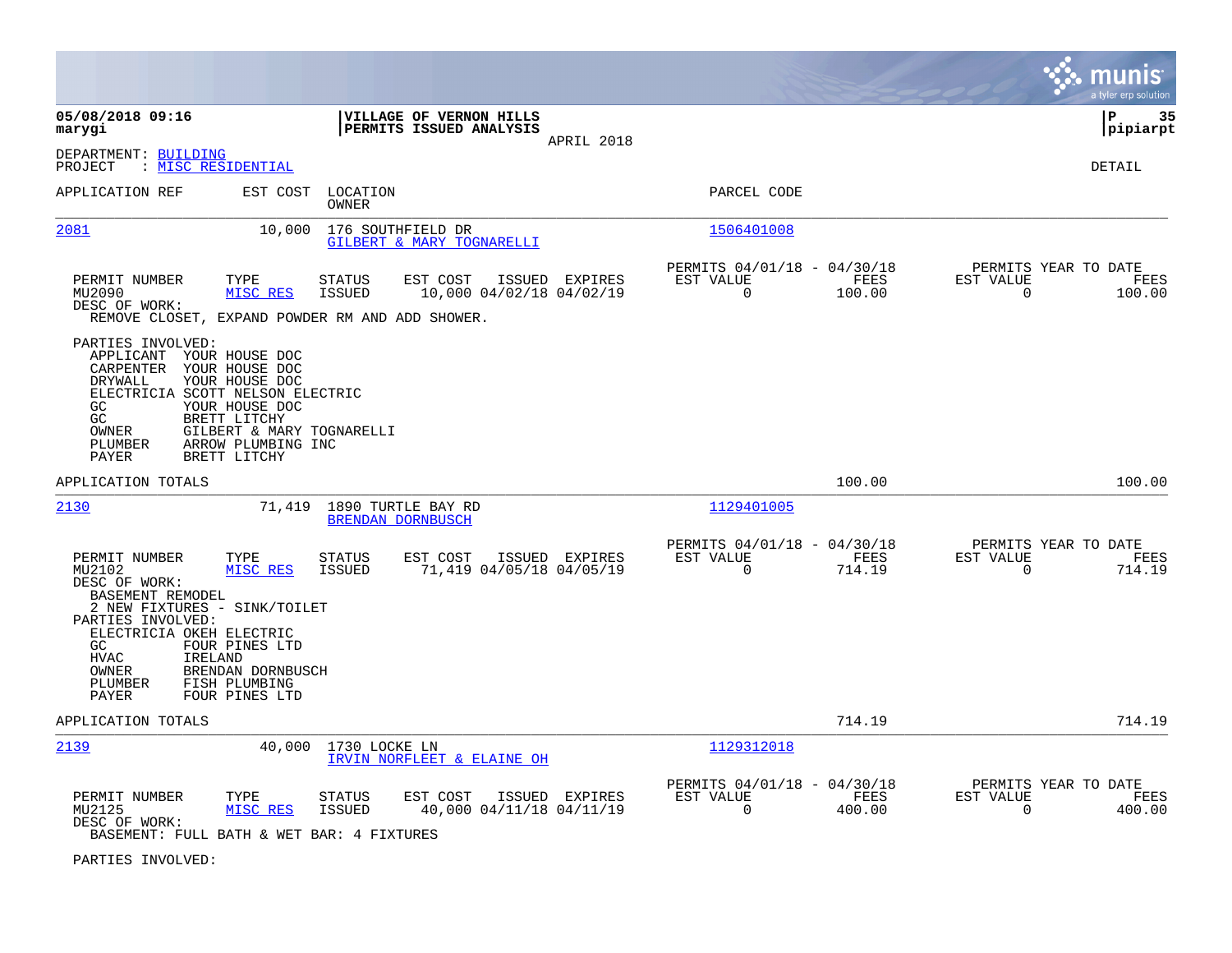|                                                                                                                                                                              |                                                                                                                                       |                                |                                                           |                |                                                         |                |                          | munis<br>a tyler erp solution          |
|------------------------------------------------------------------------------------------------------------------------------------------------------------------------------|---------------------------------------------------------------------------------------------------------------------------------------|--------------------------------|-----------------------------------------------------------|----------------|---------------------------------------------------------|----------------|--------------------------|----------------------------------------|
| 05/08/2018 09:16<br>marygi                                                                                                                                                   |                                                                                                                                       |                                | <b>VILLAGE OF VERNON HILLS</b><br>PERMITS ISSUED ANALYSIS | APRIL 2018     |                                                         |                |                          | l P<br>35<br> pipiarpt                 |
| DEPARTMENT: BUILDING<br>PROJECT                                                                                                                                              | : MI <u>SC RESIDENTIAL</u>                                                                                                            |                                |                                                           |                |                                                         |                |                          | DETAIL                                 |
| APPLICATION REF                                                                                                                                                              | EST COST                                                                                                                              | LOCATION<br>OWNER              |                                                           |                | PARCEL CODE                                             |                |                          |                                        |
| 2081                                                                                                                                                                         | 10,000                                                                                                                                |                                | 176 SOUTHFIELD DR<br>GILBERT & MARY TOGNARELLI            |                | 1506401008                                              |                |                          |                                        |
| PERMIT NUMBER<br>MU2090<br>DESC OF WORK:<br>REMOVE CLOSET, EXPAND POWDER RM AND ADD SHOWER.                                                                                  | TYPE<br>MISC RES                                                                                                                      | <b>STATUS</b><br><b>ISSUED</b> | EST COST<br>10,000 04/02/18 04/02/19                      | ISSUED EXPIRES | PERMITS 04/01/18 - 04/30/18<br>EST VALUE<br>$\mathbf 0$ | FEES<br>100.00 | EST VALUE<br>$\mathbf 0$ | PERMITS YEAR TO DATE<br>FEES<br>100.00 |
| PARTIES INVOLVED:<br>APPLICANT<br>CARPENTER YOUR HOUSE DOC<br>DRYWALL<br>ELECTRICIA SCOTT NELSON ELECTRIC<br>GC<br>GC<br>OWNER<br>PLUMBER<br>PAYER                           | YOUR HOUSE DOC<br>YOUR HOUSE DOC<br>YOUR HOUSE DOC<br>BRETT LITCHY<br>GILBERT & MARY TOGNARELLI<br>ARROW PLUMBING INC<br>BRETT LITCHY |                                |                                                           |                |                                                         |                |                          |                                        |
| APPLICATION TOTALS                                                                                                                                                           |                                                                                                                                       |                                |                                                           |                |                                                         | 100.00         |                          | 100.00                                 |
| 2130                                                                                                                                                                         | 71,419                                                                                                                                |                                | 1890 TURTLE BAY RD<br>BRENDAN DORNBUSCH                   |                | 1129401005                                              |                |                          |                                        |
| PERMIT NUMBER<br>MU2102<br>DESC OF WORK:<br>BASEMENT REMODEL<br>2 NEW FIXTURES - SINK/TOILET<br>PARTIES INVOLVED:<br>ELECTRICIA OKEH ELECTRIC<br>GC<br>${\tt HVAC}$<br>OWNER | TYPE<br>MISC RES<br>FOUR PINES LTD<br>IRELAND<br>BRENDAN DORNBUSCH                                                                    | STATUS<br><b>ISSUED</b>        | EST COST<br>71,419 04/05/18 04/05/19                      | ISSUED EXPIRES | PERMITS 04/01/18 - 04/30/18<br>EST VALUE<br>$\mathbf 0$ | FEES<br>714.19 | EST VALUE<br>$\mathbf 0$ | PERMITS YEAR TO DATE<br>FEES<br>714.19 |
| PLUMBER<br><b>PAYER</b>                                                                                                                                                      | FISH PLUMBING<br>FOUR PINES LTD                                                                                                       |                                |                                                           |                |                                                         |                |                          |                                        |
| APPLICATION TOTALS                                                                                                                                                           |                                                                                                                                       |                                |                                                           |                |                                                         | 714.19         |                          | 714.19                                 |
| 2139                                                                                                                                                                         | 40,000                                                                                                                                | 1730 LOCKE LN                  | IRVIN NORFLEET & ELAINE OH                                |                | 1129312018                                              |                |                          |                                        |
| PERMIT NUMBER<br>MU2125<br>DESC OF WORK:<br>BASEMENT: FULL BATH & WET BAR: 4 FIXTURES                                                                                        | TYPE<br>MISC RES                                                                                                                      | STATUS<br><b>ISSUED</b>        | EST COST<br>40,000 04/11/18 04/11/19                      | ISSUED EXPIRES | PERMITS 04/01/18 - 04/30/18<br>EST VALUE<br>$\mathbf 0$ | FEES<br>400.00 | EST VALUE<br>$\mathbf 0$ | PERMITS YEAR TO DATE<br>FEES<br>400.00 |

PARTIES INVOLVED: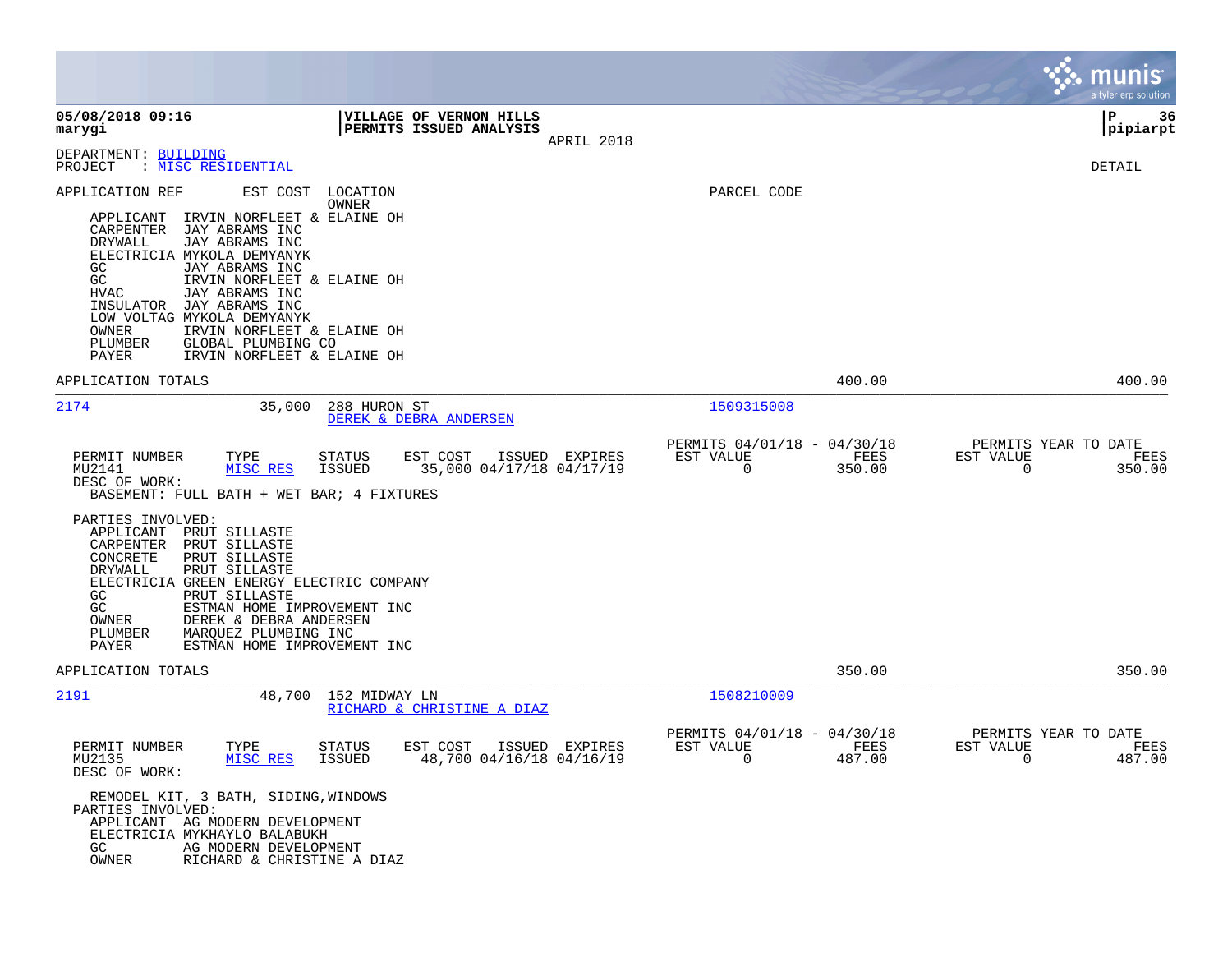|                                                                                                                                                                                                                                                                                                                                                                                                                                           |                                                                                          |                                                                           | munis<br>a tyler erp solution                                      |
|-------------------------------------------------------------------------------------------------------------------------------------------------------------------------------------------------------------------------------------------------------------------------------------------------------------------------------------------------------------------------------------------------------------------------------------------|------------------------------------------------------------------------------------------|---------------------------------------------------------------------------|--------------------------------------------------------------------|
| 05/08/2018 09:16<br>marygi                                                                                                                                                                                                                                                                                                                                                                                                                | VILLAGE OF VERNON HILLS<br>PERMITS ISSUED ANALYSIS<br>APRIL 2018                         |                                                                           | l P<br>36<br> pipiarpt                                             |
| DEPARTMENT: BUILDING<br>: MISC RESIDENTIAL<br>PROJECT                                                                                                                                                                                                                                                                                                                                                                                     |                                                                                          |                                                                           | DETAIL                                                             |
| APPLICATION REF<br>EST COST<br>IRVIN NORFLEET & ELAINE OH<br>APPLICANT<br>JAY ABRAMS INC<br>CARPENTER<br>DRYWALL<br>JAY ABRAMS INC<br>ELECTRICIA MYKOLA DEMYANYK<br>JAY ABRAMS INC<br>GC<br>GC<br>IRVIN NORFLEET & ELAINE OH<br><b>HVAC</b><br>JAY ABRAMS INC<br>JAY ABRAMS INC<br>INSULATOR<br>LOW VOLTAG MYKOLA DEMYANYK<br>OWNER<br>IRVIN NORFLEET & ELAINE OH<br>PLUMBER<br>GLOBAL PLUMBING CO<br>PAYER<br>IRVIN NORFLEET & ELAINE OH | LOCATION<br>OWNER                                                                        | PARCEL CODE                                                               |                                                                    |
| APPLICATION TOTALS                                                                                                                                                                                                                                                                                                                                                                                                                        |                                                                                          | 400.00                                                                    | 400.00                                                             |
| 2174<br>35,000                                                                                                                                                                                                                                                                                                                                                                                                                            | 288 HURON ST<br>DEREK & DEBRA ANDERSEN                                                   | 1509315008                                                                |                                                                    |
| PERMIT NUMBER<br>TYPE<br>MU2141<br>MISC RES<br>DESC OF WORK:<br>BASEMENT: FULL BATH + WET BAR; 4 FIXTURES<br>PARTIES INVOLVED:<br>APPLICANT<br>PRUT SILLASTE<br>CARPENTER<br>PRUT SILLASTE<br>CONCRETE<br>PRUT SILLASTE<br>DRYWALL<br>PRUT SILLASTE<br>ELECTRICIA GREEN ENERGY ELECTRIC COMPANY<br>GC<br>PRUT SILLASTE<br>GC<br>ESTMAN HOME IMPROVEMENT INC<br>OWNER<br>DEREK & DEBRA ANDERSEN<br>PLUMBER<br>MARQUEZ PLUMBING INC         | <b>STATUS</b><br>EST COST<br>ISSUED EXPIRES<br>35,000 04/17/18 04/17/19<br><b>ISSUED</b> | PERMITS 04/01/18 - 04/30/18<br>EST VALUE<br>FEES<br>0<br>350.00           | PERMITS YEAR TO DATE<br>EST VALUE<br>FEES<br>0<br>350.00           |
| PAYER<br>ESTMAN HOME IMPROVEMENT INC<br>APPLICATION TOTALS                                                                                                                                                                                                                                                                                                                                                                                |                                                                                          | 350.00                                                                    | 350.00                                                             |
| 2191<br>48,700                                                                                                                                                                                                                                                                                                                                                                                                                            | 152 MIDWAY LN<br>RICHARD & CHRISTINE A DIAZ                                              | 1508210009                                                                |                                                                    |
| PERMIT NUMBER<br>TYPE<br>MU2135<br>MISC RES<br>DESC OF WORK:<br>REMODEL KIT, 3 BATH, SIDING, WINDOWS                                                                                                                                                                                                                                                                                                                                      | <b>STATUS</b><br>EST COST<br>ISSUED EXPIRES<br><b>ISSUED</b><br>48,700 04/16/18 04/16/19 | PERMITS 04/01/18 - 04/30/18<br>EST VALUE<br>FEES<br>$\mathbf 0$<br>487.00 | PERMITS YEAR TO DATE<br>EST VALUE<br>FEES<br>$\mathbf 0$<br>487.00 |
| PARTIES INVOLVED:<br>APPLICANT AG MODERN DEVELOPMENT<br>ELECTRICIA MYKHAYLO BALABUKH<br>GC.<br>AG MODERN DEVELOPMENT<br>OWNER<br>RICHARD & CHRISTINE A DIAZ                                                                                                                                                                                                                                                                               |                                                                                          |                                                                           |                                                                    |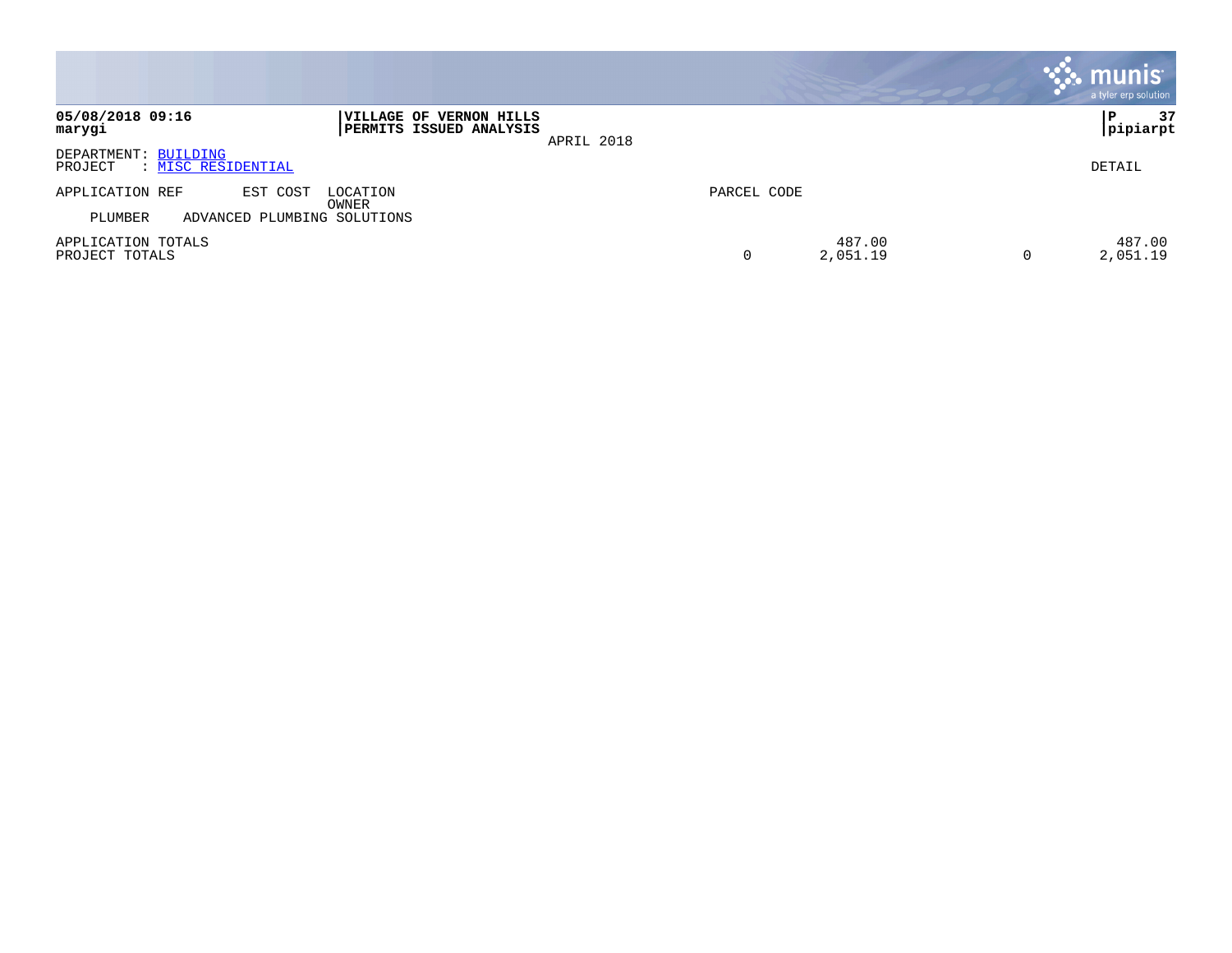|                                                       |                                                           |            |             |                    |          | <b>munis</b><br>a tyler erp solution |
|-------------------------------------------------------|-----------------------------------------------------------|------------|-------------|--------------------|----------|--------------------------------------|
| 05/08/2018 09:16<br>marygi                            | VILLAGE OF VERNON HILLS<br><b>PERMITS ISSUED ANALYSIS</b> | APRIL 2018 |             |                    |          | 37<br>P<br> pipiarpt                 |
| DEPARTMENT: BUILDING<br>: MISC RESIDENTIAL<br>PROJECT |                                                           |            |             |                    |          | DETAIL                               |
| APPLICATION REF<br>EST COST                           | LOCATION<br>OWNER                                         |            | PARCEL CODE |                    |          |                                      |
| PLUMBER<br>ADVANCED PLUMBING SOLUTIONS                |                                                           |            |             |                    |          |                                      |
| APPLICATION TOTALS<br>PROJECT TOTALS                  |                                                           |            | 0           | 487.00<br>2,051.19 | $\Omega$ | 487.00<br>2,051.19                   |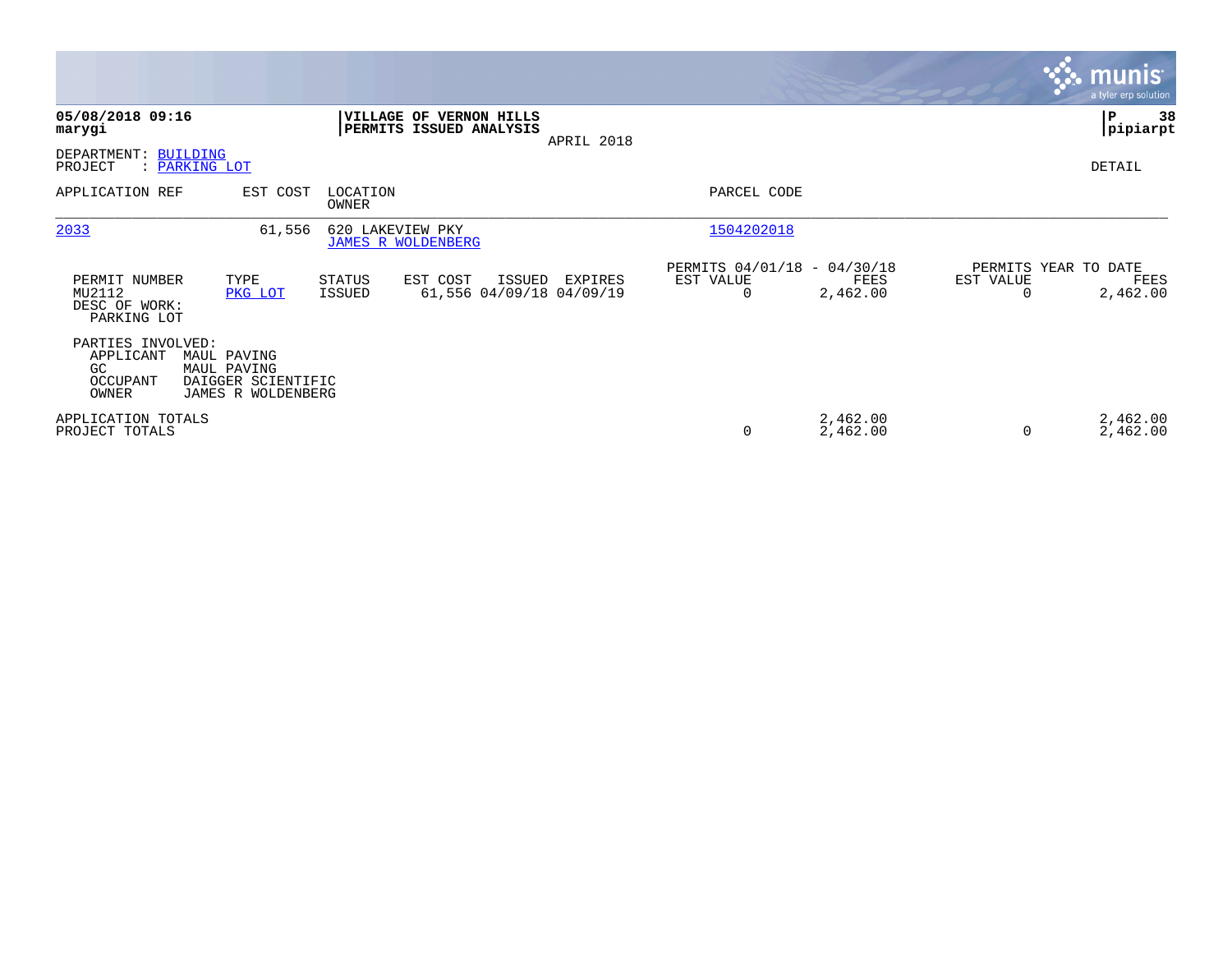|                                                           |                                                                        |                                               |                                                    |            |                                               |                      |           | <b>munis</b><br>a tyler erp solution     |
|-----------------------------------------------------------|------------------------------------------------------------------------|-----------------------------------------------|----------------------------------------------------|------------|-----------------------------------------------|----------------------|-----------|------------------------------------------|
| 05/08/2018 09:16<br>marygi                                |                                                                        |                                               | VILLAGE OF VERNON HILLS<br>PERMITS ISSUED ANALYSIS | APRIL 2018 |                                               |                      |           | ∣P<br>38<br> pipiarpt                    |
| DEPARTMENT:<br>PROJECT                                    | <b>BUILDING</b><br>: PARKING LOT                                       |                                               |                                                    |            |                                               |                      |           | DETAIL                                   |
| APPLICATION REF                                           | EST COST                                                               | LOCATION<br>OWNER                             |                                                    |            | PARCEL CODE                                   |                      |           |                                          |
| 2033                                                      | 61,556                                                                 | 620 LAKEVIEW PKY<br><b>JAMES R WOLDENBERG</b> |                                                    |            | 1504202018                                    |                      |           |                                          |
| PERMIT NUMBER<br>MU2112<br>DESC OF WORK:<br>PARKING LOT   | TYPE<br>PKG LOT                                                        | <b>STATUS</b><br><b>ISSUED</b>                | EST COST<br>ISSUED<br>61,556 04/09/18 04/09/19     | EXPIRES    | PERMITS 04/01/18 - 04/30/18<br>EST VALUE<br>0 | FEES<br>2,462.00     | EST VALUE | PERMITS YEAR TO DATE<br>FEES<br>2,462.00 |
| PARTIES INVOLVED:<br>APPLICANT<br>GC<br>OCCUPANT<br>OWNER | MAUL PAVING<br>MAUL PAVING<br>DAIGGER SCIENTIFIC<br>JAMES R WOLDENBERG |                                               |                                                    |            |                                               |                      |           |                                          |
| APPLICATION TOTALS<br>PROJECT TOTALS                      |                                                                        |                                               |                                                    |            | 0                                             | 2,462.00<br>2,462.00 |           | 2,462.00<br>2,462.00                     |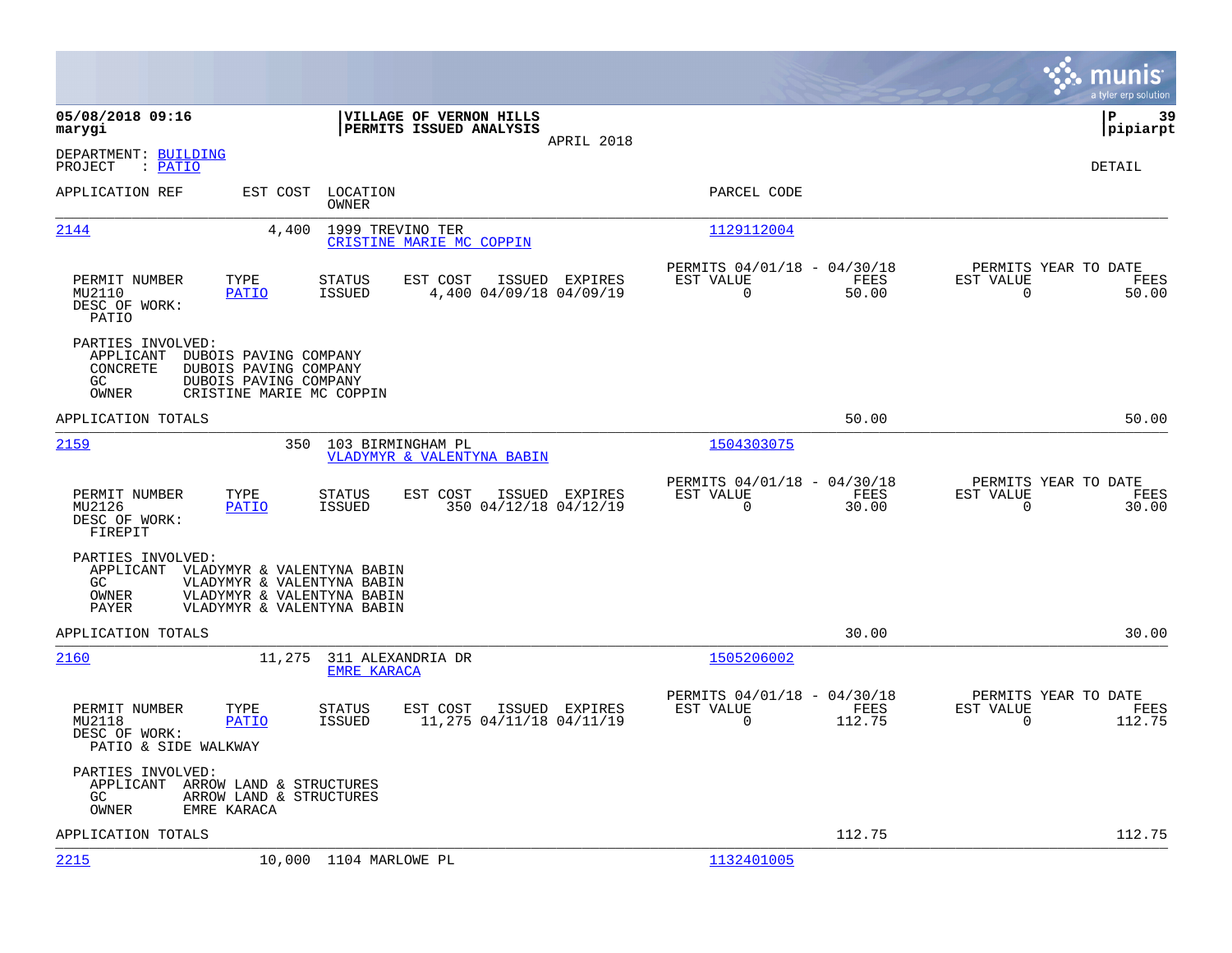|                                                                                          |                                                                                                                      |                                            |                                                      |                |                                                  | munis<br>a tyler erp solution |
|------------------------------------------------------------------------------------------|----------------------------------------------------------------------------------------------------------------------|--------------------------------------------|------------------------------------------------------|----------------|--------------------------------------------------|-------------------------------|
| 05/08/2018 09:16<br>marygi                                                               | VILLAGE OF VERNON HILLS<br>PERMITS ISSUED ANALYSIS                                                                   | APRIL 2018                                 |                                                      |                |                                                  | lР<br>39<br> pipiarpt         |
| DEPARTMENT: BUILDING<br>PROJECT<br>: PATIO                                               |                                                                                                                      |                                            |                                                      |                |                                                  | DETAIL                        |
| APPLICATION REF                                                                          | EST COST<br>LOCATION<br><b>OWNER</b>                                                                                 |                                            | PARCEL CODE                                          |                |                                                  |                               |
| 2144                                                                                     | 4,400<br>1999 TREVINO TER<br>CRISTINE MARIE MC COPPIN                                                                |                                            | 1129112004                                           |                |                                                  |                               |
| PERMIT NUMBER<br>TYPE<br>MU2110<br><b>PATIO</b><br>DESC OF WORK:<br>PATIO                | EST COST<br><b>STATUS</b><br><b>ISSUED</b>                                                                           | ISSUED EXPIRES<br>4,400 04/09/18 04/09/19  | PERMITS 04/01/18 - 04/30/18<br>EST VALUE<br>0        | FEES<br>50.00  | PERMITS YEAR TO DATE<br>EST VALUE<br>$\mathbf 0$ | FEES<br>50.00                 |
| PARTIES INVOLVED:<br>APPLICANT<br>CONCRETE<br>GC<br>OWNER                                | DUBOIS PAVING COMPANY<br>DUBOIS PAVING COMPANY<br>DUBOIS PAVING COMPANY<br>CRISTINE MARIE MC COPPIN                  |                                            |                                                      |                |                                                  |                               |
| APPLICATION TOTALS                                                                       |                                                                                                                      |                                            |                                                      | 50.00          |                                                  | 50.00                         |
| 2159                                                                                     | 350<br>103 BIRMINGHAM PL<br>VLADYMYR & VALENTYNA BABIN                                                               |                                            | 1504303075                                           |                |                                                  |                               |
| PERMIT NUMBER<br>TYPE<br>MU2126<br>PATIO<br>DESC OF WORK:<br>FIREPIT                     | <b>STATUS</b><br>EST COST<br>ISSUED                                                                                  | ISSUED EXPIRES<br>350 04/12/18 04/12/19    | PERMITS 04/01/18 - 04/30/18<br>EST VALUE<br>$\Omega$ | FEES<br>30.00  | PERMITS YEAR TO DATE<br>EST VALUE<br>$\Omega$    | FEES<br>30.00                 |
| PARTIES INVOLVED:<br>APPLICANT<br>GC.<br>OWNER<br>PAYER                                  | VLADYMYR & VALENTYNA BABIN<br>VLADYMYR & VALENTYNA BABIN<br>VLADYMYR & VALENTYNA BABIN<br>VLADYMYR & VALENTYNA BABIN |                                            |                                                      |                |                                                  |                               |
| APPLICATION TOTALS                                                                       |                                                                                                                      |                                            |                                                      | 30.00          |                                                  | 30.00                         |
| 2160                                                                                     | 11,275<br>311 ALEXANDRIA DR<br><b>EMRE KARACA</b>                                                                    |                                            | 1505206002                                           |                |                                                  |                               |
| PERMIT NUMBER<br>TYPE<br>MU2118<br><b>PATIO</b><br>DESC OF WORK:<br>PATIO & SIDE WALKWAY | EST COST<br>STATUS<br>ISSUED                                                                                         | ISSUED EXPIRES<br>11,275 04/11/18 04/11/19 | PERMITS 04/01/18 - 04/30/18<br>EST VALUE<br>$\Omega$ | FEES<br>112.75 | PERMITS YEAR TO DATE<br>EST VALUE<br>$\Omega$    | FEES<br>112.75                |
| PARTIES INVOLVED:<br>APPLICANT<br>GC<br>OWNER<br>EMRE KARACA                             | ARROW LAND & STRUCTURES<br>ARROW LAND & STRUCTURES                                                                   |                                            |                                                      |                |                                                  |                               |
| APPLICATION TOTALS                                                                       |                                                                                                                      |                                            |                                                      | 112.75         |                                                  | 112.75                        |
| 2215                                                                                     | 10,000 1104 MARLOWE PL                                                                                               |                                            | 1132401005                                           |                |                                                  |                               |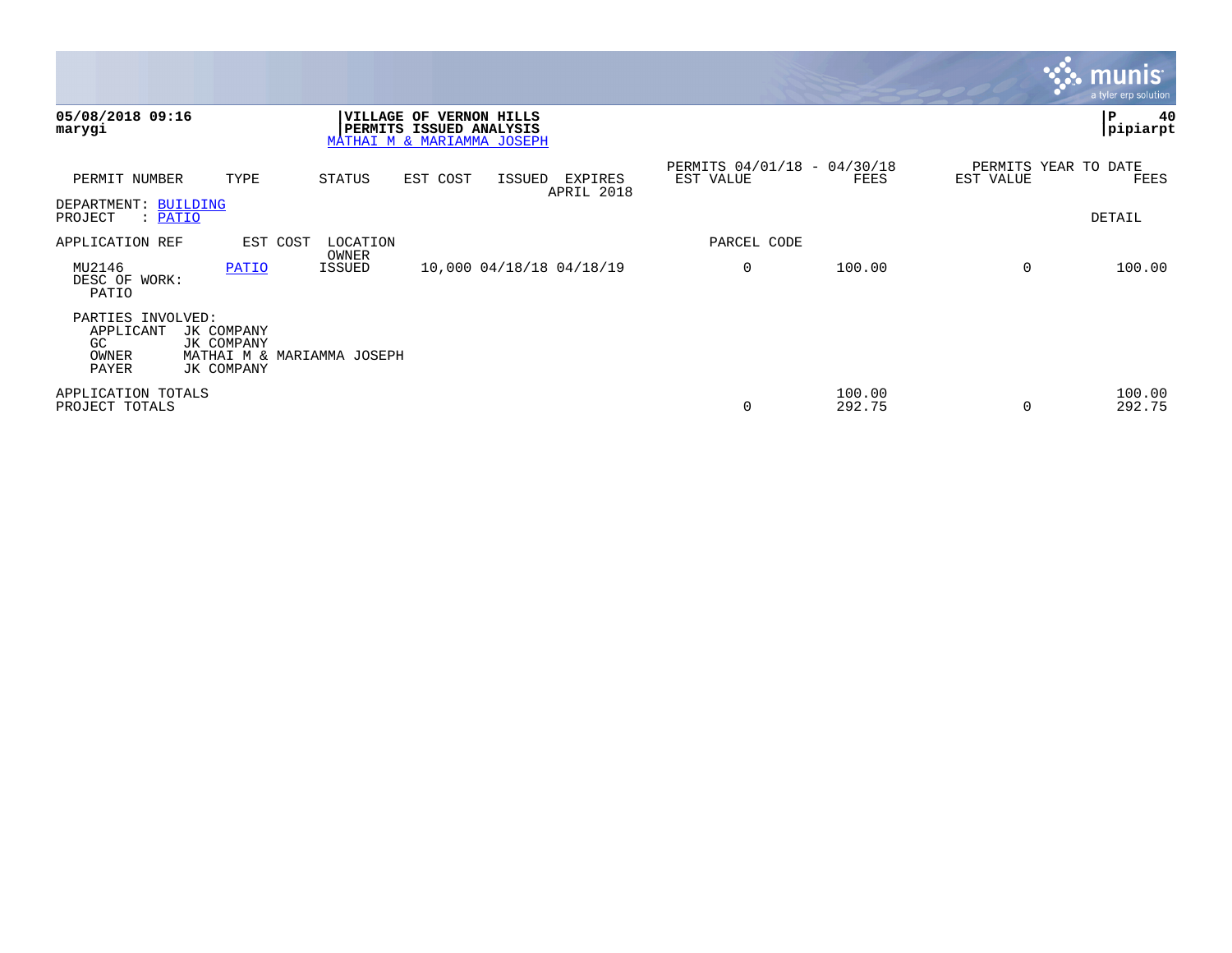|                                                         |                                        |                            |                                                                                  |        |                          |                                          |                  |           | <b>munis</b><br>a tyler erp solution |
|---------------------------------------------------------|----------------------------------------|----------------------------|----------------------------------------------------------------------------------|--------|--------------------------|------------------------------------------|------------------|-----------|--------------------------------------|
| 05/08/2018 09:16<br>marygi                              |                                        |                            | VILLAGE OF VERNON HILLS<br>PERMITS ISSUED ANALYSIS<br>MATHAI M & MARIAMMA JOSEPH |        |                          |                                          |                  |           | P<br>40<br>pipiarpt                  |
| PERMIT NUMBER                                           | TYPE                                   | STATUS                     | EST COST                                                                         | ISSUED | EXPIRES<br>APRIL 2018    | PERMITS 04/01/18 - 04/30/18<br>EST VALUE | FEES             | EST VALUE | PERMITS YEAR TO DATE<br>FEES         |
| DEPARTMENT: BUILDING<br>PROJECT<br>: PATIO              |                                        |                            |                                                                                  |        |                          |                                          |                  |           | DETAIL                               |
| APPLICATION REF                                         | EST COST                               | LOCATION<br>OWNER          |                                                                                  |        |                          | PARCEL CODE                              |                  |           |                                      |
| MU2146<br>DESC OF WORK:<br>PATIO                        | PATIO                                  | ISSUED                     |                                                                                  |        | 10,000 04/18/18 04/18/19 | 0                                        | 100.00           | $\Omega$  | 100.00                               |
| PARTIES INVOLVED:<br>APPLICANT<br>GC.<br>OWNER<br>PAYER | JK COMPANY<br>JK COMPANY<br>JK COMPANY | MATHAI M & MARIAMMA JOSEPH |                                                                                  |        |                          |                                          |                  |           |                                      |
| APPLICATION TOTALS<br>PROJECT TOTALS                    |                                        |                            |                                                                                  |        |                          | 0                                        | 100.00<br>292.75 | $\Omega$  | 100.00<br>292.75                     |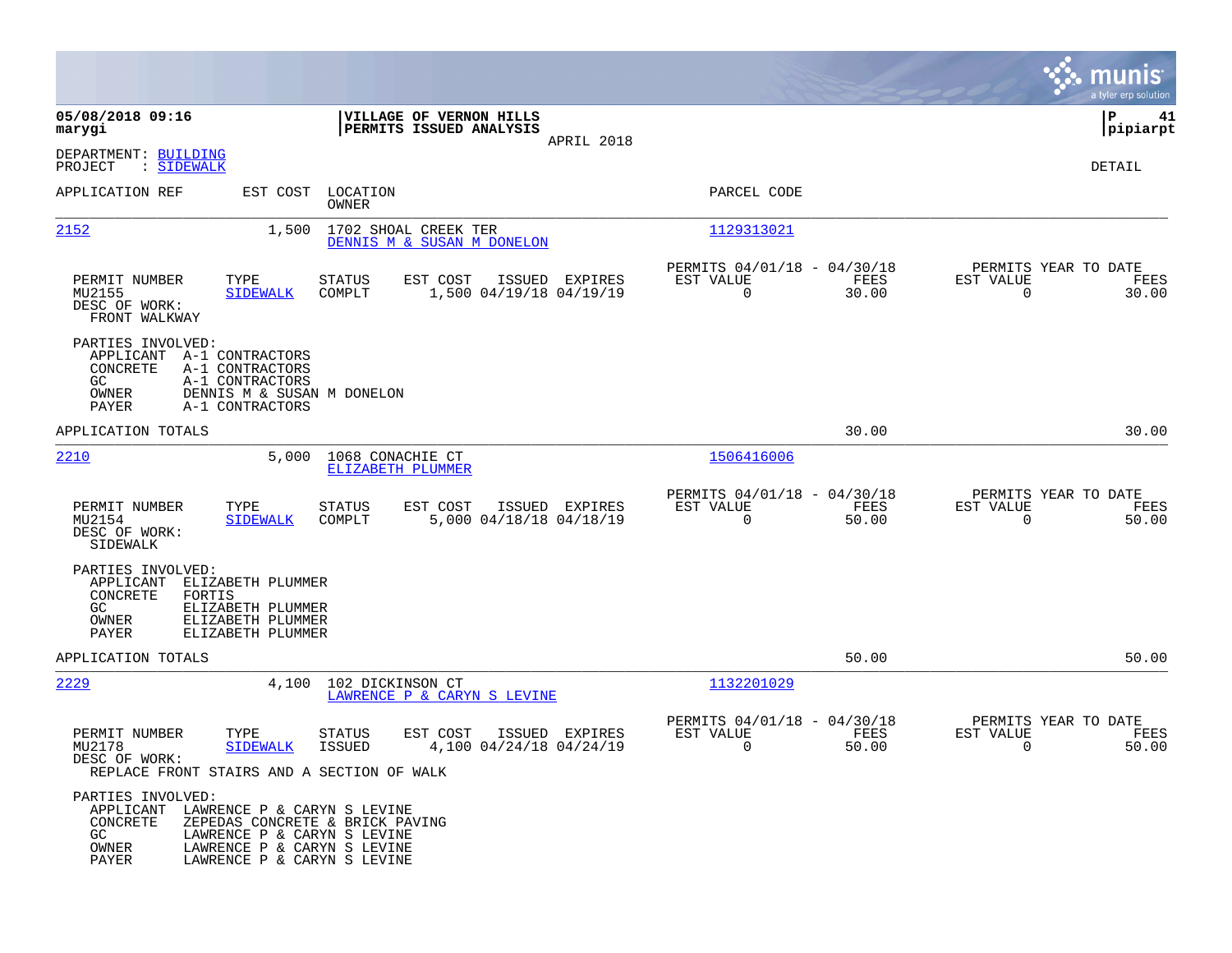|                                                                                                                                                                  |                                                                                                                                                             |                                                                          | munis<br>a tyler erp solution                                     |
|------------------------------------------------------------------------------------------------------------------------------------------------------------------|-------------------------------------------------------------------------------------------------------------------------------------------------------------|--------------------------------------------------------------------------|-------------------------------------------------------------------|
| 05/08/2018 09:16<br>marygi                                                                                                                                       | VILLAGE OF VERNON HILLS<br>PERMITS ISSUED ANALYSIS<br>APRIL 2018                                                                                            |                                                                          | P<br>41<br> pipiarpt                                              |
| DEPARTMENT: BUILDING<br>: SIDEWALK<br>PROJECT                                                                                                                    |                                                                                                                                                             |                                                                          | <b>DETAIL</b>                                                     |
| APPLICATION REF                                                                                                                                                  | EST COST<br>LOCATION<br>OWNER                                                                                                                               | PARCEL CODE                                                              |                                                                   |
| 2152                                                                                                                                                             | 1,500<br>1702 SHOAL CREEK TER<br>DENNIS M & SUSAN M DONELON                                                                                                 | 1129313021                                                               |                                                                   |
| TYPE<br>PERMIT NUMBER<br>MU2155<br><b>SIDEWALK</b><br>DESC OF WORK:<br>FRONT WALKWAY                                                                             | EST COST<br><b>STATUS</b><br>ISSUED EXPIRES<br>COMPLT<br>1,500 04/19/18 04/19/19                                                                            | PERMITS 04/01/18 - 04/30/18<br>EST VALUE<br>FEES<br>$\mathbf 0$<br>30.00 | PERMITS YEAR TO DATE<br>EST VALUE<br>FEES<br>$\mathbf 0$<br>30.00 |
| PARTIES INVOLVED:<br>APPLICANT<br>A-1 CONTRACTORS<br>CONCRETE<br>A-1 CONTRACTORS<br>GC.<br>A-1 CONTRACTORS<br>OWNER<br>PAYER<br>A-1 CONTRACTORS                  | DENNIS M & SUSAN M DONELON                                                                                                                                  |                                                                          |                                                                   |
| APPLICATION TOTALS                                                                                                                                               |                                                                                                                                                             | 30.00                                                                    | 30.00                                                             |
| <u> 2210</u>                                                                                                                                                     | 5,000<br>1068 CONACHIE CT<br>ELIZABETH PLUMMER                                                                                                              | 1506416006                                                               |                                                                   |
| TYPE<br>PERMIT NUMBER<br>MU2154<br><b>SIDEWALK</b><br>DESC OF WORK:<br>SIDEWALK                                                                                  | <b>STATUS</b><br>EST COST<br>ISSUED EXPIRES<br>COMPLT<br>5,000 04/18/18 04/18/19                                                                            | PERMITS 04/01/18 - 04/30/18<br>EST VALUE<br>FEES<br>$\mathbf 0$<br>50.00 | PERMITS YEAR TO DATE<br>EST VALUE<br>FEES<br>50.00<br>0           |
| PARTIES INVOLVED:<br>APPLICANT<br>ELIZABETH PLUMMER<br>CONCRETE<br>FORTIS<br>GC<br>ELIZABETH PLUMMER<br>OWNER<br>ELIZABETH PLUMMER<br>PAYER<br>ELIZABETH PLUMMER |                                                                                                                                                             |                                                                          |                                                                   |
| APPLICATION TOTALS                                                                                                                                               |                                                                                                                                                             | 50.00                                                                    | 50.00                                                             |
| 2229                                                                                                                                                             | 4,100<br>102 DICKINSON CT<br>LAWRENCE P & CARYN S LEVINE                                                                                                    | 1132201029                                                               |                                                                   |
| PERMIT NUMBER<br>TYPE<br>MU2178<br><b>SIDEWALK</b><br>DESC OF WORK:<br>REPLACE FRONT STAIRS AND A SECTION OF WALK                                                | EST COST<br>STATUS<br>ISSUED EXPIRES<br><b>ISSUED</b><br>4,100 04/24/18 04/24/19                                                                            | PERMITS 04/01/18 - 04/30/18<br>EST VALUE<br>FEES<br>0<br>50.00           | PERMITS YEAR TO DATE<br>EST VALUE<br>FEES<br>50.00<br>0           |
| PARTIES INVOLVED:<br>APPLICANT<br>CONCRETE<br>GC.<br>OWNER<br>PAYER                                                                                              | LAWRENCE P & CARYN S LEVINE<br>ZEPEDAS CONCRETE & BRICK PAVING<br>LAWRENCE P & CARYN S LEVINE<br>LAWRENCE P & CARYN S LEVINE<br>LAWRENCE P & CARYN S LEVINE |                                                                          |                                                                   |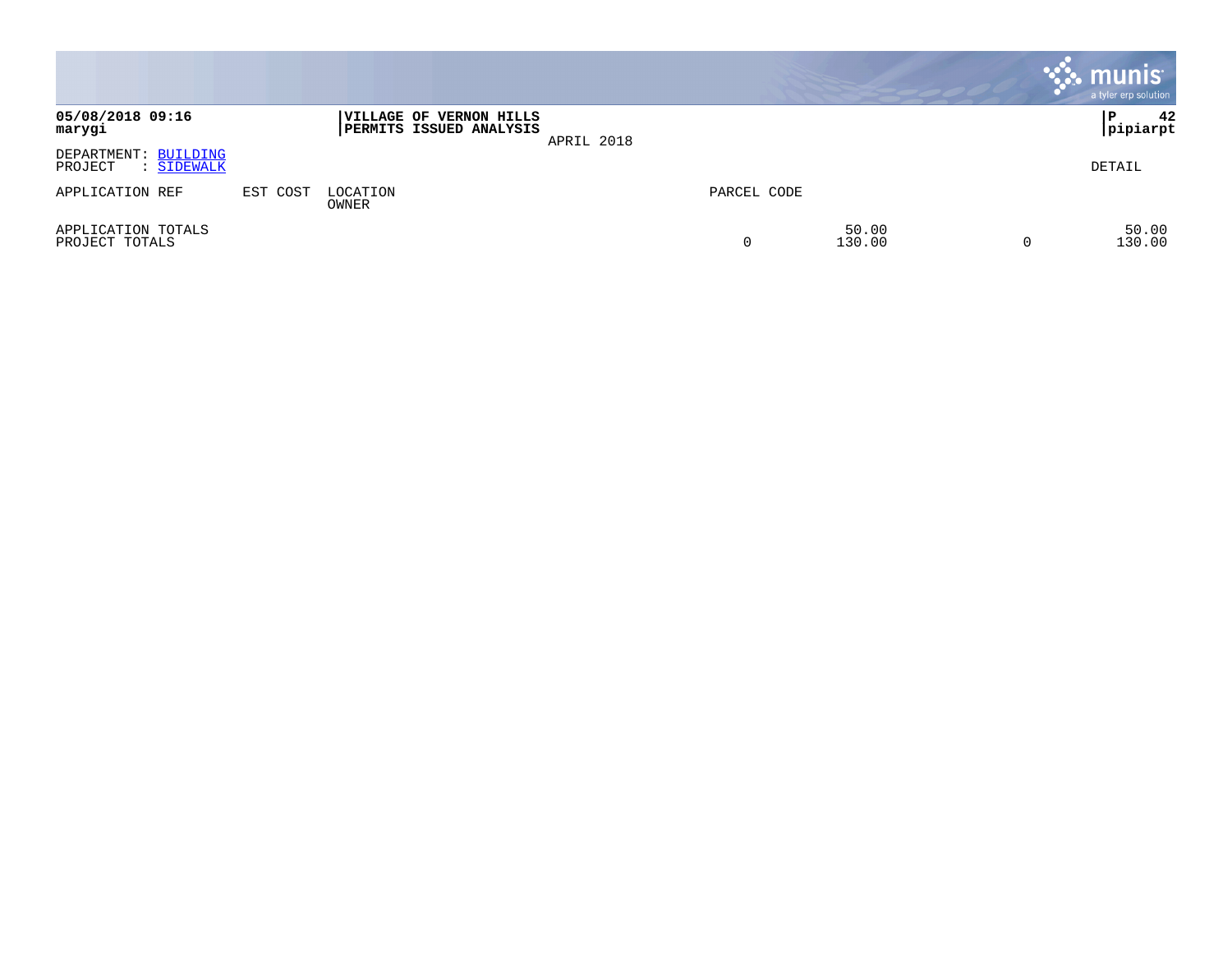|                                               |          |                                                                  |            |             |                 | , munis <sup>.</sup><br>a tyler erp solution |
|-----------------------------------------------|----------|------------------------------------------------------------------|------------|-------------|-----------------|----------------------------------------------|
| 05/08/2018 09:16<br>marygi                    |          | <b>VILLAGE OF VERNON HILLS</b><br><b>PERMITS ISSUED ANALYSIS</b> | APRIL 2018 |             |                 | 42<br>P<br> pipiarpt                         |
| DEPARTMENT: BUILDING<br>PROJECT<br>: SIDEWALK |          |                                                                  |            |             |                 | DETAIL                                       |
| APPLICATION REF                               | EST COST | LOCATION<br>OWNER                                                |            | PARCEL CODE |                 |                                              |
| APPLICATION TOTALS<br>PROJECT TOTALS          |          |                                                                  |            | 0           | 50.00<br>130.00 | 50.00<br>130.00                              |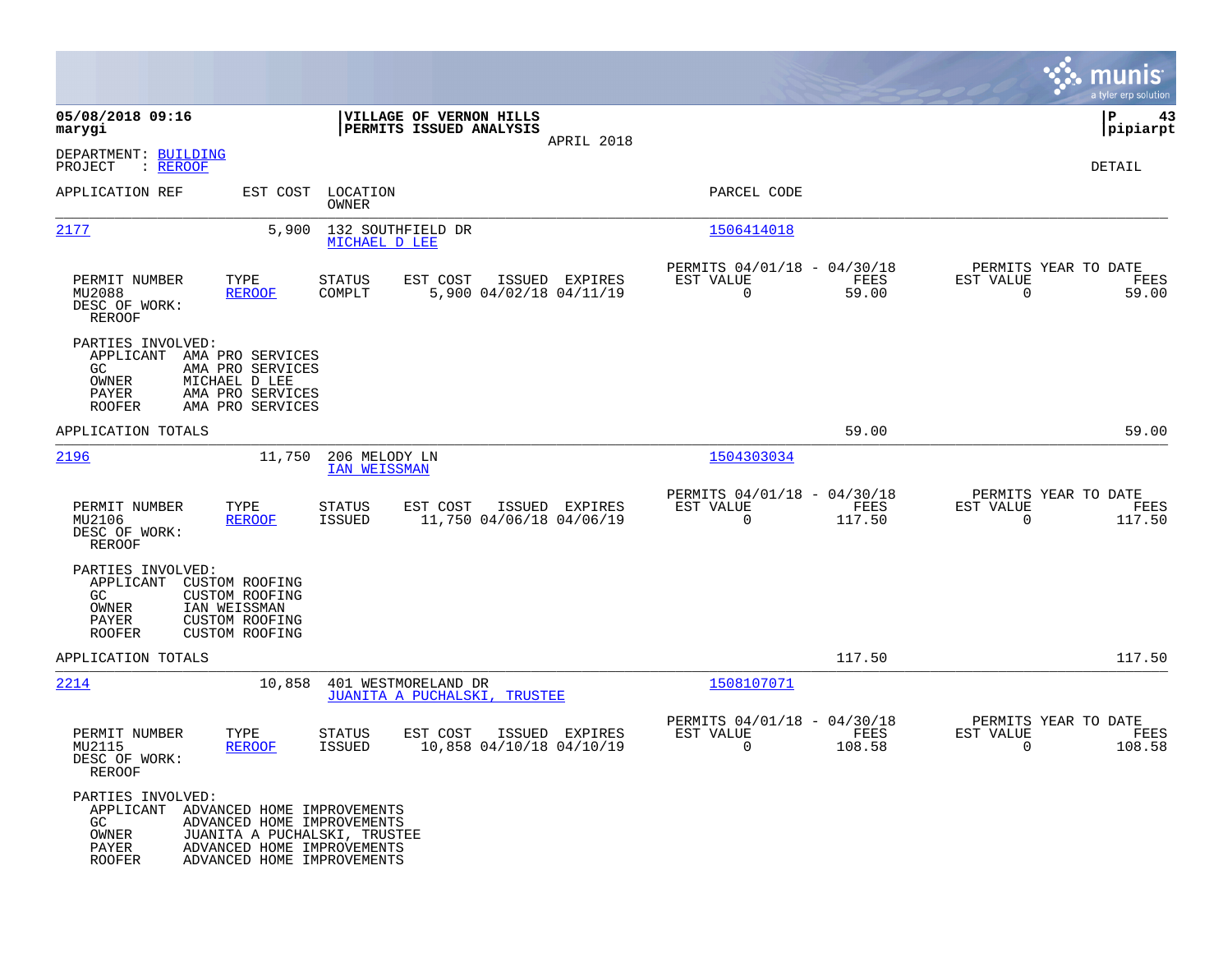|                                                                                                    |                                                                                                                        |                                      |                                                     |                |                                                         |                |                                                  | munis<br>a tyler erp solution |
|----------------------------------------------------------------------------------------------------|------------------------------------------------------------------------------------------------------------------------|--------------------------------------|-----------------------------------------------------|----------------|---------------------------------------------------------|----------------|--------------------------------------------------|-------------------------------|
| 05/08/2018 09:16<br>marygi                                                                         |                                                                                                                        |                                      | VILLAGE OF VERNON HILLS<br>PERMITS ISSUED ANALYSIS  |                |                                                         |                |                                                  | P<br>43<br> pipiarpt          |
| DEPARTMENT: BUILDING<br>: <u>REROOF</u><br>PROJECT                                                 |                                                                                                                        |                                      |                                                     | APRIL 2018     |                                                         |                |                                                  | DETAIL                        |
| APPLICATION REF                                                                                    | EST COST                                                                                                               | LOCATION<br>OWNER                    |                                                     |                | PARCEL CODE                                             |                |                                                  |                               |
| 2177                                                                                               | 5,900                                                                                                                  | MICHAEL D LEE                        | 132 SOUTHFIELD DR                                   |                | 1506414018                                              |                |                                                  |                               |
| PERMIT NUMBER<br>MU2088<br>DESC OF WORK:<br>REROOF                                                 | TYPE<br><b>REROOF</b>                                                                                                  | STATUS<br>COMPLT                     | EST COST<br>5,900 04/02/18 04/11/19                 | ISSUED EXPIRES | PERMITS 04/01/18 - 04/30/18<br>EST VALUE<br>$\mathbf 0$ | FEES<br>59.00  | PERMITS YEAR TO DATE<br>EST VALUE<br>$\mathbf 0$ | FEES<br>59.00                 |
| PARTIES INVOLVED:<br>APPLICANT<br>GC<br>OWNER<br>PAYER<br><b>ROOFER</b>                            | AMA PRO SERVICES<br>AMA PRO SERVICES<br>MICHAEL D LEE<br>AMA PRO SERVICES<br>AMA PRO SERVICES                          |                                      |                                                     |                |                                                         |                |                                                  |                               |
| APPLICATION TOTALS                                                                                 |                                                                                                                        |                                      |                                                     |                |                                                         | 59.00          |                                                  | 59.00                         |
| 2196                                                                                               | 11,750                                                                                                                 | 206 MELODY LN<br><b>IAN WEISSMAN</b> |                                                     |                | 1504303034                                              |                |                                                  |                               |
| PERMIT NUMBER<br>MU2106<br>DESC OF WORK:<br>REROOF                                                 | TYPE<br><b>REROOF</b>                                                                                                  | STATUS<br>ISSUED                     | EST COST<br>11,750 04/06/18 04/06/19                | ISSUED EXPIRES | PERMITS 04/01/18 - 04/30/18<br>EST VALUE<br>$\mathbf 0$ | FEES<br>117.50 | PERMITS YEAR TO DATE<br>EST VALUE<br>$\mathbf 0$ | FEES<br>117.50                |
| PARTIES INVOLVED:<br>APPLICANT<br>GC.<br>OWNER<br>PAYER<br><b>ROOFER</b>                           | CUSTOM ROOFING<br>CUSTOM ROOFING<br>IAN WEISSMAN<br><b>CUSTOM ROOFING</b><br>CUSTOM ROOFING                            |                                      |                                                     |                |                                                         |                |                                                  |                               |
| APPLICATION TOTALS                                                                                 |                                                                                                                        |                                      |                                                     |                |                                                         | 117.50         |                                                  | 117.50                        |
| 2214                                                                                               | 10,858                                                                                                                 |                                      | 401 WESTMORELAND DR<br>JUANITA A PUCHALSKI, TRUSTEE |                | 1508107071                                              |                |                                                  |                               |
| PERMIT NUMBER<br>MU2115<br>DESC OF WORK:<br>REROOF                                                 | TYPE<br><b>REROOF</b>                                                                                                  | STATUS<br><b>ISSUED</b>              | EST COST<br>10,858 04/10/18 04/10/19                | ISSUED EXPIRES | PERMITS 04/01/18 - 04/30/18<br>EST VALUE<br>0           | FEES<br>108.58 | PERMITS YEAR TO DATE<br>EST VALUE<br>0           | FEES<br>108.58                |
| PARTIES INVOLVED:<br>APPLICANT ADVANCED HOME IMPROVEMENTS<br>GC<br>OWNER<br>PAYER<br><b>ROOFER</b> | ADVANCED HOME IMPROVEMENTS<br>JUANITA A PUCHALSKI, TRUSTEE<br>ADVANCED HOME IMPROVEMENTS<br>ADVANCED HOME IMPROVEMENTS |                                      |                                                     |                |                                                         |                |                                                  |                               |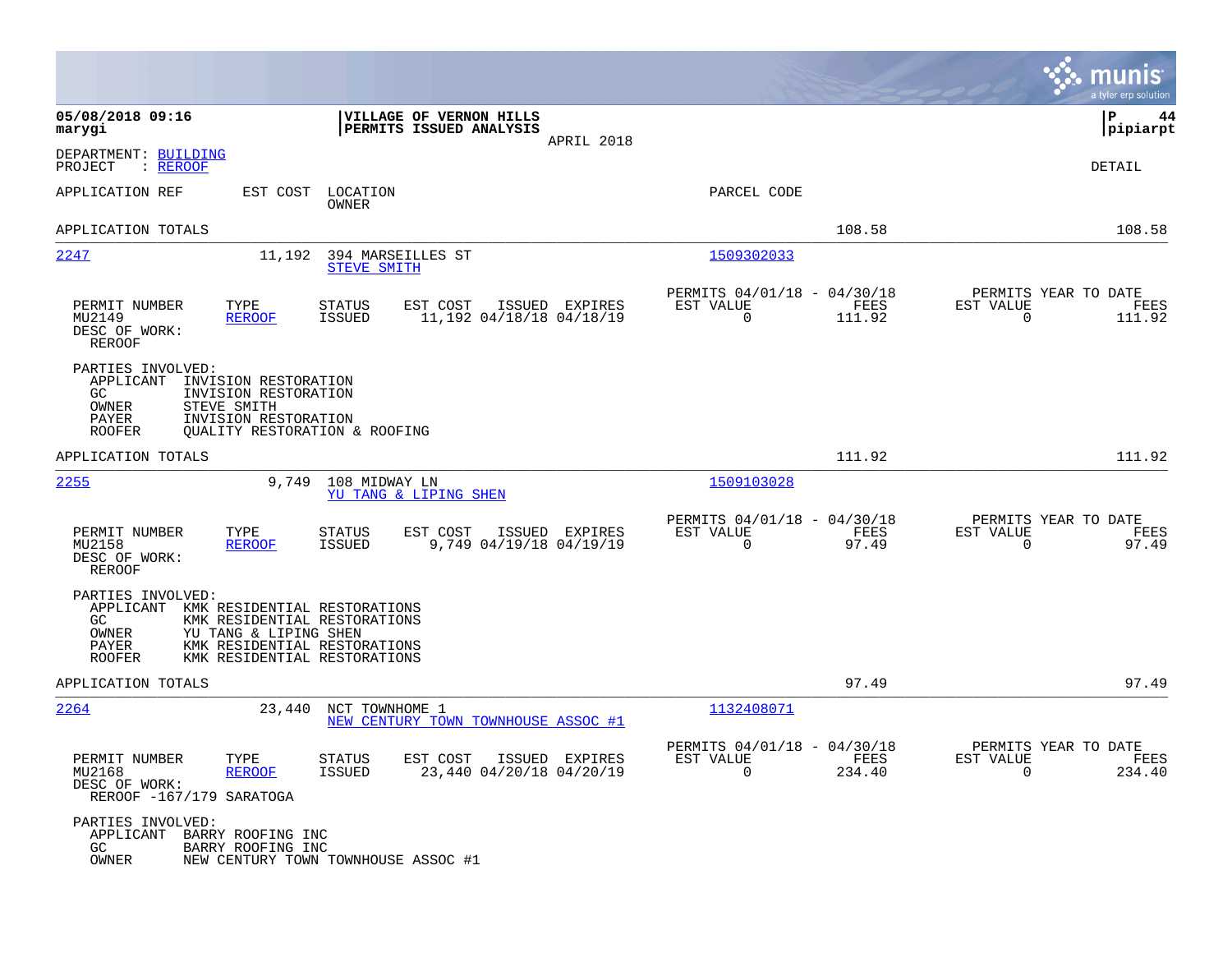|                                                                                                                                                                 |                                                                                                                              |                                                                           | munis<br>a tyler erp solution                                      |
|-----------------------------------------------------------------------------------------------------------------------------------------------------------------|------------------------------------------------------------------------------------------------------------------------------|---------------------------------------------------------------------------|--------------------------------------------------------------------|
| 05/08/2018 09:16<br>marygi                                                                                                                                      | VILLAGE OF VERNON HILLS<br>PERMITS ISSUED ANALYSIS<br>APRIL 2018                                                             |                                                                           | P<br>44<br> pipiarpt                                               |
| DEPARTMENT: BUILDING<br>PROJECT<br>: <u>REROOF</u>                                                                                                              |                                                                                                                              |                                                                           | DETAIL                                                             |
| APPLICATION REF<br>EST COST                                                                                                                                     | LOCATION<br>OWNER                                                                                                            | PARCEL CODE                                                               |                                                                    |
| APPLICATION TOTALS                                                                                                                                              |                                                                                                                              | 108.58                                                                    | 108.58                                                             |
| 2247                                                                                                                                                            | 11,192 394 MARSEILLES ST<br><b>STEVE SMITH</b>                                                                               | 1509302033                                                                |                                                                    |
| PERMIT NUMBER<br>TYPE<br>MU2149<br><b>REROOF</b><br>DESC OF WORK:<br><b>REROOF</b>                                                                              | <b>STATUS</b><br>EST COST<br>ISSUED EXPIRES<br><b>ISSUED</b><br>11,192 04/18/18 04/18/19                                     | PERMITS 04/01/18 - 04/30/18<br>EST VALUE<br>FEES<br>$\mathbf 0$<br>111.92 | PERMITS YEAR TO DATE<br>EST VALUE<br>FEES<br>$\mathbf 0$<br>111.92 |
| PARTIES INVOLVED:<br>APPLICANT<br>INVISION RESTORATION<br>GC.<br>INVISION RESTORATION<br>OWNER<br>STEVE SMITH<br>PAYER<br>INVISION RESTORATION<br><b>ROOFER</b> | QUALITY RESTORATION & ROOFING                                                                                                |                                                                           |                                                                    |
| APPLICATION TOTALS                                                                                                                                              |                                                                                                                              | 111.92                                                                    | 111.92                                                             |
| 2255<br>9,749                                                                                                                                                   | 108 MIDWAY LN<br>YU TANG & LIPING SHEN                                                                                       | 1509103028                                                                |                                                                    |
| PERMIT NUMBER<br>TYPE<br>MU2158<br><b>REROOF</b><br>DESC OF WORK:<br><b>REROOF</b>                                                                              | <b>STATUS</b><br>EST COST<br>ISSUED EXPIRES<br>9,749 04/19/18 04/19/19<br><b>ISSUED</b>                                      | PERMITS 04/01/18 - 04/30/18<br>FEES<br>EST VALUE<br>$\mathbf 0$<br>97.49  | PERMITS YEAR TO DATE<br>EST VALUE<br>FEES<br>$\mathbf 0$<br>97.49  |
| PARTIES INVOLVED:<br>APPLICANT<br>GC<br>OWNER<br>YU TANG & LIPING SHEN<br>PAYER<br><b>ROOFER</b>                                                                | KMK RESIDENTIAL RESTORATIONS<br>KMK RESIDENTIAL RESTORATIONS<br>KMK RESIDENTIAL RESTORATIONS<br>KMK RESIDENTIAL RESTORATIONS |                                                                           |                                                                    |
| APPLICATION TOTALS                                                                                                                                              |                                                                                                                              | 97.49                                                                     | 97.49                                                              |
| 2264<br>23,440                                                                                                                                                  | NCT TOWNHOME 1<br>NEW CENTURY TOWN TOWNHOUSE ASSOC #1                                                                        | 1132408071                                                                |                                                                    |
| PERMIT NUMBER<br>TYPE<br>MU2168<br><b>REROOF</b><br>DESC OF WORK:<br>REROOF -167/179 SARATOGA                                                                   | STATUS<br>EST COST ISSUED EXPIRES<br>23,440 04/20/18 04/20/19<br>ISSUED                                                      | PERMITS 04/01/18 - 04/30/18<br>EST VALUE<br>FEES<br>$\Omega$<br>234.40    | PERMITS YEAR TO DATE<br>EST VALUE<br>FEES<br>$\Omega$<br>234.40    |
| PARTIES INVOLVED:<br>APPLICANT BARRY ROOFING INC<br>GC<br>BARRY ROOFING INC<br>OWNER                                                                            | NEW CENTURY TOWN TOWNHOUSE ASSOC #1                                                                                          |                                                                           |                                                                    |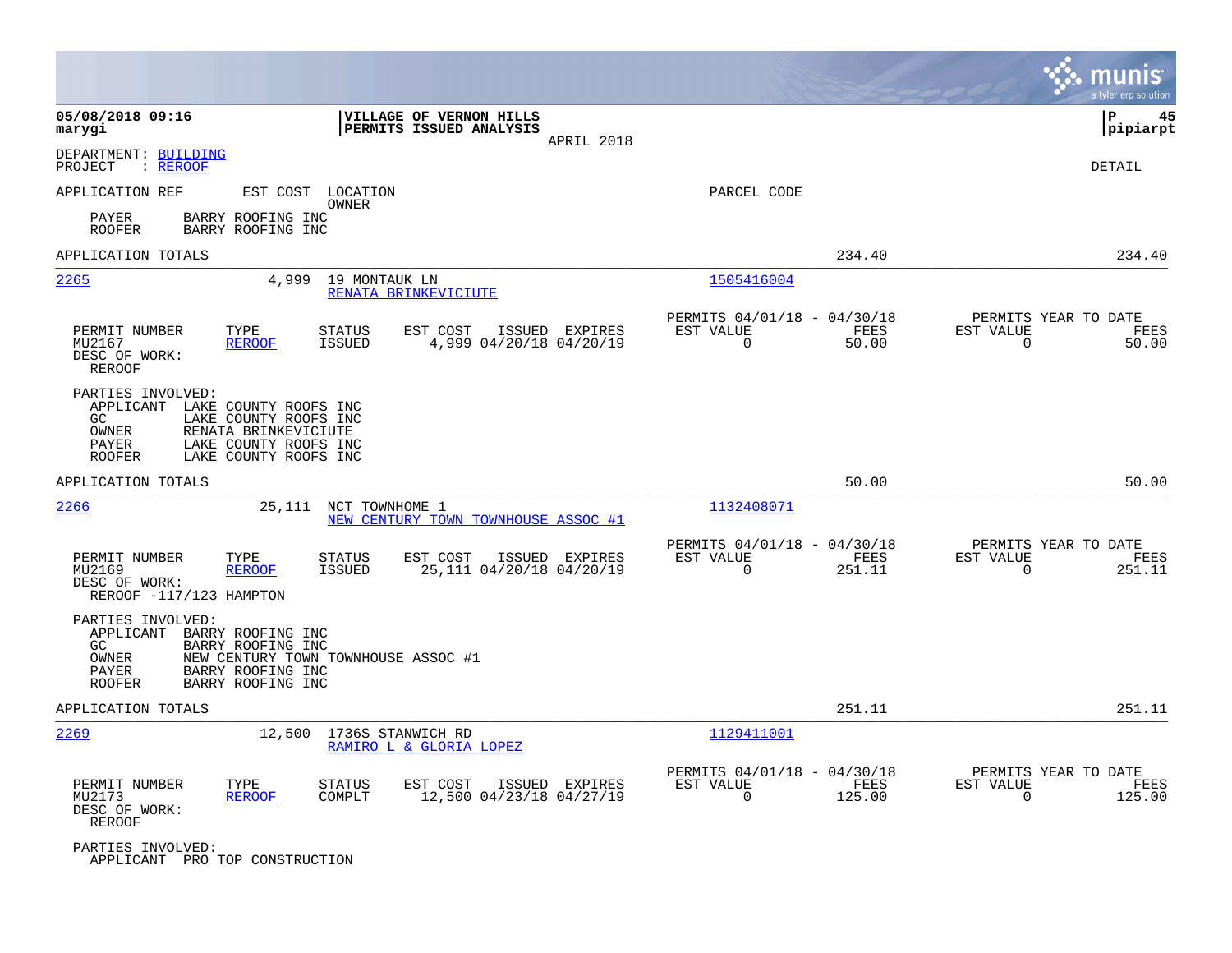|                                                                          |                                                                                                                          |                                                       |                |                                                         |                |                                                  | munis<br>a tyler erp solution |
|--------------------------------------------------------------------------|--------------------------------------------------------------------------------------------------------------------------|-------------------------------------------------------|----------------|---------------------------------------------------------|----------------|--------------------------------------------------|-------------------------------|
| 05/08/2018 09:16<br>marygi                                               |                                                                                                                          | VILLAGE OF VERNON HILLS<br>PERMITS ISSUED ANALYSIS    | APRIL 2018     |                                                         |                |                                                  | P<br>45<br> pipiarpt          |
| DEPARTMENT: BUILDING<br>: REROOF<br>PROJECT                              |                                                                                                                          |                                                       |                |                                                         |                |                                                  | DETAIL                        |
| APPLICATION REF                                                          | EST COST LOCATION                                                                                                        | OWNER                                                 |                | PARCEL CODE                                             |                |                                                  |                               |
| PAYER<br><b>ROOFER</b>                                                   | BARRY ROOFING INC<br>BARRY ROOFING INC                                                                                   |                                                       |                |                                                         |                |                                                  |                               |
| APPLICATION TOTALS                                                       |                                                                                                                          |                                                       |                |                                                         | 234.40         |                                                  | 234.40                        |
| 2265                                                                     | 4,999                                                                                                                    | 19 MONTAUK LN<br>RENATA BRINKEVICIUTE                 |                | 1505416004                                              |                |                                                  |                               |
| PERMIT NUMBER<br>MU2167<br>DESC OF WORK:<br>REROOF                       | TYPE<br><b>STATUS</b><br><b>REROOF</b><br><b>ISSUED</b>                                                                  | EST COST<br>4,999 04/20/18 04/20/19                   | ISSUED EXPIRES | PERMITS 04/01/18 - 04/30/18<br>EST VALUE<br>$\Omega$    | FEES<br>50.00  | PERMITS YEAR TO DATE<br>EST VALUE<br>$\mathbf 0$ | FEES<br>50.00                 |
| PARTIES INVOLVED:<br>APPLICANT<br>GC.<br>OWNER<br>PAYER<br><b>ROOFER</b> | LAKE COUNTY ROOFS INC<br>LAKE COUNTY ROOFS INC<br>RENATA BRINKEVICIUTE<br>LAKE COUNTY ROOFS INC<br>LAKE COUNTY ROOFS INC |                                                       |                |                                                         |                |                                                  |                               |
| APPLICATION TOTALS                                                       |                                                                                                                          |                                                       |                |                                                         | 50.00          |                                                  | 50.00                         |
| 2266                                                                     | 25,111                                                                                                                   | NCT TOWNHOME 1<br>NEW CENTURY TOWN TOWNHOUSE ASSOC #1 |                | 1132408071                                              |                |                                                  |                               |
| PERMIT NUMBER<br>MU2169<br>DESC OF WORK:<br>REROOF -117/123 HAMPTON      | TYPE<br><b>STATUS</b><br><b>REROOF</b><br>ISSUED                                                                         | EST COST<br>ISSUED<br>25,111 04/20/18 04/20/19        | EXPIRES        | PERMITS 04/01/18 - 04/30/18<br>EST VALUE<br>$\Omega$    | FEES<br>251.11 | PERMITS YEAR TO DATE<br>EST VALUE<br>$\Omega$    | FEES<br>251.11                |
| PARTIES INVOLVED:<br>APPLICANT<br>GC.<br>OWNER<br>PAYER<br><b>ROOFER</b> | BARRY ROOFING INC<br>BARRY ROOFING INC<br>NEW CENTURY TOWN TOWNHOUSE ASSOC #1<br>BARRY ROOFING INC<br>BARRY ROOFING INC  |                                                       |                |                                                         |                |                                                  |                               |
| APPLICATION TOTALS                                                       |                                                                                                                          |                                                       |                |                                                         | 251.11         |                                                  | 251.11                        |
| 2269                                                                     | 12,500                                                                                                                   | 1736S STANWICH RD<br>RAMIRO L & GLORIA LOPEZ          |                | 1129411001                                              |                |                                                  |                               |
| PERMIT NUMBER<br>MU2173<br>DESC OF WORK:<br>REROOF                       | TYPE<br><b>STATUS</b><br>COMPLT<br><b>REROOF</b>                                                                         | EST COST<br>12,500 04/23/18 04/27/19                  | ISSUED EXPIRES | PERMITS 04/01/18 - 04/30/18<br>EST VALUE<br>$\mathbf 0$ | FEES<br>125.00 | PERMITS YEAR TO DATE<br>EST VALUE<br>$\mathbf 0$ | FEES<br>125.00                |
| PARTIES INVOLVED:                                                        | APPLICANT PRO TOP CONSTRUCTION                                                                                           |                                                       |                |                                                         |                |                                                  |                               |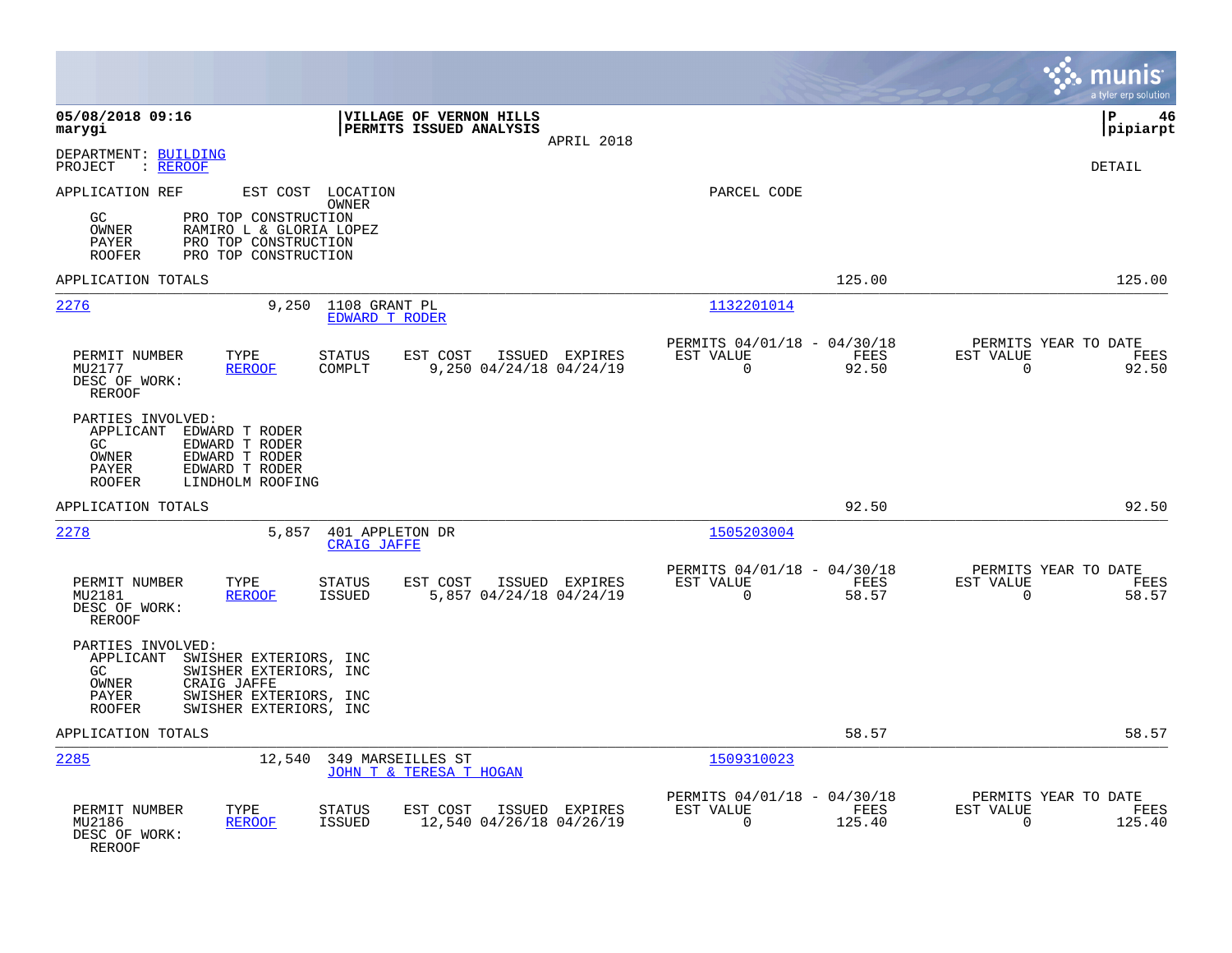|                                                                                                                                                                                                |                                                                          | munis<br>a tyler erp solution                                     |
|------------------------------------------------------------------------------------------------------------------------------------------------------------------------------------------------|--------------------------------------------------------------------------|-------------------------------------------------------------------|
| 05/08/2018 09:16<br>VILLAGE OF VERNON HILLS<br>PERMITS ISSUED ANALYSIS<br>marygi<br>APRIL 2018                                                                                                 |                                                                          | l P<br>46<br> pipiarpt                                            |
| DEPARTMENT: BUILDING<br>PROJECT<br>: <u>REROOF</u>                                                                                                                                             |                                                                          | <b>DETAIL</b>                                                     |
| APPLICATION REF<br>EST COST LOCATION<br>OWNER<br>GC<br>PRO TOP CONSTRUCTION<br>OWNER<br>RAMIRO L & GLORIA LOPEZ<br>PAYER<br>PRO TOP CONSTRUCTION<br>PRO TOP CONSTRUCTION<br><b>ROOFER</b>      | PARCEL CODE                                                              |                                                                   |
| APPLICATION TOTALS                                                                                                                                                                             | 125.00                                                                   | 125.00                                                            |
| 2276<br>9,250<br>1108 GRANT PL<br><b>EDWARD T RODER</b>                                                                                                                                        | 1132201014                                                               |                                                                   |
| PERMIT NUMBER<br>TYPE<br><b>STATUS</b><br>EST COST<br>ISSUED EXPIRES<br>MU2177<br><b>REROOF</b><br>COMPLT<br>9,250 04/24/18 04/24/19<br>DESC OF WORK:<br><b>REROOF</b>                         | PERMITS 04/01/18 - 04/30/18<br>EST VALUE<br>FEES<br>$\mathbf 0$<br>92.50 | PERMITS YEAR TO DATE<br>EST VALUE<br>FEES<br>92.50<br>$\mathbf 0$ |
| PARTIES INVOLVED:<br>APPLICANT<br>EDWARD T RODER<br>GC<br>EDWARD T RODER<br>OWNER<br>EDWARD T RODER<br>EDWARD T RODER<br>PAYER<br><b>ROOFER</b><br>LINDHOLM ROOFING                            |                                                                          |                                                                   |
| APPLICATION TOTALS                                                                                                                                                                             | 92.50                                                                    | 92.50                                                             |
| 2278<br>5,857<br>401 APPLETON DR<br><b>CRAIG JAFFE</b>                                                                                                                                         | 1505203004                                                               |                                                                   |
| PERMIT NUMBER<br>TYPE<br><b>STATUS</b><br>EST COST<br>ISSUED EXPIRES<br>MU2181<br><b>REROOF</b><br><b>ISSUED</b><br>5,857 04/24/18 04/24/19<br>DESC OF WORK:<br>REROOF                         | PERMITS 04/01/18 - 04/30/18<br>EST VALUE<br>FEES<br>$\mathbf 0$<br>58.57 | PERMITS YEAR TO DATE<br>EST VALUE<br>FEES<br>$\mathbf 0$<br>58.57 |
| PARTIES INVOLVED:<br>APPLICANT<br>SWISHER EXTERIORS, INC<br>GC<br>SWISHER EXTERIORS, INC<br>OWNER<br>CRAIG JAFFE<br>SWISHER EXTERIORS, INC<br>PAYER<br><b>ROOFER</b><br>SWISHER EXTERIORS, INC |                                                                          |                                                                   |
| APPLICATION TOTALS                                                                                                                                                                             | 58.57                                                                    | 58.57                                                             |
| 2285<br>12,540 349 MARSEILLES ST<br><b>JOHN T &amp; TERESA T HOGAN</b>                                                                                                                         | 1509310023                                                               |                                                                   |
| PERMIT NUMBER<br>TYPE<br><b>STATUS</b><br>EST COST<br>ISSUED EXPIRES<br>MU2186<br>12,540 04/26/18 04/26/19<br><b>REROOF</b><br><b>ISSUED</b><br>DESC OF WORK:<br>REROOF                        | PERMITS 04/01/18 - 04/30/18<br>EST VALUE<br>FEES<br>$\Omega$<br>125.40   | PERMITS YEAR TO DATE<br>EST VALUE<br>FEES<br>125.40<br>$\Omega$   |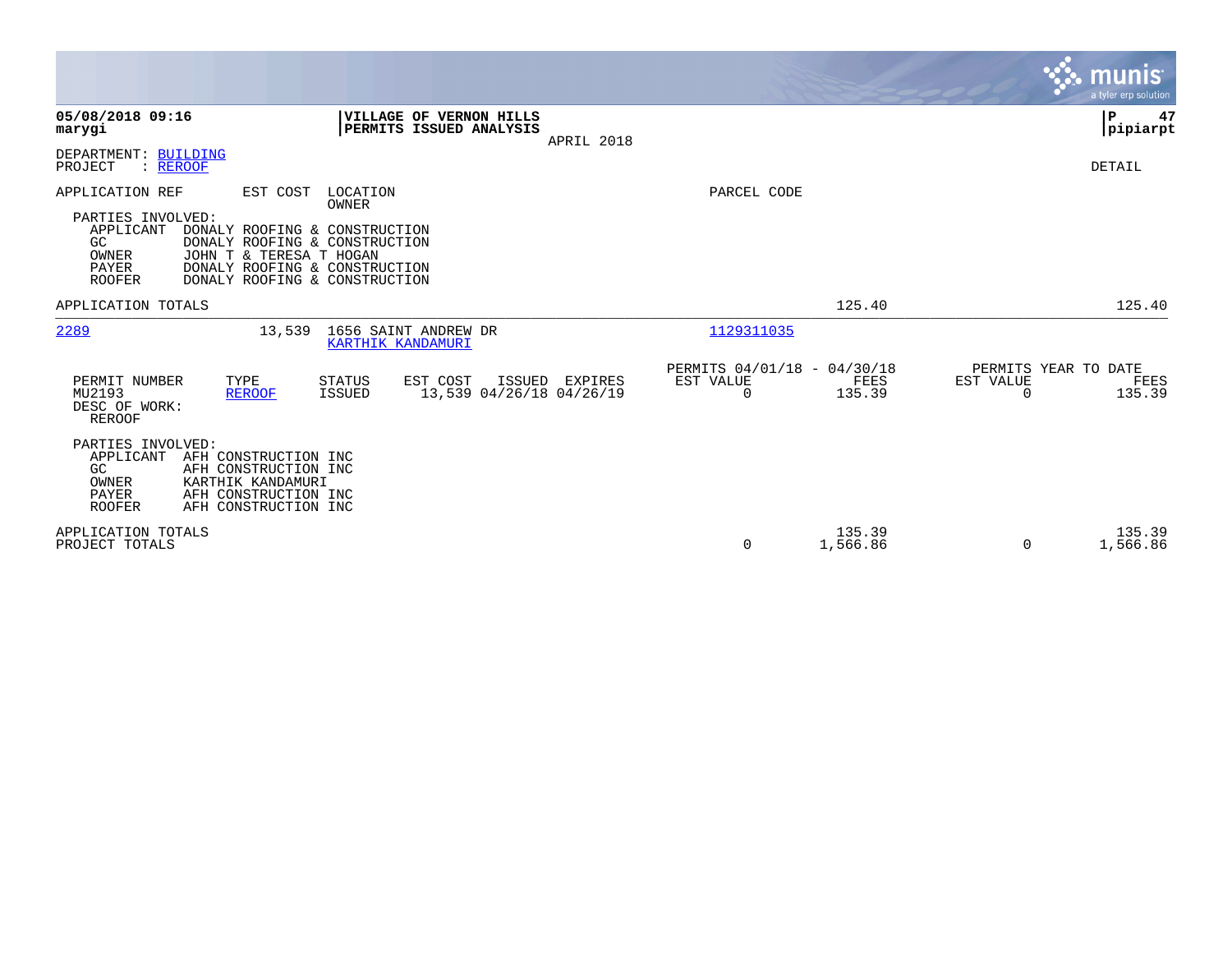|                                                                                                                                                                                                                                                                                                   |                                                                        | munis<br>a tyler erp solution.                                  |
|---------------------------------------------------------------------------------------------------------------------------------------------------------------------------------------------------------------------------------------------------------------------------------------------------|------------------------------------------------------------------------|-----------------------------------------------------------------|
| 05/08/2018 09:16<br>VILLAGE OF VERNON HILLS<br>PERMITS ISSUED ANALYSIS<br>marygi<br>APRIL 2018                                                                                                                                                                                                    |                                                                        | P<br>47<br> pipiarpt                                            |
| DEPARTMENT: BUILDING<br>PROJECT<br>: REROOF                                                                                                                                                                                                                                                       |                                                                        | DETAIL                                                          |
| APPLICATION REF<br>EST COST<br>LOCATION<br>OWNER<br>PARTIES INVOLVED:<br>APPLICANT<br>DONALY ROOFING & CONSTRUCTION<br>GC<br>DONALY ROOFING & CONSTRUCTION<br>JOHN T & TERESA T HOGAN<br>OWNER<br><b>PAYER</b><br>DONALY ROOFING & CONSTRUCTION<br><b>ROOFER</b><br>DONALY ROOFING & CONSTRUCTION | PARCEL CODE                                                            |                                                                 |
| APPLICATION TOTALS                                                                                                                                                                                                                                                                                | 125.40                                                                 | 125.40                                                          |
| 2289<br>1656 SAINT ANDREW DR<br>13,539<br>KARTHIK KANDAMURI                                                                                                                                                                                                                                       | 1129311035                                                             |                                                                 |
| EST COST<br>PERMIT NUMBER<br>TYPE<br><b>STATUS</b><br>ISSUED EXPIRES<br>13,539 04/26/18 04/26/19<br>MU2193<br><b>REROOF</b><br><b>ISSUED</b><br>DESC OF WORK:<br><b>REROOF</b>                                                                                                                    | PERMITS 04/01/18 - 04/30/18<br>EST VALUE<br>FEES<br>135.39<br>$\Omega$ | PERMITS YEAR TO DATE<br>EST VALUE<br>FEES<br>135.39<br>$\Omega$ |
| PARTIES INVOLVED:<br>APPLICANT<br>AFH CONSTRUCTION INC<br>GC<br>AFH CONSTRUCTION INC<br>KARTHIK KANDAMURI<br>OWNER<br>PAYER<br>AFH CONSTRUCTION INC<br><b>ROOFER</b><br>AFH CONSTRUCTION INC                                                                                                      |                                                                        |                                                                 |
| APPLICATION TOTALS<br>PROJECT TOTALS                                                                                                                                                                                                                                                              | 135.39<br>1,566.86<br>0                                                | 135.39<br>1,566.86<br>$\Omega$                                  |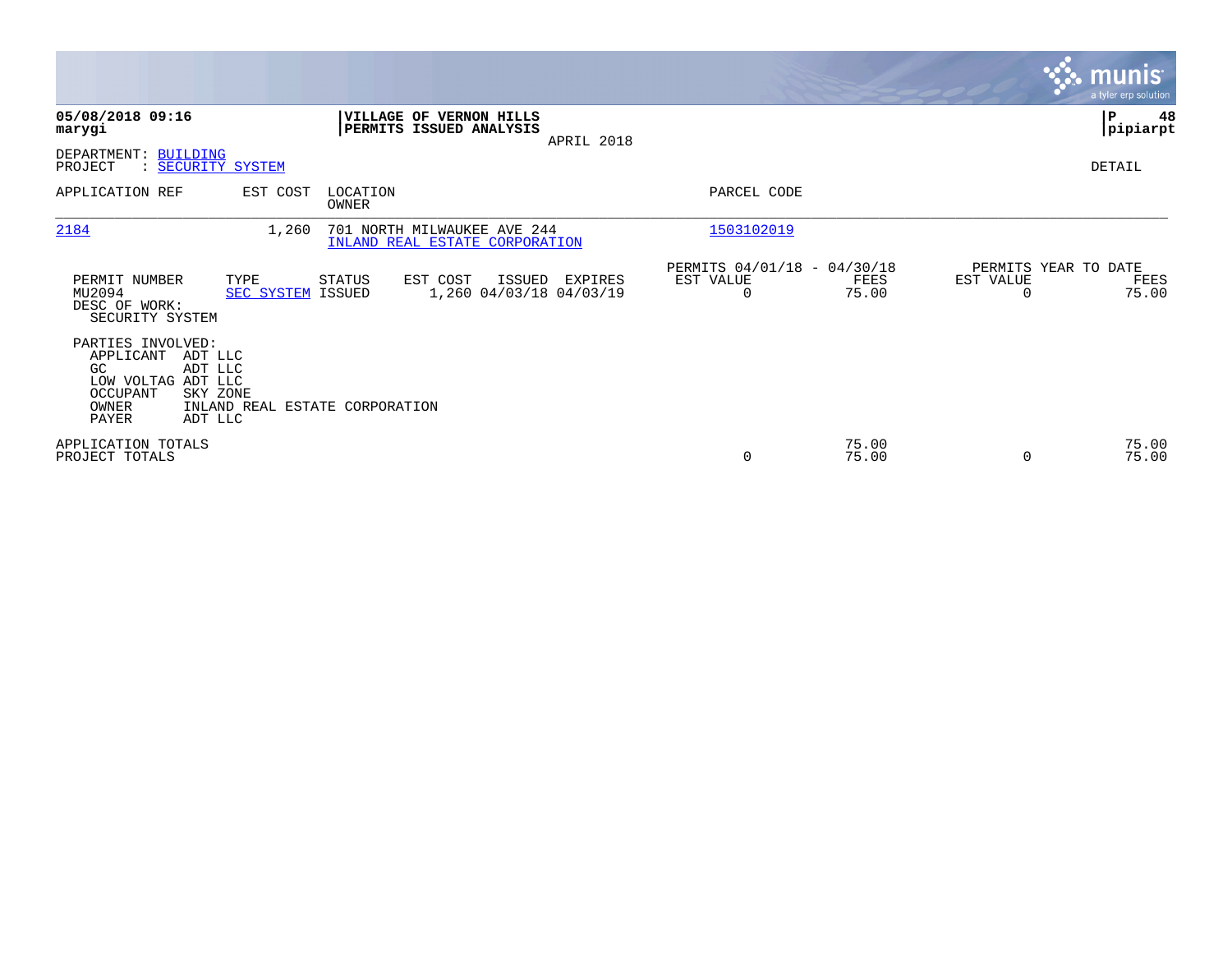|                                                                                                                                              |                                                                                                |                                                      |                            | <b>munis</b><br>a tyler erp solution  |
|----------------------------------------------------------------------------------------------------------------------------------------------|------------------------------------------------------------------------------------------------|------------------------------------------------------|----------------------------|---------------------------------------|
| 05/08/2018 09:16<br>marygi                                                                                                                   | VILLAGE OF VERNON HILLS<br>PERMITS ISSUED ANALYSIS<br>APRIL 2018                               |                                                      |                            | 48<br>IΡ<br> pipiarpt                 |
| DEPARTMENT: BUILDING<br>: SECURITY SYSTEM<br>PROJECT                                                                                         |                                                                                                |                                                      |                            | DETAIL                                |
| EST COST<br>APPLICATION REF                                                                                                                  | LOCATION<br>OWNER                                                                              | PARCEL CODE                                          |                            |                                       |
| 2184<br>1,260                                                                                                                                | 701 NORTH MILWAUKEE AVE 244<br>INLAND REAL ESTATE CORPORATION                                  | 1503102019                                           |                            |                                       |
| PERMIT NUMBER<br>TYPE<br>MU2094<br>DESC OF WORK:<br>SECURITY SYSTEM                                                                          | EST COST<br>STATUS<br>ISSUED<br>EXPIRES<br>1,260 04/03/18 04/03/19<br><b>SEC SYSTEM ISSUED</b> | PERMITS 04/01/18 - 04/30/18<br>EST VALUE<br>$\Omega$ | EST VALUE<br>FEES<br>75.00 | PERMITS YEAR TO DATE<br>FEES<br>75.00 |
| PARTIES INVOLVED:<br>APPLICANT<br>ADT LLC<br>GC<br>ADT LLC<br>LOW VOLTAG ADT LLC<br><b>OCCUPANT</b><br>SKY ZONE<br>OWNER<br>PAYER<br>ADT LLC | INLAND REAL ESTATE CORPORATION                                                                 |                                                      |                            |                                       |
| APPLICATION TOTALS<br>PROJECT TOTALS                                                                                                         |                                                                                                | 0                                                    | 75.00<br>75.00<br>$\Omega$ | 75.00<br>75.00                        |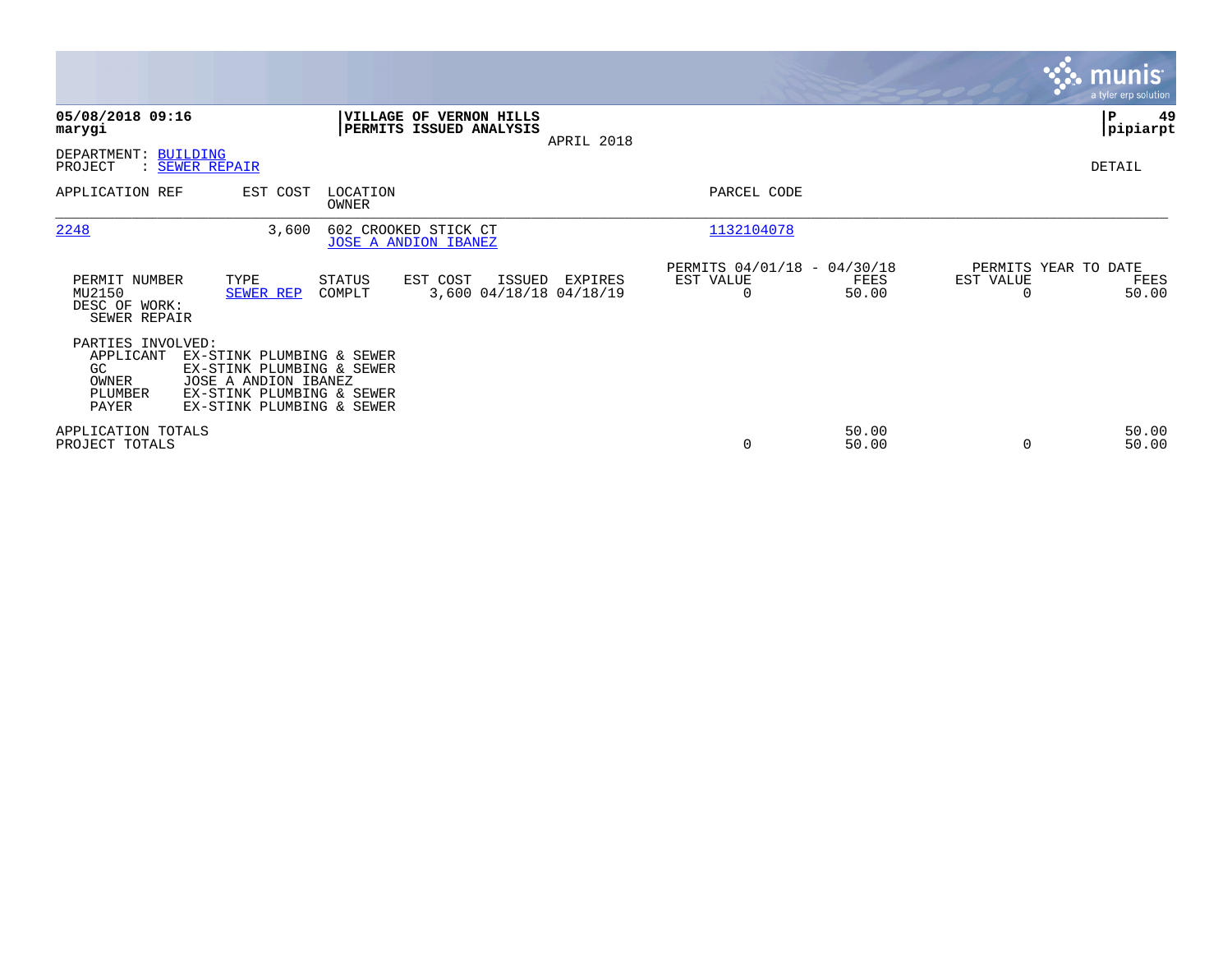|                                                                    |                                                                                                                                          |                   |                                                     |            |                                                         |                |                                               | <b>munis</b><br>a tyler erp solution |
|--------------------------------------------------------------------|------------------------------------------------------------------------------------------------------------------------------------------|-------------------|-----------------------------------------------------|------------|---------------------------------------------------------|----------------|-----------------------------------------------|--------------------------------------|
| 05/08/2018 09:16<br>marygi                                         |                                                                                                                                          | <b>VILLAGE OF</b> | <b>VERNON HILLS</b><br>PERMITS ISSUED ANALYSIS      | APRIL 2018 |                                                         |                |                                               | 49<br>P<br> pipiarpt                 |
| DEPARTMENT: BUILDING<br>PROJECT                                    | : SEWER REPAIR                                                                                                                           |                   |                                                     |            |                                                         |                |                                               | DETAIL                               |
| APPLICATION REF                                                    | EST COST                                                                                                                                 | LOCATION<br>OWNER |                                                     |            | PARCEL CODE                                             |                |                                               |                                      |
| 2248                                                               | 3,600                                                                                                                                    |                   | 602 CROOKED STICK CT<br><b>JOSE A ANDION IBANEZ</b> |            | 1132104078                                              |                |                                               |                                      |
| PERMIT NUMBER<br>MU2150<br>DESC OF WORK:<br>SEWER REPAIR           | TYPE<br>SEWER REP                                                                                                                        | STATUS<br>COMPLT  | EST COST<br>ISSUED<br>3,600 04/18/18 04/18/19       | EXPIRES    | PERMITS 04/01/18 - 04/30/18<br>EST VALUE<br>$\mathbf 0$ | FEES<br>50.00  | PERMITS YEAR TO DATE<br>EST VALUE<br>$\Omega$ | FEES<br>50.00                        |
| PARTIES INVOLVED:<br>APPLICANT<br>GC.<br>OWNER<br>PLUMBER<br>PAYER | EX-STINK PLUMBING & SEWER<br>EX-STINK PLUMBING & SEWER<br>JOSE A ANDION IBANEZ<br>EX-STINK PLUMBING & SEWER<br>EX-STINK PLUMBING & SEWER |                   |                                                     |            |                                                         |                |                                               |                                      |
| APPLICATION TOTALS<br>PROJECT TOTALS                               |                                                                                                                                          |                   |                                                     |            | 0                                                       | 50.00<br>50.00 | 0                                             | 50.00<br>50.00                       |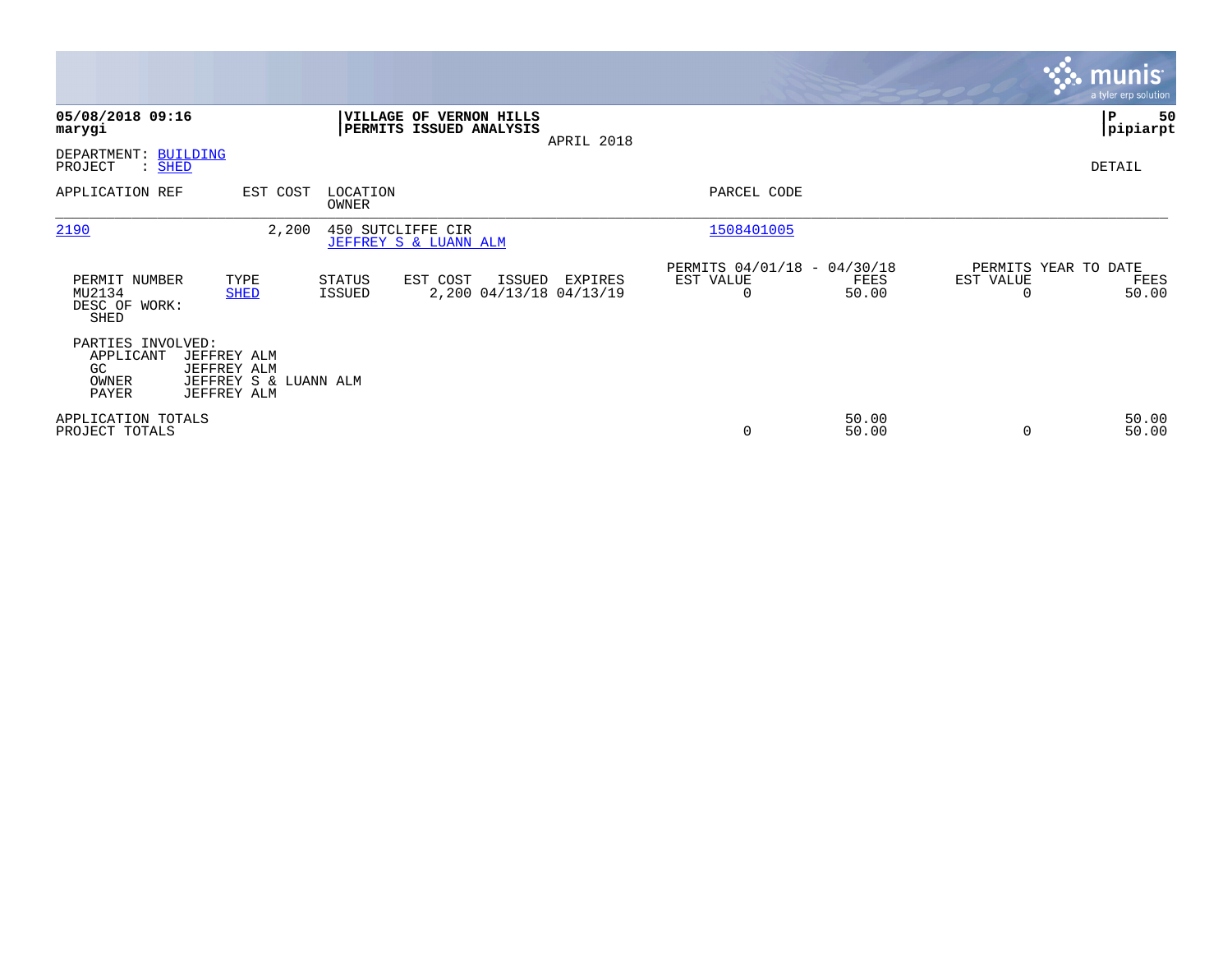|                                                                                                                              |                                                                   |                                                                           | <b>munis</b><br>a tyler erp solution               |
|------------------------------------------------------------------------------------------------------------------------------|-------------------------------------------------------------------|---------------------------------------------------------------------------|----------------------------------------------------|
| 05/08/2018 09:16<br>marygi                                                                                                   | VILLAGE OF VERNON HILLS<br>PERMITS ISSUED ANALYSIS                | APRIL 2018                                                                | ∣P<br>50<br> pipiarpt                              |
| DEPARTMENT: BUILDING<br>PROJECT<br>$:$ SHED                                                                                  |                                                                   |                                                                           | DETAIL                                             |
| APPLICATION REF<br>EST COST                                                                                                  | LOCATION<br>OWNER                                                 | PARCEL CODE                                                               |                                                    |
| 2190<br>2,200                                                                                                                | 450 SUTCLIFFE CIR<br>JEFFREY S & LUANN ALM                        | 1508401005                                                                |                                                    |
| PERMIT NUMBER<br>TYPE<br>MU2134<br><b>SHED</b><br>DESC OF WORK:<br>SHED                                                      | STATUS<br>EST COST<br>ISSUED<br>2,200 04/13/18 04/13/19<br>ISSUED | PERMITS 04/01/18 - 04/30/18<br>EST VALUE<br>EXPIRES<br>FEES<br>50.00<br>0 | PERMITS YEAR TO DATE<br>EST VALUE<br>FEES<br>50.00 |
| PARTIES INVOLVED:<br>APPLICANT<br>JEFFREY ALM<br>GC<br>JEFFREY ALM<br>OWNER<br>JEFFREY S & LUANN ALM<br>PAYER<br>JEFFREY ALM |                                                                   |                                                                           |                                                    |
| APPLICATION TOTALS<br>PROJECT TOTALS                                                                                         |                                                                   | 50.00<br>0<br>50.00                                                       | 50.00<br>50.00                                     |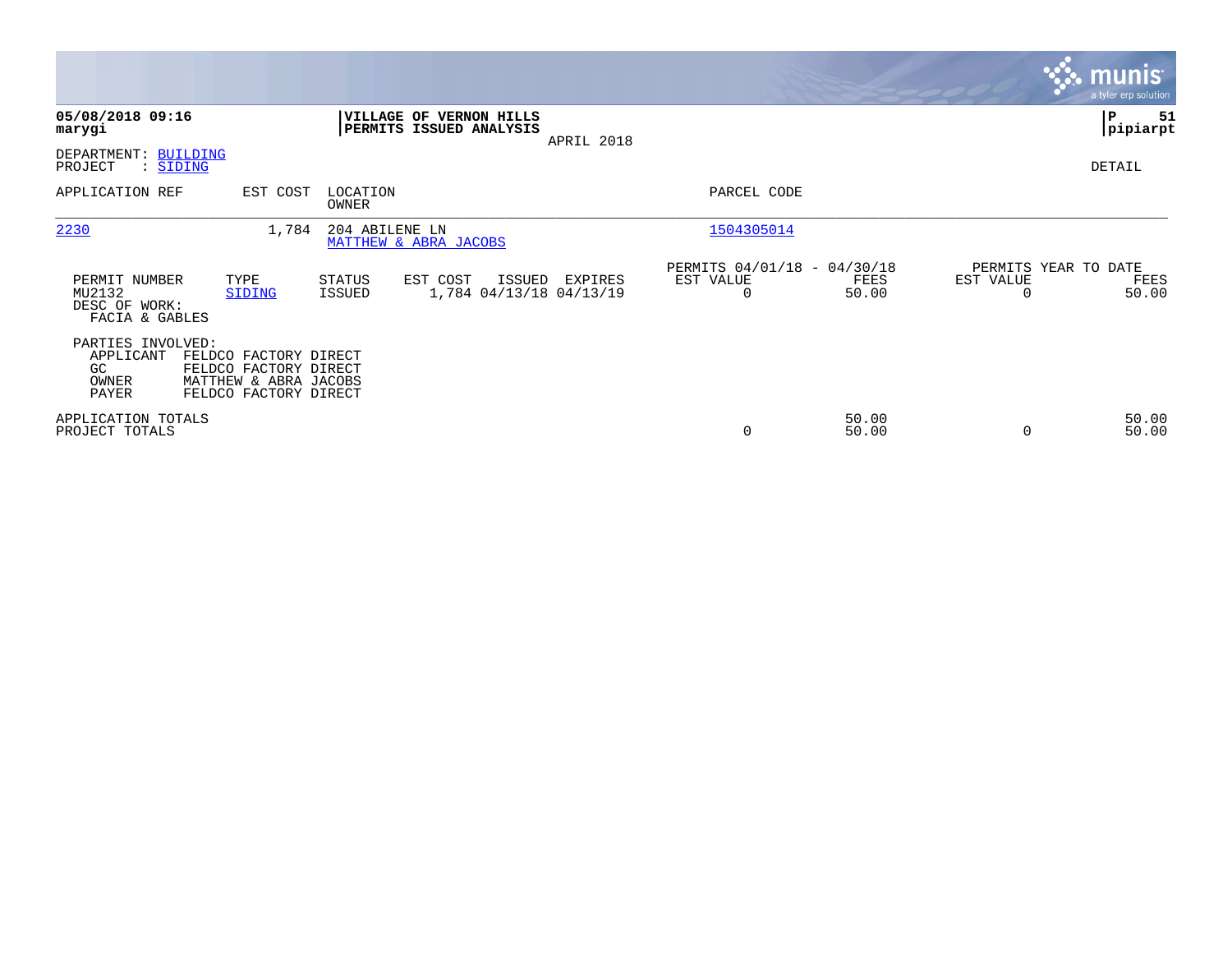|                                                            |                                                                                                  |                   |                                                    |            |                                               |                |           | <b>munis</b><br>a tyler erp solution  |
|------------------------------------------------------------|--------------------------------------------------------------------------------------------------|-------------------|----------------------------------------------------|------------|-----------------------------------------------|----------------|-----------|---------------------------------------|
| 05/08/2018 09:16<br>marygi                                 |                                                                                                  |                   | VILLAGE OF VERNON HILLS<br>PERMITS ISSUED ANALYSIS | APRIL 2018 |                                               |                |           | ∣P<br>51<br> pipiarpt                 |
| DEPARTMENT: BUILDING<br>PROJECT<br>: SIDING                |                                                                                                  |                   |                                                    |            |                                               |                |           | DETAIL                                |
| APPLICATION REF                                            | EST COST                                                                                         | LOCATION<br>OWNER |                                                    |            | PARCEL CODE                                   |                |           |                                       |
| 2230                                                       | 1,784                                                                                            | 204 ABILENE LN    | MATTHEW & ABRA JACOBS                              |            | 1504305014                                    |                |           |                                       |
| PERMIT NUMBER<br>MU2132<br>DESC OF WORK:<br>FACIA & GABLES | TYPE<br>SIDING                                                                                   | STATUS<br>ISSUED  | EST COST<br>ISSUED<br>1,784 04/13/18 04/13/19      | EXPIRES    | PERMITS 04/01/18 - 04/30/18<br>EST VALUE<br>0 | FEES<br>50.00  | EST VALUE | PERMITS YEAR TO DATE<br>FEES<br>50.00 |
| PARTIES INVOLVED:<br>APPLICANT<br>GC<br>OWNER<br>PAYER     | FELDCO FACTORY DIRECT<br>FELDCO FACTORY DIRECT<br>MATTHEW & ABRA JACOBS<br>FELDCO FACTORY DIRECT |                   |                                                    |            |                                               |                |           |                                       |
| APPLICATION TOTALS<br>PROJECT TOTALS                       |                                                                                                  |                   |                                                    |            | 0                                             | 50.00<br>50.00 |           | 50.00<br>50.00                        |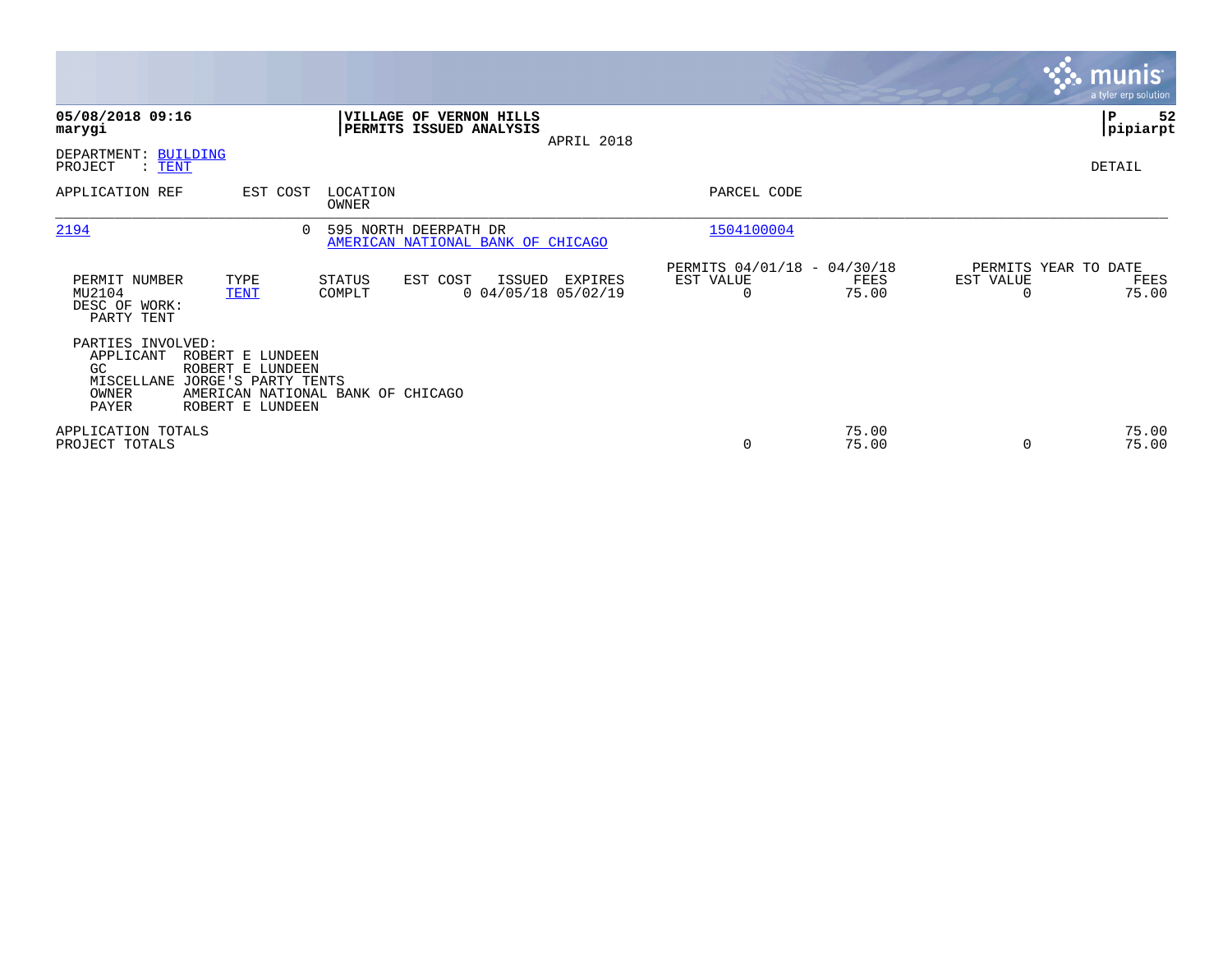|                                                                       |                                                                                                                      |                   |                                                            |                                            |                       |                                              |                       | <b>munis</b><br>a tyler erp solution  |
|-----------------------------------------------------------------------|----------------------------------------------------------------------------------------------------------------------|-------------------|------------------------------------------------------------|--------------------------------------------|-----------------------|----------------------------------------------|-----------------------|---------------------------------------|
| 05/08/2018 09:16<br>marygi                                            |                                                                                                                      |                   | VILLAGE OF VERNON HILLS<br>PERMITS ISSUED ANALYSIS         | APRIL 2018                                 |                       |                                              |                       | IP.<br>52<br> pipiarpt                |
| DEPARTMENT: BUILDING<br>PROJECT<br>$\colon$ TENT                      |                                                                                                                      |                   |                                                            |                                            |                       |                                              |                       | DETAIL                                |
| APPLICATION REF                                                       | EST COST                                                                                                             | LOCATION<br>OWNER |                                                            |                                            | PARCEL CODE           |                                              |                       |                                       |
| 2194                                                                  | $\Omega$                                                                                                             |                   | 595 NORTH DEERPATH DR<br>AMERICAN NATIONAL BANK OF CHICAGO |                                            | 1504100004            |                                              |                       |                                       |
| PERMIT NUMBER<br>MU2104<br>DESC OF WORK:<br>PARTY TENT                | TYPE<br><b>TENT</b>                                                                                                  | STATUS<br>COMPLT  | EST COST                                                   | ISSUED<br>EXPIRES<br>$0$ 04/05/18 05/02/19 | EST VALUE<br>$\Omega$ | PERMITS 04/01/18 - 04/30/18<br>FEES<br>75.00 | EST VALUE<br>$\Omega$ | PERMITS YEAR TO DATE<br>FEES<br>75.00 |
| PARTIES INVOLVED:<br>APPLICANT<br>GC.<br>MISCELLANE<br>OWNER<br>PAYER | ROBERT E LUNDEEN<br>ROBERT E LUNDEEN<br>JORGE'S PARTY TENTS<br>AMERICAN NATIONAL BANK OF CHICAGO<br>ROBERT E LUNDEEN |                   |                                                            |                                            |                       |                                              |                       |                                       |
| APPLICATION TOTALS<br>PROJECT TOTALS                                  |                                                                                                                      |                   |                                                            |                                            | 0                     | 75.00<br>75.00                               | $\Omega$              | 75.00<br>75.00                        |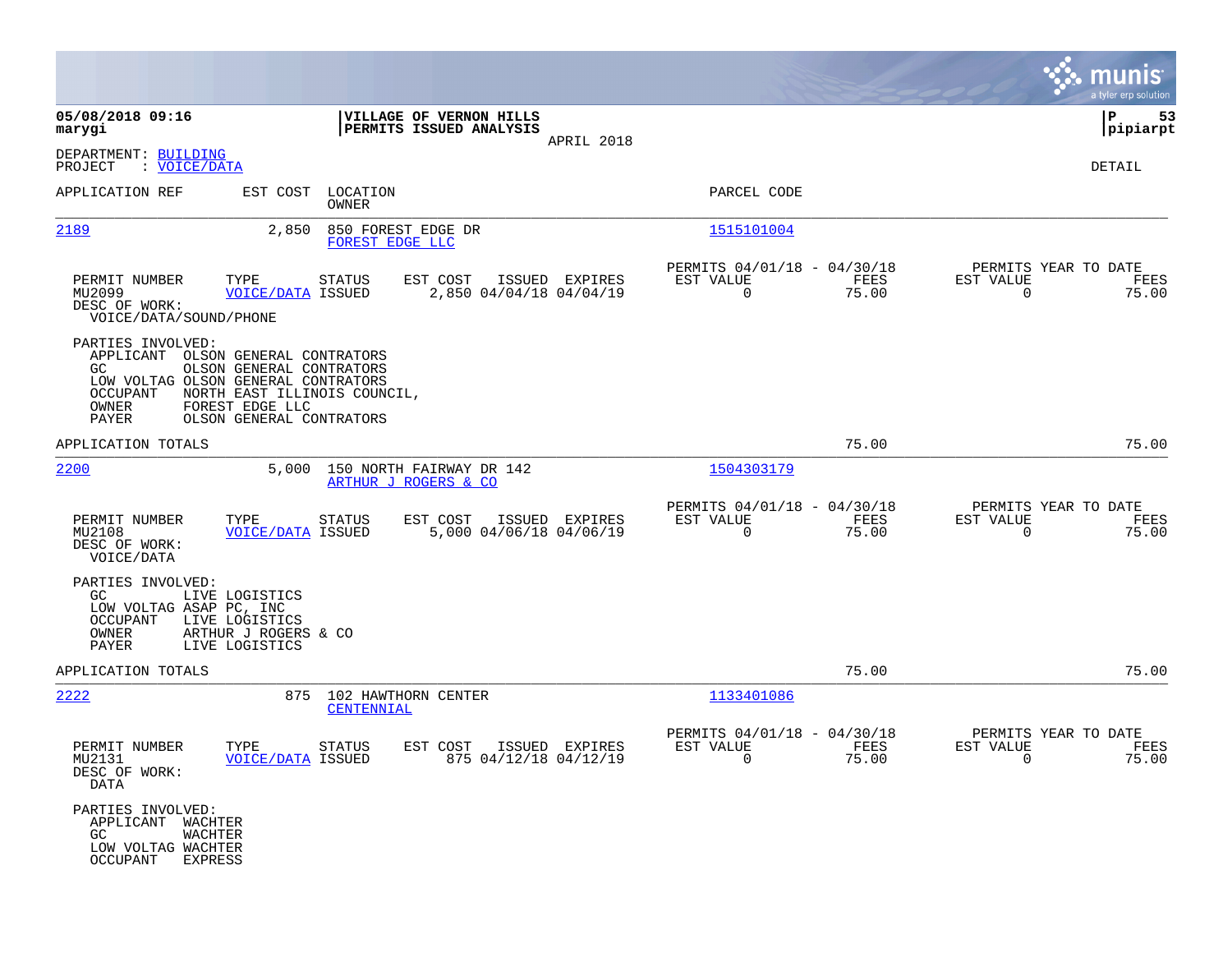|                                                                                                                                     |                                                                                                         |                            |                                                    |                |                                                         |               |                                                     | munis<br>a tyler erp solution |
|-------------------------------------------------------------------------------------------------------------------------------------|---------------------------------------------------------------------------------------------------------|----------------------------|----------------------------------------------------|----------------|---------------------------------------------------------|---------------|-----------------------------------------------------|-------------------------------|
| 05/08/2018 09:16<br>marygi                                                                                                          |                                                                                                         |                            | VILLAGE OF VERNON HILLS<br>PERMITS ISSUED ANALYSIS | APRIL 2018     |                                                         |               |                                                     | P<br>53<br> pipiarpt          |
| DEPARTMENT: BUILDING<br>PROJECT<br>: <u>VOICE/DATA</u>                                                                              |                                                                                                         |                            |                                                    |                |                                                         |               |                                                     | DETAIL                        |
| APPLICATION REF                                                                                                                     |                                                                                                         | EST COST LOCATION<br>OWNER |                                                    |                | PARCEL CODE                                             |               |                                                     |                               |
| <u> 2189</u>                                                                                                                        | 2,850                                                                                                   | FOREST EDGE LLC            | 850 FOREST EDGE DR                                 |                | 1515101004                                              |               |                                                     |                               |
| PERMIT NUMBER<br>MU2099<br>DESC OF WORK:<br>VOICE/DATA/SOUND/PHONE                                                                  | TYPE<br><b>VOICE/DATA ISSUED</b>                                                                        | STATUS                     | EST COST<br>2,850 04/04/18 04/04/19                | ISSUED EXPIRES | PERMITS 04/01/18 - 04/30/18<br>EST VALUE<br>$\mathbf 0$ | FEES<br>75.00 | PERMITS YEAR TO DATE<br>EST VALUE<br>$\mathbf 0$    | FEES<br>75.00                 |
| PARTIES INVOLVED:<br>APPLICANT OLSON GENERAL CONTRATORS<br>GC.<br>LOW VOLTAG OLSON GENERAL CONTRATORS<br>OCCUPANT<br>OWNER<br>PAYER | OLSON GENERAL CONTRATORS<br>NORTH EAST ILLINOIS COUNCIL,<br>FOREST EDGE LLC<br>OLSON GENERAL CONTRATORS |                            |                                                    |                |                                                         |               |                                                     |                               |
| APPLICATION TOTALS                                                                                                                  |                                                                                                         |                            |                                                    |                |                                                         | 75.00         |                                                     | 75.00                         |
| 2200                                                                                                                                | 5,000                                                                                                   |                            | 150 NORTH FAIRWAY DR 142<br>ARTHUR J ROGERS & CO   |                | 1504303179                                              |               |                                                     |                               |
| PERMIT NUMBER<br>MU2108<br>DESC OF WORK:<br>VOICE/DATA                                                                              | TYPE<br><b>VOICE/DATA ISSUED</b>                                                                        | <b>STATUS</b>              | EST COST<br>5,000 04/06/18 04/06/19                | ISSUED EXPIRES | PERMITS 04/01/18 - 04/30/18<br>EST VALUE<br>$\mathbf 0$ | FEES<br>75.00 | PERMITS YEAR TO DATE<br>EST VALUE<br>$\mathbf 0$    | FEES<br>75.00                 |
| PARTIES INVOLVED:<br>GC.<br>LOW VOLTAG ASAP PC, INC<br>OCCUPANT<br>OWNER<br>PAYER                                                   | LIVE LOGISTICS<br>LIVE LOGISTICS<br>ARTHUR J ROGERS & CO<br>LIVE LOGISTICS                              |                            |                                                    |                |                                                         |               |                                                     |                               |
| APPLICATION TOTALS                                                                                                                  |                                                                                                         |                            |                                                    |                |                                                         | 75.00         |                                                     | 75.00                         |
| 2222                                                                                                                                |                                                                                                         | CENTENNIAL                 | 875 102 HAWTHORN CENTER                            |                | 1133401086                                              |               |                                                     |                               |
| PERMIT NUMBER<br>MU2131<br>DESC OF WORK:<br>DATA                                                                                    | TYPE<br><b>VOICE/DATA ISSUED</b>                                                                        | <b>STATUS</b>              | EST COST<br>875 04/12/18 04/12/19                  | ISSUED EXPIRES | PERMITS 04/01/18 - 04/30/18<br>EST VALUE<br>$\sim$ 0    | FEES<br>75.00 | PERMITS YEAR TO DATE<br>EST VALUE<br>$\overline{0}$ | FEES<br>75.00                 |
| PARTIES INVOLVED:<br>APPLICANT WACHTER<br>GC<br>WACHTER<br>LOW VOLTAG WACHTER<br>OCCUPANT EXPRESS                                   |                                                                                                         |                            |                                                    |                |                                                         |               |                                                     |                               |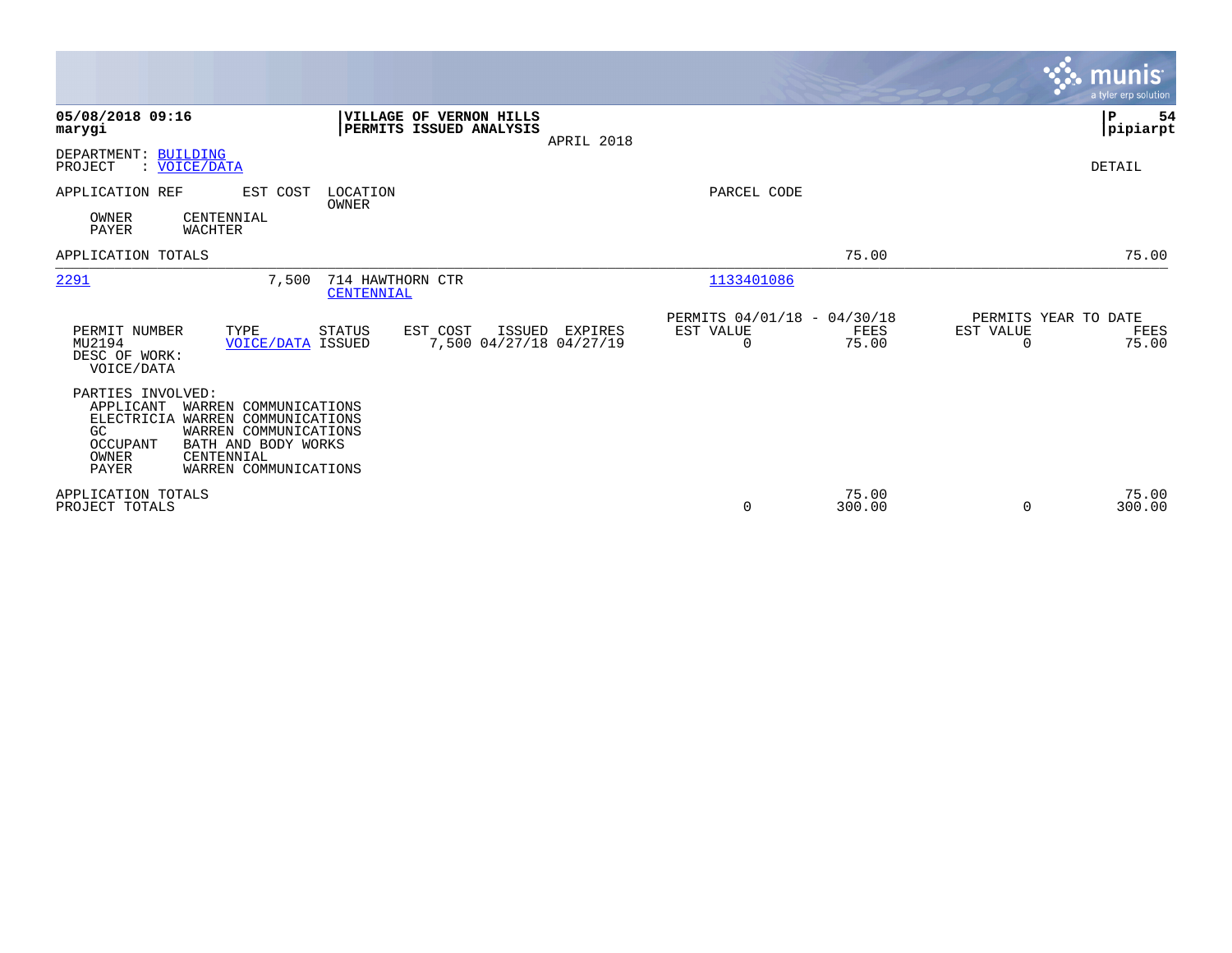|                                                                                                                                                                                                                        |                                                                  |                                                                | <b>munis</b><br>a tyler erp solution                           |
|------------------------------------------------------------------------------------------------------------------------------------------------------------------------------------------------------------------------|------------------------------------------------------------------|----------------------------------------------------------------|----------------------------------------------------------------|
| 05/08/2018 09:16<br>marygi                                                                                                                                                                                             | VILLAGE OF VERNON HILLS<br>PERMITS ISSUED ANALYSIS<br>APRIL 2018 |                                                                | ∣₽<br>54<br> pipiarpt                                          |
| DEPARTMENT: BUILDING<br>: VOICE/DATA<br>PROJECT                                                                                                                                                                        |                                                                  |                                                                | DETAIL                                                         |
| APPLICATION REF<br>EST COST<br>OWNER<br>CENTENNIAL<br>PAYER<br><b>WACHTER</b>                                                                                                                                          | LOCATION<br>OWNER                                                | PARCEL CODE                                                    |                                                                |
| APPLICATION TOTALS                                                                                                                                                                                                     |                                                                  | 75.00                                                          | 75.00                                                          |
| 2291<br>7,500                                                                                                                                                                                                          | 714 HAWTHORN CTR<br><b>CENTENNIAL</b>                            | 1133401086                                                     |                                                                |
| PERMIT NUMBER<br>TYPE<br>MU2194<br><b>VOICE/DATA ISSUED</b><br>DESC OF WORK:<br>VOICE/DATA                                                                                                                             | STATUS<br>EST COST<br>ISSUED EXPIRES<br>7,500 04/27/18 04/27/19  | PERMITS 04/01/18 - 04/30/18<br>EST VALUE<br>FEES<br>0<br>75.00 | PERMITS YEAR TO DATE<br>EST VALUE<br>FEES<br>75.00<br>$\Omega$ |
| PARTIES INVOLVED:<br>APPLICANT<br>WARREN COMMUNICATIONS<br>ELECTRICIA WARREN COMMUNICATIONS<br>GC<br>WARREN COMMUNICATIONS<br>OCCUPANT<br>BATH AND BODY WORKS<br>OWNER<br>CENTENNIAL<br>PAYER<br>WARREN COMMUNICATIONS |                                                                  |                                                                |                                                                |
| APPLICATION TOTALS<br>PROJECT TOTALS                                                                                                                                                                                   |                                                                  | 75.00<br>300.00<br>0                                           | 75.00<br>300.00<br>$\Omega$                                    |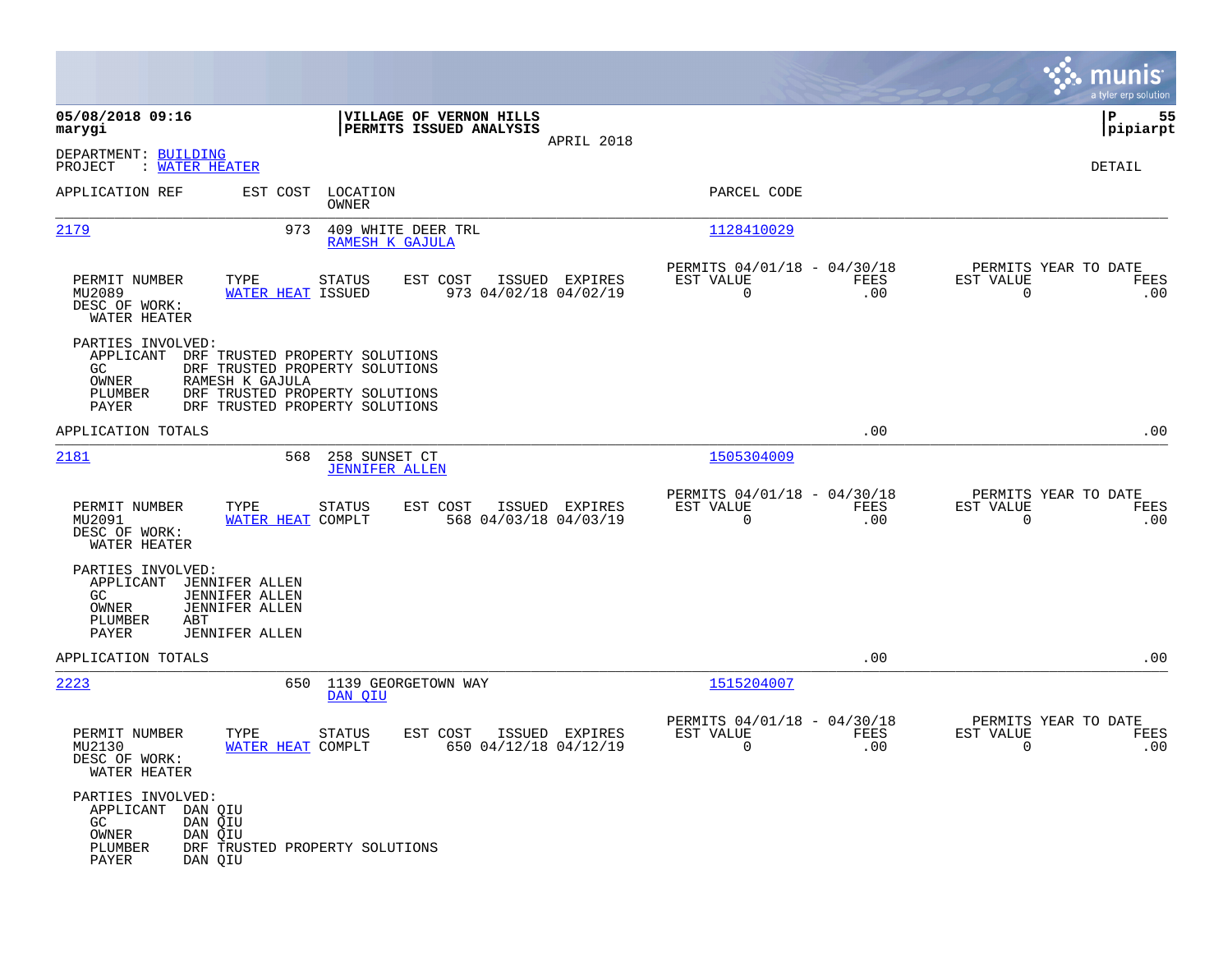|                                                                                                            |                                                                                                                                                         |                                        |                                                    |                |                                                            |             |                                                     | munis<br>a tyler erp solution |
|------------------------------------------------------------------------------------------------------------|---------------------------------------------------------------------------------------------------------------------------------------------------------|----------------------------------------|----------------------------------------------------|----------------|------------------------------------------------------------|-------------|-----------------------------------------------------|-------------------------------|
| 05/08/2018 09:16<br>marygi                                                                                 |                                                                                                                                                         |                                        | VILLAGE OF VERNON HILLS<br>PERMITS ISSUED ANALYSIS | APRIL 2018     |                                                            |             |                                                     | 55<br>l P<br> pipiarpt        |
| DEPARTMENT: BUILDING<br>: WATER HEATER<br>PROJECT                                                          |                                                                                                                                                         |                                        |                                                    |                |                                                            |             |                                                     | DETAIL                        |
| APPLICATION REF                                                                                            |                                                                                                                                                         | EST COST LOCATION<br>OWNER             |                                                    |                | PARCEL CODE                                                |             |                                                     |                               |
| 2179                                                                                                       | 973                                                                                                                                                     | 409 WHITE DEER TRL<br>RAMESH K GAJULA  |                                                    |                | 1128410029                                                 |             |                                                     |                               |
| PERMIT NUMBER<br>MU2089<br>DESC OF WORK:<br>WATER HEATER                                                   | TYPE<br><b>WATER HEAT ISSUED</b>                                                                                                                        | STATUS                                 | EST COST<br>973 04/02/18 04/02/19                  | ISSUED EXPIRES | PERMITS 04/01/18 - 04/30/18<br>EST VALUE<br>$\overline{0}$ | FEES<br>.00 | PERMITS YEAR TO DATE<br>EST VALUE<br>$\Omega$       | FEES<br>.00                   |
| PARTIES INVOLVED:<br>APPLICANT<br>GC.<br>OWNER<br>PLUMBER<br><b>PAYER</b>                                  | DRF TRUSTED PROPERTY SOLUTIONS<br>DRF TRUSTED PROPERTY SOLUTIONS<br>RAMESH K GAJULA<br>DRF TRUSTED PROPERTY SOLUTIONS<br>DRF TRUSTED PROPERTY SOLUTIONS |                                        |                                                    |                |                                                            |             |                                                     |                               |
| APPLICATION TOTALS                                                                                         |                                                                                                                                                         |                                        |                                                    |                |                                                            | .00         |                                                     | .00                           |
| 2181                                                                                                       | 568                                                                                                                                                     | 258 SUNSET CT<br><b>JENNIFER ALLEN</b> |                                                    |                | 1505304009                                                 |             |                                                     |                               |
| PERMIT NUMBER<br>MU2091<br>DESC OF WORK:<br>WATER HEATER                                                   | TYPE<br>WATER HEAT COMPLT                                                                                                                               | STATUS                                 | EST COST<br>568 04/03/18 04/03/19                  | ISSUED EXPIRES | PERMITS 04/01/18 - 04/30/18<br>EST VALUE<br>$\overline{0}$ | FEES<br>.00 | PERMITS YEAR TO DATE<br>EST VALUE<br>$\overline{0}$ | FEES<br>.00                   |
| PARTIES INVOLVED:<br>APPLICANT<br>GC.<br>OWNER<br>PLUMBER<br>ABT<br>PAYER                                  | JENNIFER ALLEN<br><b>JENNIFER ALLEN</b><br><b>JENNIFER ALLEN</b><br>JENNIFER ALLEN                                                                      |                                        |                                                    |                |                                                            |             |                                                     |                               |
| APPLICATION TOTALS                                                                                         |                                                                                                                                                         |                                        |                                                    |                |                                                            | .00         |                                                     | .00                           |
| 2223                                                                                                       |                                                                                                                                                         | 650 1139 GEORGETOWN WAY<br>DAN OIU     |                                                    |                | 1515204007                                                 |             |                                                     |                               |
| PERMIT NUMBER<br>MU2130<br>DESC OF WORK:<br>WATER HEATER                                                   | TYPE<br>WATER HEAT COMPLT                                                                                                                               | STATUS                                 | EST COST<br>650 04/12/18 04/12/19                  | ISSUED EXPIRES | PERMITS 04/01/18 - 04/30/18<br>EST VALUE<br>0              | FEES<br>.00 | PERMITS YEAR TO DATE<br>EST VALUE<br>0              | FEES<br>.00                   |
| PARTIES INVOLVED:<br>APPLICANT DAN QIU<br>GC<br>DAN QIU<br>DAN QIU<br>OWNER<br>PLUMBER<br>PAYER<br>DAN QIU | DRF TRUSTED PROPERTY SOLUTIONS                                                                                                                          |                                        |                                                    |                |                                                            |             |                                                     |                               |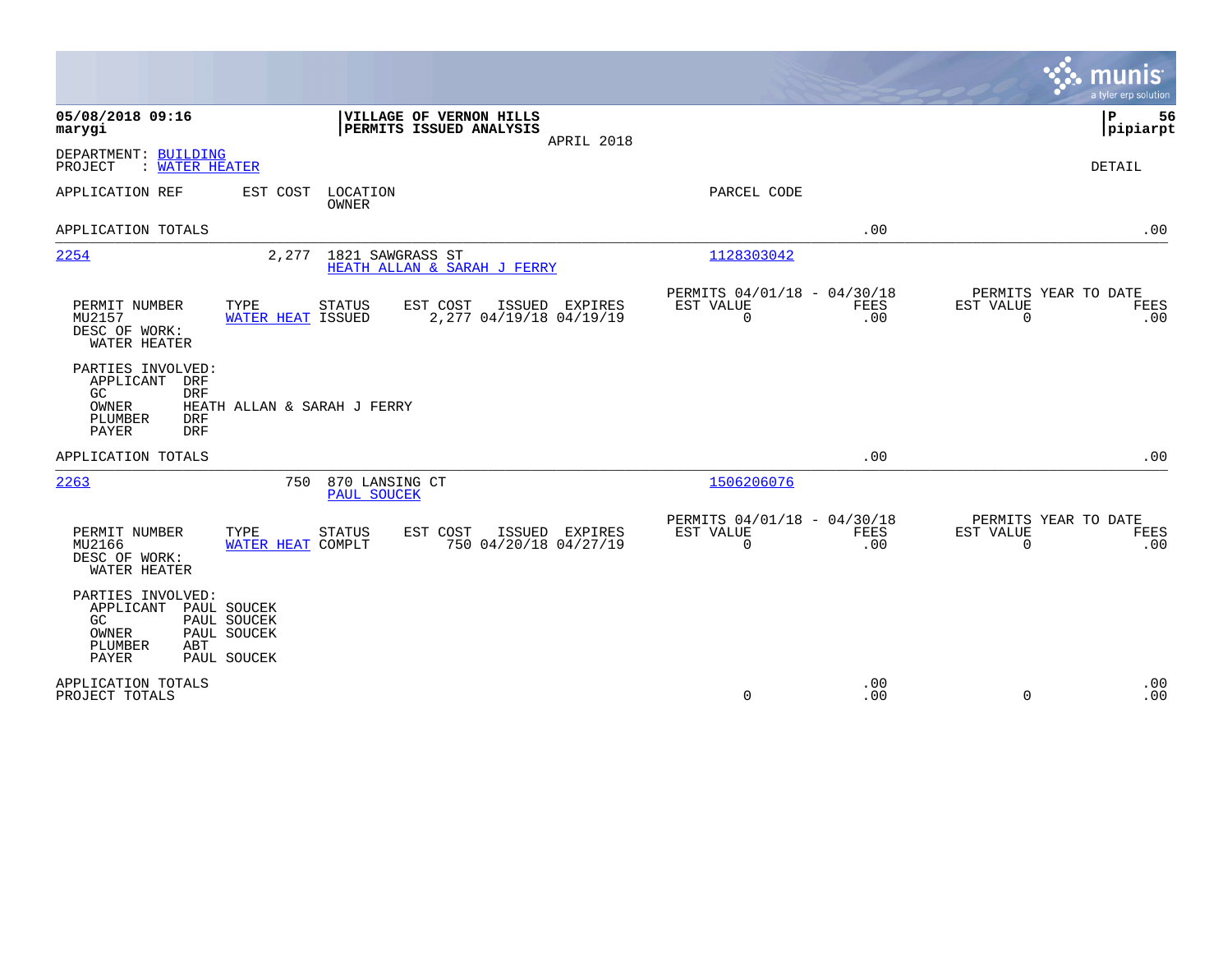|                                                                                                             |                                                          |                                                                  |                                                         |                    |                          | munis<br>a tyler erp solution       |
|-------------------------------------------------------------------------------------------------------------|----------------------------------------------------------|------------------------------------------------------------------|---------------------------------------------------------|--------------------|--------------------------|-------------------------------------|
| 05/08/2018 09:16<br>marygi                                                                                  |                                                          | VILLAGE OF VERNON HILLS<br>PERMITS ISSUED ANALYSIS<br>APRIL 2018 |                                                         |                    |                          | P<br>56<br> pipiarpt                |
| DEPARTMENT: BUILDING<br>PROJECT<br>: WATER HEATER                                                           |                                                          |                                                                  |                                                         |                    |                          | DETAIL                              |
| APPLICATION REF                                                                                             | EST COST<br>LOCATION<br><b>OWNER</b>                     |                                                                  | PARCEL CODE                                             |                    |                          |                                     |
| APPLICATION TOTALS                                                                                          |                                                          |                                                                  |                                                         | .00                |                          | .00                                 |
| 2254                                                                                                        | 2,277                                                    | 1821 SAWGRASS ST<br>HEATH ALLAN & SARAH J FERRY                  | 1128303042                                              |                    |                          |                                     |
| PERMIT NUMBER<br>MU2157<br>DESC OF WORK:<br>WATER HEATER                                                    | TYPE<br><b>STATUS</b><br>WATER HEAT ISSUED               | EST COST<br>ISSUED<br>EXPIRES<br>2,277 04/19/18 04/19/19         | PERMITS 04/01/18 - 04/30/18<br>EST VALUE<br>$\mathbf 0$ | FEES<br>.00        | EST VALUE<br>$\mathbf 0$ | PERMITS YEAR TO DATE<br>FEES<br>.00 |
| PARTIES INVOLVED:<br>APPLICANT<br>DRF<br>GC<br><b>DRF</b><br>OWNER<br>PLUMBER<br><b>DRF</b><br>PAYER<br>DRF | HEATH ALLAN & SARAH J FERRY                              |                                                                  |                                                         |                    |                          |                                     |
| APPLICATION TOTALS                                                                                          |                                                          |                                                                  |                                                         | .00                |                          | .00                                 |
| 2263                                                                                                        | 750<br>870 LANSING CT<br>PAUL SOUCEK                     |                                                                  | 1506206076                                              |                    |                          |                                     |
| PERMIT NUMBER<br>MU2166<br>DESC OF WORK:<br>WATER HEATER                                                    | TYPE<br><b>STATUS</b><br>WATER HEAT COMPLT               | EST COST<br>ISSUED EXPIRES<br>750 04/20/18 04/27/19              | PERMITS 04/01/18 - 04/30/18<br>EST VALUE<br>$\mathbf 0$ | <b>FEES</b><br>.00 | EST VALUE<br>$\mathbf 0$ | PERMITS YEAR TO DATE<br>FEES<br>.00 |
| PARTIES INVOLVED:<br>APPLICANT<br>GC.<br>OWNER<br>PLUMBER<br>ABT<br><b>PAYER</b>                            | PAUL SOUCEK<br>PAUL SOUCEK<br>PAUL SOUCEK<br>PAUL SOUCEK |                                                                  |                                                         |                    |                          |                                     |
| APPLICATION TOTALS<br>PROJECT TOTALS                                                                        |                                                          |                                                                  | $\mathbf 0$                                             | .00<br>.00         | $\Omega$                 | .00<br>.00                          |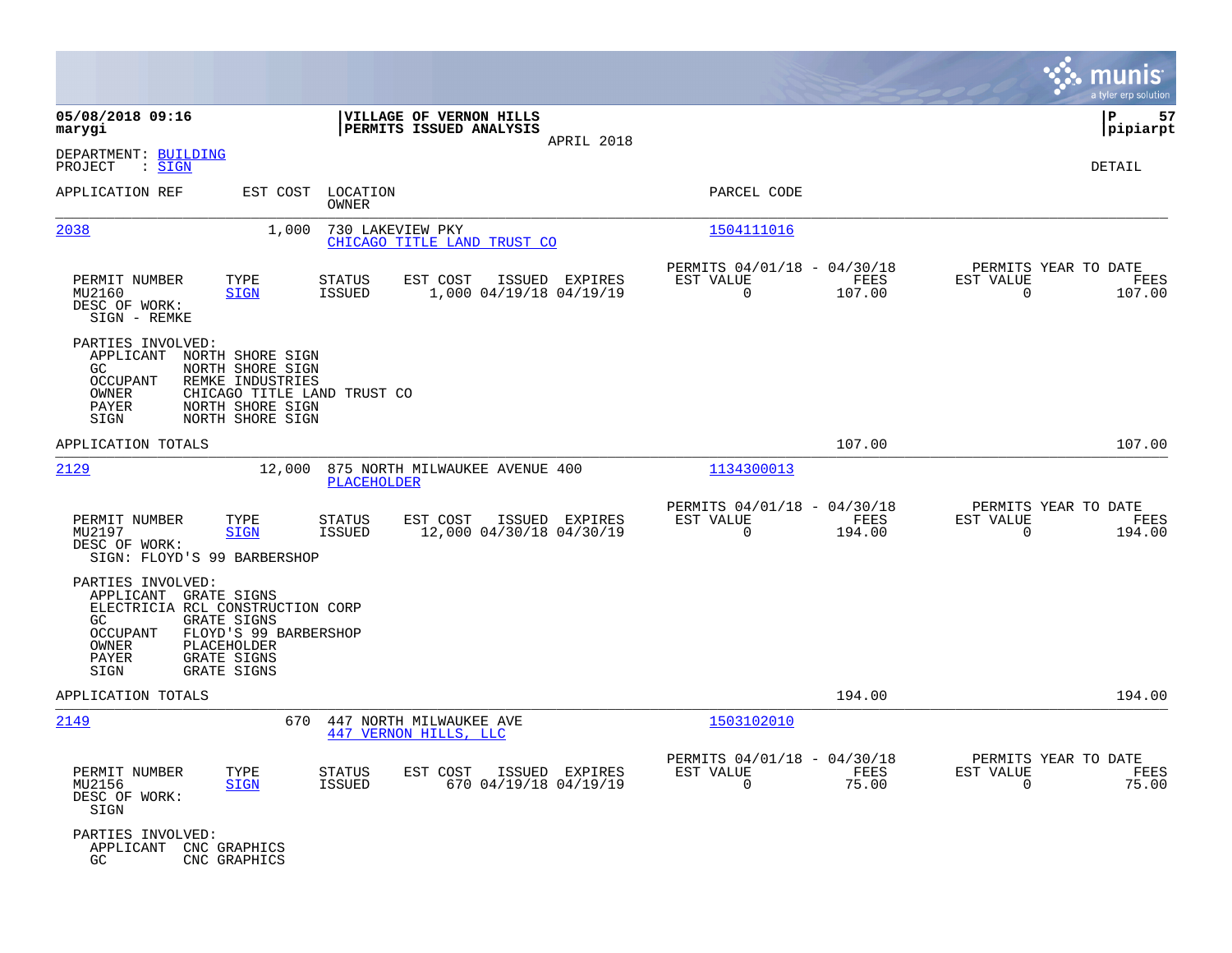|                                                                                                                                                                                                                                              |                                                                                          |                                                                                  | munis<br>a tyler erp solution                                     |
|----------------------------------------------------------------------------------------------------------------------------------------------------------------------------------------------------------------------------------------------|------------------------------------------------------------------------------------------|----------------------------------------------------------------------------------|-------------------------------------------------------------------|
| 05/08/2018 09:16<br>marygi                                                                                                                                                                                                                   | VILLAGE OF VERNON HILLS<br>PERMITS ISSUED ANALYSIS                                       |                                                                                  | P<br>57<br> pipiarpt                                              |
| DEPARTMENT: BUILDING<br>: <u>SIGN</u><br>PROJECT                                                                                                                                                                                             | APRIL 2018                                                                               |                                                                                  | DETAIL                                                            |
| APPLICATION REF<br>EST COST                                                                                                                                                                                                                  | LOCATION<br>OWNER                                                                        | PARCEL CODE                                                                      |                                                                   |
| 2038<br>1,000                                                                                                                                                                                                                                | 730 LAKEVIEW PKY<br>CHICAGO TITLE LAND TRUST CO                                          | 1504111016                                                                       |                                                                   |
| PERMIT NUMBER<br>TYPE<br>MU2160<br><b>SIGN</b><br>DESC OF WORK:<br>SIGN - REMKE                                                                                                                                                              | <b>STATUS</b><br>EST COST<br>ISSUED EXPIRES<br>1,000 04/19/18 04/19/19<br><b>ISSUED</b>  | PERMITS 04/01/18 - 04/30/18<br>EST VALUE<br>FEES<br>$\Omega$<br>107.00           | PERMITS YEAR TO DATE<br>EST VALUE<br>FEES<br>107.00<br>$\Omega$   |
| PARTIES INVOLVED:<br>APPLICANT NORTH SHORE SIGN<br>GC<br>NORTH SHORE SIGN<br>OCCUPANT<br>REMKE INDUSTRIES<br><b>OWNER</b><br><b>PAYER</b><br>NORTH SHORE SIGN<br>SIGN<br>NORTH SHORE SIGN                                                    | CHICAGO TITLE LAND TRUST CO                                                              |                                                                                  |                                                                   |
| APPLICATION TOTALS                                                                                                                                                                                                                           |                                                                                          | 107.00                                                                           | 107.00                                                            |
| 2129<br>12,000                                                                                                                                                                                                                               | 875 NORTH MILWAUKEE AVENUE 400<br><b>PLACEHOLDER</b>                                     | 1134300013                                                                       |                                                                   |
| PERMIT NUMBER<br>TYPE<br>MU2197<br><b>SIGN</b><br>DESC OF WORK:<br>SIGN: FLOYD'S 99 BARBERSHOP                                                                                                                                               | <b>STATUS</b><br>EST COST<br>ISSUED EXPIRES<br>12,000 04/30/18 04/30/19<br><b>ISSUED</b> | PERMITS 04/01/18 -<br>04/30/18<br>EST VALUE<br><b>FEES</b><br>194.00<br>$\Omega$ | PERMITS YEAR TO DATE<br>EST VALUE<br>FEES<br>194.00<br>0          |
| PARTIES INVOLVED:<br>APPLICANT GRATE SIGNS<br>ELECTRICIA RCL CONSTRUCTION CORP<br><b>GRATE SIGNS</b><br>GC.<br><b>OCCUPANT</b><br>FLOYD'S 99 BARBERSHOP<br>PLACEHOLDER<br>OWNER<br><b>GRATE SIGNS</b><br>PAYER<br>SIGN<br><b>GRATE SIGNS</b> |                                                                                          |                                                                                  |                                                                   |
| APPLICATION TOTALS                                                                                                                                                                                                                           |                                                                                          | 194.00                                                                           | 194.00                                                            |
| 2149                                                                                                                                                                                                                                         | 670<br>447 NORTH MILWAUKEE AVE<br>447 VERNON HILLS, LLC                                  | 1503102010                                                                       |                                                                   |
| TYPE<br>PERMIT NUMBER<br>MU2156<br><b>SIGN</b><br>DESC OF WORK:<br>SIGN                                                                                                                                                                      | STATUS<br>EST COST<br>ISSUED EXPIRES<br>670 04/19/18 04/19/19<br><b>ISSUED</b>           | PERMITS 04/01/18 - 04/30/18<br>EST VALUE<br>FEES<br>0<br>75.00                   | PERMITS YEAR TO DATE<br>EST VALUE<br>FEES<br>$\mathbf 0$<br>75.00 |
| PARTIES INVOLVED:<br>APPLICANT<br>CNC GRAPHICS<br>GC<br>CNC GRAPHICS                                                                                                                                                                         |                                                                                          |                                                                                  |                                                                   |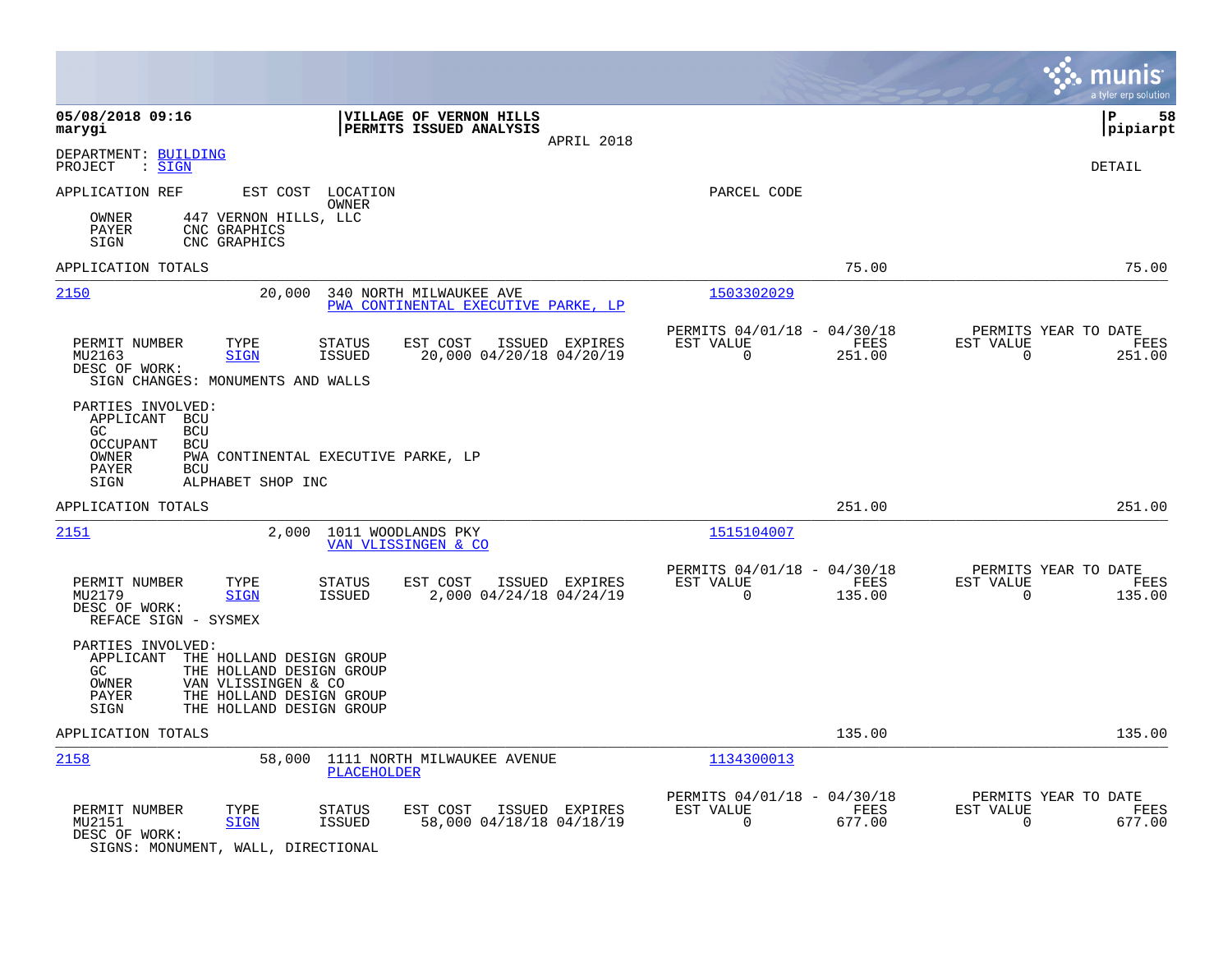|                                                                                                                                                                                                        |                                                                        | munis<br>a tyler erp solution                                         |
|--------------------------------------------------------------------------------------------------------------------------------------------------------------------------------------------------------|------------------------------------------------------------------------|-----------------------------------------------------------------------|
| 05/08/2018 09:16<br>VILLAGE OF VERNON HILLS<br>PERMITS ISSUED ANALYSIS<br>marygi<br>APRIL 2018                                                                                                         |                                                                        | l P<br>58<br> pipiarpt                                                |
| DEPARTMENT: BUILDING<br>PROJECT<br>$\mathrel{\mathop:} \mathrel{\mathsf{SIGN}}$                                                                                                                        |                                                                        | <b>DETAIL</b>                                                         |
| APPLICATION REF<br>EST COST LOCATION<br>OWNER                                                                                                                                                          | PARCEL CODE                                                            |                                                                       |
| 447 VERNON HILLS, LLC<br>OWNER<br>PAYER<br>CNC GRAPHICS<br>SIGN<br>CNC GRAPHICS                                                                                                                        |                                                                        |                                                                       |
| APPLICATION TOTALS                                                                                                                                                                                     | 75.00                                                                  | 75.00                                                                 |
| 2150<br>20,000<br>340 NORTH MILWAUKEE AVE<br>PWA CONTINENTAL EXECUTIVE PARKE, LP                                                                                                                       | 1503302029                                                             |                                                                       |
| PERMIT NUMBER<br>TYPE<br><b>STATUS</b><br>EST COST<br>ISSUED EXPIRES<br>20,000 04/20/18 04/20/19<br>MU2163<br><b>SIGN</b><br><b>ISSUED</b><br>DESC OF WORK:<br>SIGN CHANGES: MONUMENTS AND WALLS       | PERMITS 04/01/18 - 04/30/18<br>FEES<br>EST VALUE<br>$\Omega$<br>251.00 | PERMITS YEAR TO DATE<br>EST VALUE<br>FEES<br>$\overline{0}$<br>251.00 |
| PARTIES INVOLVED:<br>APPLICANT BCU<br>GC.<br><b>BCU</b><br>OCCUPANT<br><b>BCU</b><br>OWNER<br>PWA CONTINENTAL EXECUTIVE PARKE, LP<br>PAYER<br><b>BCU</b><br>SIGN<br>ALPHABET SHOP INC                  |                                                                        |                                                                       |
| APPLICATION TOTALS                                                                                                                                                                                     | 251.00                                                                 | 251.00                                                                |
| 2151<br>2,000 1011 WOODLANDS PKY<br>VAN VLISSINGEN & CO                                                                                                                                                | 1515104007                                                             |                                                                       |
| PERMIT NUMBER<br>TYPE<br><b>STATUS</b><br>EST COST<br>ISSUED EXPIRES<br>MU2179<br><b>SIGN</b><br>ISSUED<br>2,000 04/24/18 04/24/19<br>DESC OF WORK:<br>REFACE SIGN - SYSMEX                            | PERMITS 04/01/18 - 04/30/18<br>EST VALUE<br>FEES<br>$\Omega$<br>135.00 | PERMITS YEAR TO DATE<br>EST VALUE<br>FEES<br>$\Omega$<br>135.00       |
| PARTIES INVOLVED:<br>APPLICANT<br>THE HOLLAND DESIGN GROUP<br>GC.<br>THE HOLLAND DESIGN GROUP<br>OWNER<br>VAN VLISSINGEN & CO<br>THE HOLLAND DESIGN GROUP<br>PAYER<br>SIGN<br>THE HOLLAND DESIGN GROUP |                                                                        |                                                                       |
| APPLICATION TOTALS                                                                                                                                                                                     | 135.00                                                                 | 135.00                                                                |
| 2158<br>58,000 1111 NORTH MILWAUKEE AVENUE<br>PLACEHOLDER                                                                                                                                              | 1134300013                                                             |                                                                       |
| PERMIT NUMBER<br>TYPE<br>EST COST<br>ISSUED EXPIRES<br>STATUS<br>58,000 04/18/18 04/18/19<br>MU2151<br><b>ISSUED</b><br><b>SIGN</b><br>DESC OF WORK:<br>SIGNS: MONUMENT, WALL, DIRECTIONAL             | PERMITS 04/01/18 - 04/30/18<br>EST VALUE<br>FEES<br>$\Omega$<br>677.00 | PERMITS YEAR TO DATE<br>EST VALUE<br>FEES<br>677.00<br>0              |